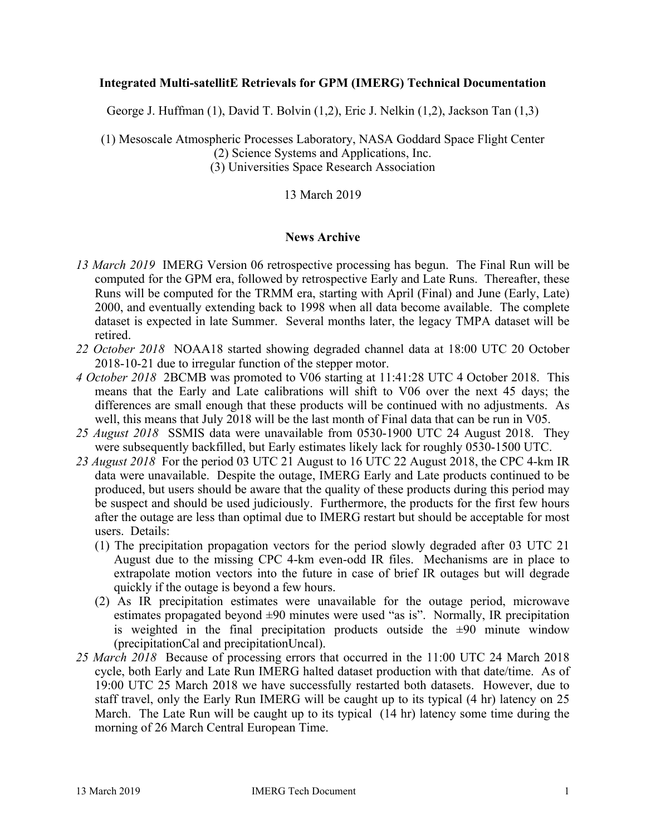### **Integrated Multi-satellitE Retrievals for GPM (IMERG) Technical Documentation**

George J. Huffman (1), David T. Bolvin (1,2), Eric J. Nelkin (1,2), Jackson Tan (1,3)

(1) Mesoscale Atmospheric Processes Laboratory, NASA Goddard Space Flight Center (2) Science Systems and Applications, Inc. (3) Universities Space Research Association

### 13 March 2019

### **News Archive**

- *13 March 2019* IMERG Version 06 retrospective processing has begun. The Final Run will be computed for the GPM era, followed by retrospective Early and Late Runs. Thereafter, these Runs will be computed for the TRMM era, starting with April (Final) and June (Early, Late) 2000, and eventually extending back to 1998 when all data become available. The complete dataset is expected in late Summer. Several months later, the legacy TMPA dataset will be retired.
- *22 October 2018* NOAA18 started showing degraded channel data at 18:00 UTC 20 October 2018-10-21 due to irregular function of the stepper motor.
- *4 October 2018* 2BCMB was promoted to V06 starting at 11:41:28 UTC 4 October 2018. This means that the Early and Late calibrations will shift to V06 over the next 45 days; the differences are small enough that these products will be continued with no adjustments. As well, this means that July 2018 will be the last month of Final data that can be run in V05.
- *25 August 2018* SSMIS data were unavailable from 0530-1900 UTC 24 August 2018. They were subsequently backfilled, but Early estimates likely lack for roughly 0530-1500 UTC.
- *23 August 2018* For the period 03 UTC 21 August to 16 UTC 22 August 2018, the CPC 4-km IR data were unavailable. Despite the outage, IMERG Early and Late products continued to be produced, but users should be aware that the quality of these products during this period may be suspect and should be used judiciously. Furthermore, the products for the first few hours after the outage are less than optimal due to IMERG restart but should be acceptable for most users. Details:
	- (1) The precipitation propagation vectors for the period slowly degraded after 03 UTC 21 August due to the missing CPC 4-km even-odd IR files. Mechanisms are in place to extrapolate motion vectors into the future in case of brief IR outages but will degrade quickly if the outage is beyond a few hours.
	- (2) As IR precipitation estimates were unavailable for the outage period, microwave estimates propagated beyond  $\pm 90$  minutes were used "as is". Normally, IR precipitation is weighted in the final precipitation products outside the  $\pm 90$  minute window (precipitationCal and precipitationUncal).
- *25 March 2018* Because of processing errors that occurred in the 11:00 UTC 24 March 2018 cycle, both Early and Late Run IMERG halted dataset production with that date/time. As of 19:00 UTC 25 March 2018 we have successfully restarted both datasets. However, due to staff travel, only the Early Run IMERG will be caught up to its typical (4 hr) latency on 25 March. The Late Run will be caught up to its typical (14 hr) latency some time during the morning of 26 March Central European Time.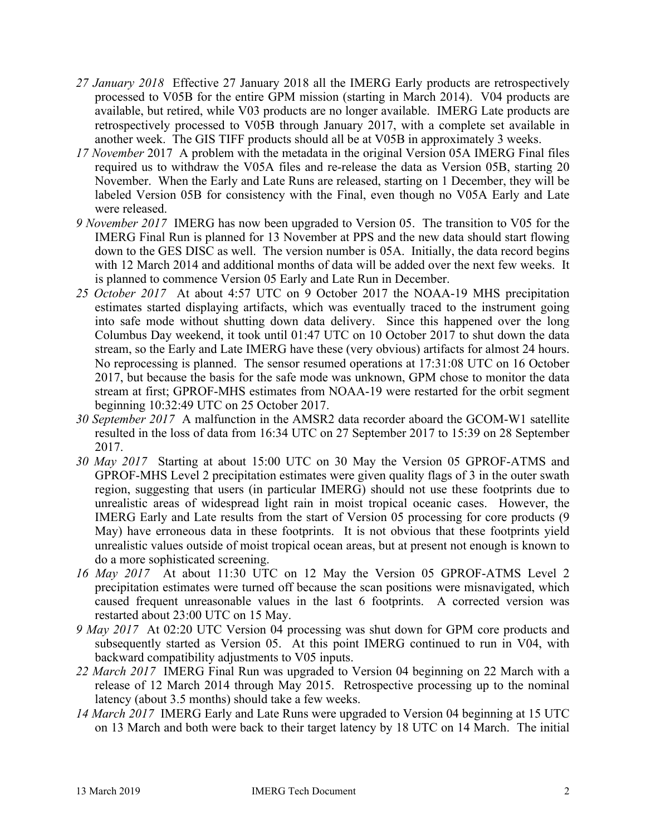- *27 January 2018* Effective 27 January 2018 all the IMERG Early products are retrospectively processed to V05B for the entire GPM mission (starting in March 2014). V04 products are available, but retired, while V03 products are no longer available. IMERG Late products are retrospectively processed to V05B through January 2017, with a complete set available in another week. The GIS TIFF products should all be at V05B in approximately 3 weeks.
- *17 November* 2017 A problem with the metadata in the original Version 05A IMERG Final files required us to withdraw the V05A files and re-release the data as Version 05B, starting 20 November. When the Early and Late Runs are released, starting on 1 December, they will be labeled Version 05B for consistency with the Final, even though no V05A Early and Late were released.
- *9 November 2017* IMERG has now been upgraded to Version 05. The transition to V05 for the IMERG Final Run is planned for 13 November at PPS and the new data should start flowing down to the GES DISC as well. The version number is 05A. Initially, the data record begins with 12 March 2014 and additional months of data will be added over the next few weeks. It is planned to commence Version 05 Early and Late Run in December.
- *25 October 2017* At about 4:57 UTC on 9 October 2017 the NOAA-19 MHS precipitation estimates started displaying artifacts, which was eventually traced to the instrument going into safe mode without shutting down data delivery. Since this happened over the long Columbus Day weekend, it took until 01:47 UTC on 10 October 2017 to shut down the data stream, so the Early and Late IMERG have these (very obvious) artifacts for almost 24 hours. No reprocessing is planned. The sensor resumed operations at 17:31:08 UTC on 16 October 2017, but because the basis for the safe mode was unknown, GPM chose to monitor the data stream at first; GPROF-MHS estimates from NOAA-19 were restarted for the orbit segment beginning 10:32:49 UTC on 25 October 2017.
- *30 September 2017* A malfunction in the AMSR2 data recorder aboard the GCOM-W1 satellite resulted in the loss of data from 16:34 UTC on 27 September 2017 to 15:39 on 28 September 2017.
- *30 May 2017* Starting at about 15:00 UTC on 30 May the Version 05 GPROF-ATMS and GPROF-MHS Level 2 precipitation estimates were given quality flags of 3 in the outer swath region, suggesting that users (in particular IMERG) should not use these footprints due to unrealistic areas of widespread light rain in moist tropical oceanic cases. However, the IMERG Early and Late results from the start of Version 05 processing for core products (9 May) have erroneous data in these footprints. It is not obvious that these footprints yield unrealistic values outside of moist tropical ocean areas, but at present not enough is known to do a more sophisticated screening.
- *16 May 2017* At about 11:30 UTC on 12 May the Version 05 GPROF-ATMS Level 2 precipitation estimates were turned off because the scan positions were misnavigated, which caused frequent unreasonable values in the last 6 footprints. A corrected version was restarted about 23:00 UTC on 15 May.
- *9 May 2017* At 02:20 UTC Version 04 processing was shut down for GPM core products and subsequently started as Version 05. At this point IMERG continued to run in V04, with backward compatibility adjustments to V05 inputs.
- *22 March 2017* IMERG Final Run was upgraded to Version 04 beginning on 22 March with a release of 12 March 2014 through May 2015. Retrospective processing up to the nominal latency (about 3.5 months) should take a few weeks.
- *14 March 2017* IMERG Early and Late Runs were upgraded to Version 04 beginning at 15 UTC on 13 March and both were back to their target latency by 18 UTC on 14 March. The initial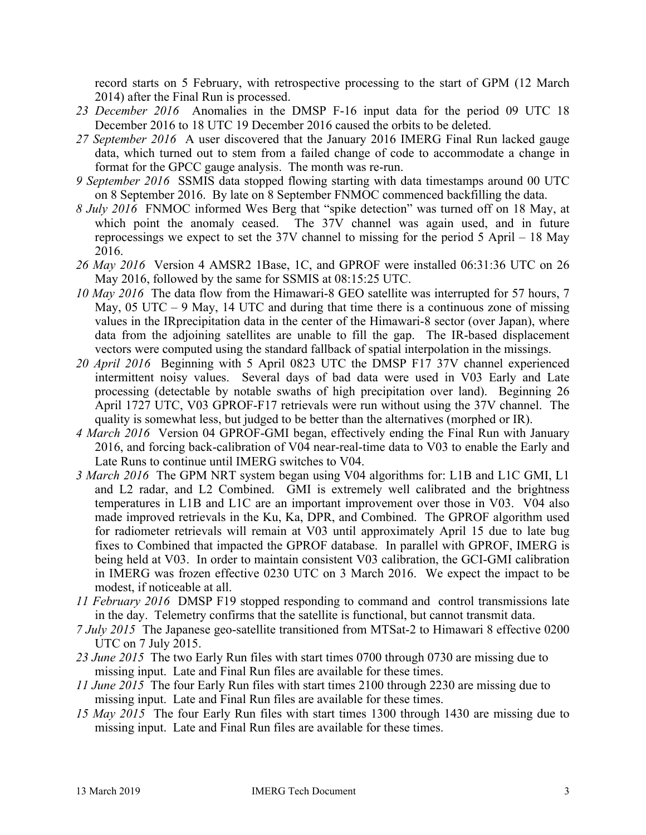record starts on 5 February, with retrospective processing to the start of GPM (12 March 2014) after the Final Run is processed.

- *23 December 2016* Anomalies in the DMSP F-16 input data for the period 09 UTC 18 December 2016 to 18 UTC 19 December 2016 caused the orbits to be deleted.
- *27 September 2016* A user discovered that the January 2016 IMERG Final Run lacked gauge data, which turned out to stem from a failed change of code to accommodate a change in format for the GPCC gauge analysis. The month was re-run.
- *9 September 2016* SSMIS data stopped flowing starting with data timestamps around 00 UTC on 8 September 2016. By late on 8 September FNMOC commenced backfilling the data.
- *8 July 2016* FNMOC informed Wes Berg that "spike detection" was turned off on 18 May, at which point the anomaly ceased. The 37V channel was again used, and in future reprocessings we expect to set the 37V channel to missing for the period 5 April – 18 May 2016.
- *26 May 2016* Version 4 AMSR2 1Base, 1C, and GPROF were installed 06:31:36 UTC on 26 May 2016, followed by the same for SSMIS at 08:15:25 UTC.
- *10 May 2016* The data flow from the Himawari-8 GEO satellite was interrupted for 57 hours, 7 May,  $05$  UTC – 9 May, 14 UTC and during that time there is a continuous zone of missing values in the IRprecipitation data in the center of the Himawari-8 sector (over Japan), where data from the adjoining satellites are unable to fill the gap. The IR-based displacement vectors were computed using the standard fallback of spatial interpolation in the missings.
- *20 April 2016* Beginning with 5 April 0823 UTC the DMSP F17 37V channel experienced intermittent noisy values. Several days of bad data were used in V03 Early and Late processing (detectable by notable swaths of high precipitation over land). Beginning 26 April 1727 UTC, V03 GPROF-F17 retrievals were run without using the 37V channel. The quality is somewhat less, but judged to be better than the alternatives (morphed or IR).
- *4 March 2016* Version 04 GPROF-GMI began, effectively ending the Final Run with January 2016, and forcing back-calibration of V04 near-real-time data to V03 to enable the Early and Late Runs to continue until IMERG switches to V04.
- *3 March 2016* The GPM NRT system began using V04 algorithms for: L1B and L1C GMI, L1 and L2 radar, and L2 Combined. GMI is extremely well calibrated and the brightness temperatures in L1B and L1C are an important improvement over those in V03. V04 also made improved retrievals in the Ku, Ka, DPR, and Combined. The GPROF algorithm used for radiometer retrievals will remain at V03 until approximately April 15 due to late bug fixes to Combined that impacted the GPROF database. In parallel with GPROF, IMERG is being held at V03. In order to maintain consistent V03 calibration, the GCI-GMI calibration in IMERG was frozen effective 0230 UTC on 3 March 2016. We expect the impact to be modest, if noticeable at all.
- *11 February 2016* DMSP F19 stopped responding to command and control transmissions late in the day. Telemetry confirms that the satellite is functional, but cannot transmit data.
- *7 July 2015* The Japanese geo-satellite transitioned from MTSat-2 to Himawari 8 effective 0200 UTC on 7 July 2015.
- 23 June 2015 The two Early Run files with start times 0700 through 0730 are missing due to missing input. Late and Final Run files are available for these times.
- *11 June 2015* The four Early Run files with start times 2100 through 2230 are missing due to missing input. Late and Final Run files are available for these times.
- *15 May 2015* The four Early Run files with start times 1300 through 1430 are missing due to missing input. Late and Final Run files are available for these times.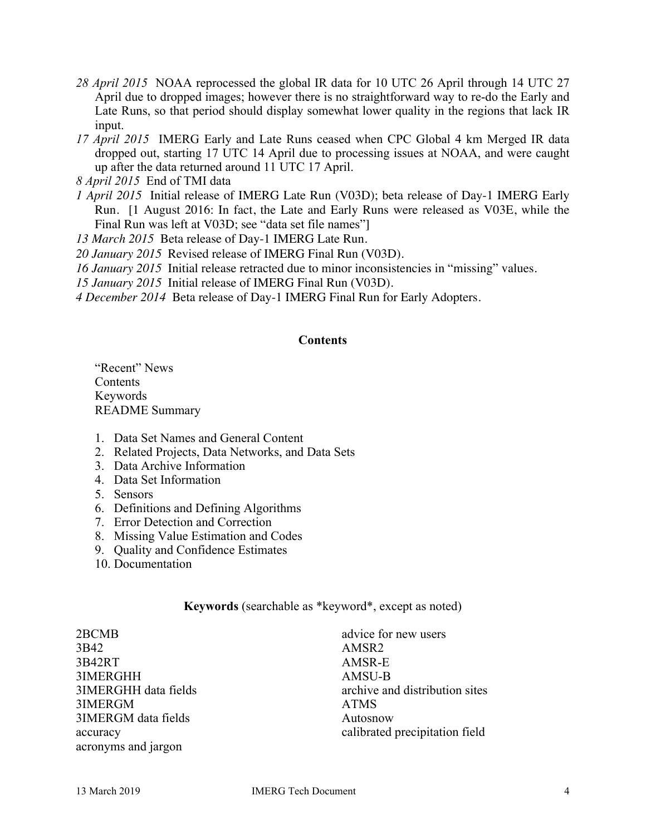- *28 April 2015* NOAA reprocessed the global IR data for 10 UTC 26 April through 14 UTC 27 April due to dropped images; however there is no straightforward way to re-do the Early and Late Runs, so that period should display somewhat lower quality in the regions that lack IR input.
- *17 April 2015* IMERG Early and Late Runs ceased when CPC Global 4 km Merged IR data dropped out, starting 17 UTC 14 April due to processing issues at NOAA, and were caught up after the data returned around 11 UTC 17 April.
- *8 April 2015* End of TMI data
- *1 April 2015* Initial release of IMERG Late Run (V03D); beta release of Day-1 IMERG Early Run. [1 August 2016: In fact, the Late and Early Runs were released as V03E, while the Final Run was left at V03D; see "data set file names"

*13 March 2015* Beta release of Day-1 IMERG Late Run.

- *20 January 2015* Revised release of IMERG Final Run (V03D).
- *16 January 2015* Initial release retracted due to minor inconsistencies in "missing" values.
- *15 January 2015* Initial release of IMERG Final Run (V03D).
- *4 December 2014* Beta release of Day-1 IMERG Final Run for Early Adopters.

### **Contents**

"Recent" News **Contents** Keywords README Summary

- 1. Data Set Names and General Content
- 2. Related Projects, Data Networks, and Data Sets
- 3. Data Archive Information
- 4. Data Set Information
- 5. Sensors
- 6. Definitions and Defining Algorithms
- 7. Error Detection and Correction
- 8. Missing Value Estimation and Codes
- 9. Quality and Confidence Estimates
- 10. Documentation

## **Keywords** (searchable as \*keyword\*, except as noted)

2BCMB 3B42 3B42RT 3IMERGHH 3IMERGHH data fields 3IMERGM 3IMERGM data fields accuracy acronyms and jargon

advice for new users AMSR2 AMSR-E AMSU-B archive and distribution sites ATMS Autosnow calibrated precipitation field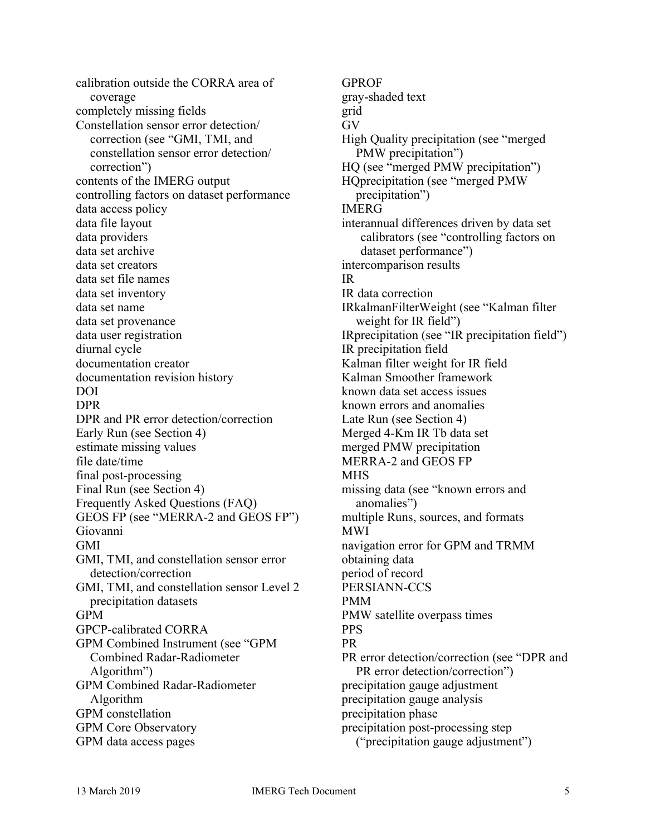calibration outside the CORRA area of coverage completely missing fields Constellation sensor error detection/ correction (see "GMI, TMI, and constellation sensor error detection/ correction") contents of the IMERG output controlling factors on dataset performance data access policy data file layout data providers data set archive data set creators data set file names data set inventory data set name data set provenance data user registration diurnal cycle documentation creator documentation revision history DOI DPR DPR and PR error detection/correction Early Run (see Section 4) estimate missing values file date/time final post-processing Final Run (see Section 4) Frequently Asked Questions (FAQ) GEOS FP (see "MERRA-2 and GEOS FP") Giovanni GMI GMI, TMI, and constellation sensor error detection/correction GMI, TMI, and constellation sensor Level 2 precipitation datasets GPM GPCP-calibrated CORRA GPM Combined Instrument (see "GPM Combined Radar-Radiometer Algorithm") GPM Combined Radar-Radiometer Algorithm GPM constellation GPM Core Observatory GPM data access pages

GPROF gray-shaded text grid GV High Quality precipitation (see "merged PMW precipitation") HQ (see "merged PMW precipitation") HQprecipitation (see "merged PMW precipitation") IMERG interannual differences driven by data set calibrators (see "controlling factors on dataset performance") intercomparison results IR IR data correction IRkalmanFilterWeight (see "Kalman filter weight for IR field") IRprecipitation (see "IR precipitation field") IR precipitation field Kalman filter weight for IR field Kalman Smoother framework known data set access issues known errors and anomalies Late Run (see Section 4) Merged 4-Km IR Tb data set merged PMW precipitation MERRA-2 and GEOS FP **MHS** missing data (see "known errors and anomalies") multiple Runs, sources, and formats MWI navigation error for GPM and TRMM obtaining data period of record PERSIANN-CCS PMM PMW satellite overpass times PPS PR PR error detection/correction (see "DPR and PR error detection/correction") precipitation gauge adjustment precipitation gauge analysis precipitation phase precipitation post-processing step ("precipitation gauge adjustment")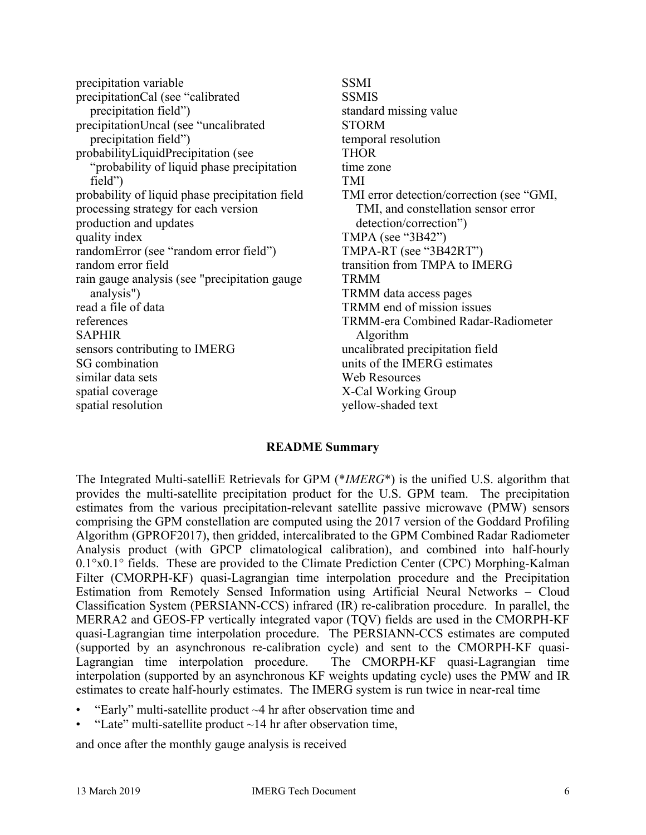precipitation variable precipitationCal (see "calibrated precipitation field") precipitationUncal (see "uncalibrated precipitation field") probabilityLiquidPrecipitation (see "probability of liquid phase precipitation field") probability of liquid phase precipitation field processing strategy for each version production and updates quality index randomError (see "random error field") random error field rain gauge analysis (see "precipitation gauge analysis") read a file of data references SAPHIR sensors contributing to IMERG SG combination similar data sets spatial coverage spatial resolution

SSMI **SSMIS** standard missing value STORM temporal resolution THOR time zone TMI TMI error detection/correction (see "GMI, TMI, and constellation sensor error detection/correction") TMPA (see "3B42") TMPA-RT (see "3B42RT") transition from TMPA to IMERG TRMM TRMM data access pages TRMM end of mission issues TRMM-era Combined Radar-Radiometer Algorithm uncalibrated precipitation field units of the IMERG estimates Web Resources X-Cal Working Group yellow-shaded text

### **README Summary**

The Integrated Multi-satelliE Retrievals for GPM (\**IMERG*\*) is the unified U.S. algorithm that provides the multi-satellite precipitation product for the U.S. GPM team. The precipitation estimates from the various precipitation-relevant satellite passive microwave (PMW) sensors comprising the GPM constellation are computed using the 2017 version of the Goddard Profiling Algorithm (GPROF2017), then gridded, intercalibrated to the GPM Combined Radar Radiometer Analysis product (with GPCP climatological calibration), and combined into half-hourly 0.1°x0.1° fields. These are provided to the Climate Prediction Center (CPC) Morphing-Kalman Filter (CMORPH-KF) quasi-Lagrangian time interpolation procedure and the Precipitation Estimation from Remotely Sensed Information using Artificial Neural Networks – Cloud Classification System (PERSIANN-CCS) infrared (IR) re-calibration procedure. In parallel, the MERRA2 and GEOS-FP vertically integrated vapor (TQV) fields are used in the CMORPH-KF quasi-Lagrangian time interpolation procedure. The PERSIANN-CCS estimates are computed (supported by an asynchronous re-calibration cycle) and sent to the CMORPH-KF quasi-Lagrangian time interpolation procedure. The CMORPH-KF quasi-Lagrangian time interpolation (supported by an asynchronous KF weights updating cycle) uses the PMW and IR estimates to create half-hourly estimates. The IMERG system is run twice in near-real time

- "Early" multi-satellite product  $\sim$ 4 hr after observation time and
- "Late" multi-satellite product  $\sim$ 14 hr after observation time,

and once after the monthly gauge analysis is received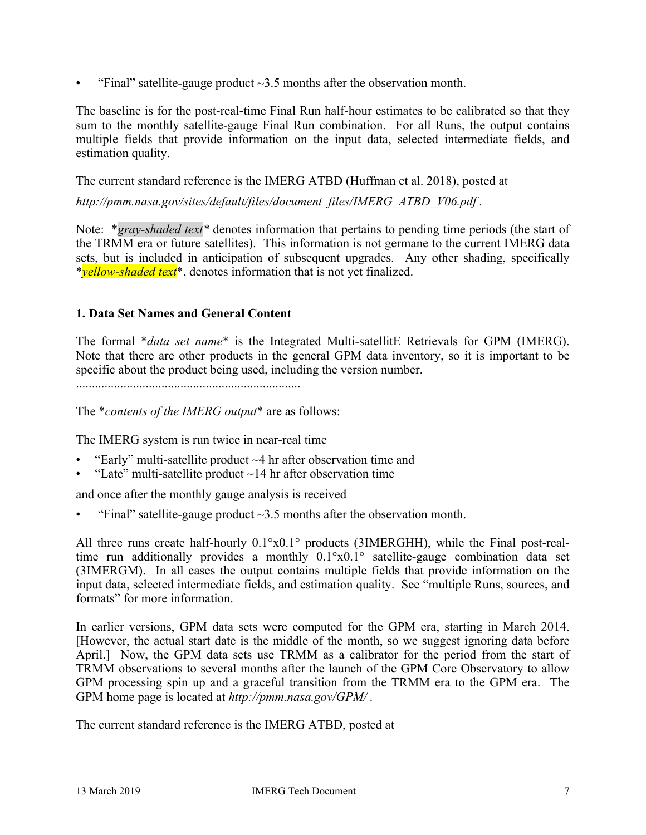"Final" satellite-gauge product  $\sim$ 3.5 months after the observation month.

The baseline is for the post-real-time Final Run half-hour estimates to be calibrated so that they sum to the monthly satellite-gauge Final Run combination. For all Runs, the output contains multiple fields that provide information on the input data, selected intermediate fields, and estimation quality.

The current standard reference is the IMERG ATBD (Huffman et al. 2018), posted at

*http://pmm.nasa.gov/sites/default/files/document\_files/IMERG\_ATBD\_V06.pdf .*

Note: \**gray-shaded text\** denotes information that pertains to pending time periods (the start of the TRMM era or future satellites). This information is not germane to the current IMERG data sets, but is included in anticipation of subsequent upgrades. Any other shading, specifically \**yellow-shaded text*\*, denotes information that is not yet finalized.

## **1. Data Set Names and General Content**

The formal \**data set name*\* is the Integrated Multi-satellitE Retrievals for GPM (IMERG). Note that there are other products in the general GPM data inventory, so it is important to be specific about the product being used, including the version number.

.......................................................................

The \**contents of the IMERG output*\* are as follows:

The IMERG system is run twice in near-real time

- "Early" multi-satellite product  $\sim$ 4 hr after observation time and
- "Late" multi-satellite product  $\sim$  14 hr after observation time

and once after the monthly gauge analysis is received

"Final" satellite-gauge product  $\sim$ 3.5 months after the observation month.

All three runs create half-hourly 0.1°x0.1° products (3IMERGHH), while the Final post-realtime run additionally provides a monthly  $0.1^\circ \times 0.1^\circ$  satellite-gauge combination data set (3IMERGM). In all cases the output contains multiple fields that provide information on the input data, selected intermediate fields, and estimation quality. See "multiple Runs, sources, and formats" for more information.

In earlier versions, GPM data sets were computed for the GPM era, starting in March 2014. [However, the actual start date is the middle of the month, so we suggest ignoring data before April.] Now, the GPM data sets use TRMM as a calibrator for the period from the start of TRMM observations to several months after the launch of the GPM Core Observatory to allow GPM processing spin up and a graceful transition from the TRMM era to the GPM era. The GPM home page is located at *http://pmm.nasa.gov/GPM/ .*

The current standard reference is the IMERG ATBD, posted at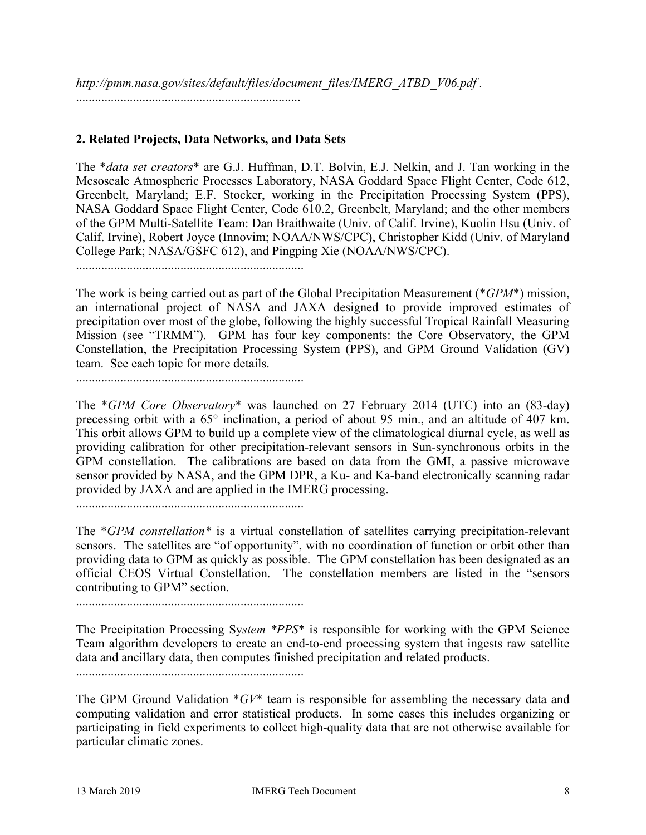*http://pmm.nasa.gov/sites/default/files/document\_files/IMERG\_ATBD\_V06.pdf .* .......................................................................

## **2. Related Projects, Data Networks, and Data Sets**

The \**data set creators*\* are G.J. Huffman, D.T. Bolvin, E.J. Nelkin, and J. Tan working in the Mesoscale Atmospheric Processes Laboratory, NASA Goddard Space Flight Center, Code 612, Greenbelt, Maryland; E.F. Stocker, working in the Precipitation Processing System (PPS), NASA Goddard Space Flight Center, Code 610.2, Greenbelt, Maryland; and the other members of the GPM Multi-Satellite Team: Dan Braithwaite (Univ. of Calif. Irvine), Kuolin Hsu (Univ. of Calif. Irvine), Robert Joyce (Innovim; NOAA/NWS/CPC), Christopher Kidd (Univ. of Maryland College Park; NASA/GSFC 612), and Pingping Xie (NOAA/NWS/CPC).

........................................................................

The work is being carried out as part of the Global Precipitation Measurement (\**GPM*\*) mission, an international project of NASA and JAXA designed to provide improved estimates of precipitation over most of the globe, following the highly successful Tropical Rainfall Measuring Mission (see "TRMM"). GPM has four key components: the Core Observatory, the GPM Constellation, the Precipitation Processing System (PPS), and GPM Ground Validation (GV) team. See each topic for more details.

........................................................................

The \**GPM Core Observatory*\* was launched on 27 February 2014 (UTC) into an (83-day) precessing orbit with a 65° inclination, a period of about 95 min., and an altitude of 407 km. This orbit allows GPM to build up a complete view of the climatological diurnal cycle, as well as providing calibration for other precipitation-relevant sensors in Sun-synchronous orbits in the GPM constellation. The calibrations are based on data from the GMI, a passive microwave sensor provided by NASA, and the GPM DPR, a Ku- and Ka-band electronically scanning radar provided by JAXA and are applied in the IMERG processing.

........................................................................

The \**GPM constellation\** is a virtual constellation of satellites carrying precipitation-relevant sensors. The satellites are "of opportunity", with no coordination of function or orbit other than providing data to GPM as quickly as possible. The GPM constellation has been designated as an official CEOS Virtual Constellation. The constellation members are listed in the "sensors contributing to GPM" section.

The Precipitation Processing Sy*stem \*PPS*\* is responsible for working with the GPM Science Team algorithm developers to create an end-to-end processing system that ingests raw satellite data and ancillary data, then computes finished precipitation and related products.

........................................................................

The GPM Ground Validation \**GV*\* team is responsible for assembling the necessary data and computing validation and error statistical products. In some cases this includes organizing or participating in field experiments to collect high-quality data that are not otherwise available for particular climatic zones.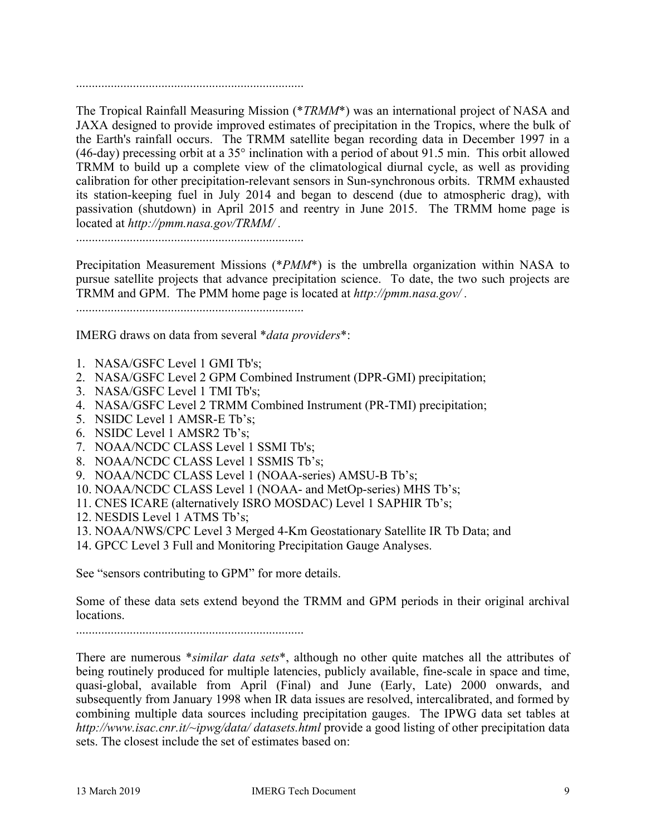........................................................................

The Tropical Rainfall Measuring Mission (\**TRMM*\*) was an international project of NASA and JAXA designed to provide improved estimates of precipitation in the Tropics, where the bulk of the Earth's rainfall occurs. The TRMM satellite began recording data in December 1997 in a (46-day) precessing orbit at a 35° inclination with a period of about 91.5 min. This orbit allowed TRMM to build up a complete view of the climatological diurnal cycle, as well as providing calibration for other precipitation-relevant sensors in Sun-synchronous orbits. TRMM exhausted its station-keeping fuel in July 2014 and began to descend (due to atmospheric drag), with passivation (shutdown) in April 2015 and reentry in June 2015. The TRMM home page is located at *http://pmm.nasa.gov/TRMM/ .*

........................................................................

Precipitation Measurement Missions (\**PMM*\*) is the umbrella organization within NASA to pursue satellite projects that advance precipitation science. To date, the two such projects are TRMM and GPM. The PMM home page is located at *http://pmm.nasa.gov/ .*

........................................................................

IMERG draws on data from several \**data providers*\*:

- 1. NASA/GSFC Level 1 GMI Tb's;
- 2. NASA/GSFC Level 2 GPM Combined Instrument (DPR-GMI) precipitation;
- 3. NASA/GSFC Level 1 TMI Tb's;
- 4. NASA/GSFC Level 2 TRMM Combined Instrument (PR-TMI) precipitation;
- 5. NSIDC Level 1 AMSR-E Tb's;
- 6. NSIDC Level 1 AMSR2 Tb's;
- 7. NOAA/NCDC CLASS Level 1 SSMI Tb's;
- 8. NOAA/NCDC CLASS Level 1 SSMIS Tb's;
- 9. NOAA/NCDC CLASS Level 1 (NOAA-series) AMSU-B Tb's;
- 10. NOAA/NCDC CLASS Level 1 (NOAA- and MetOp-series) MHS Tb's;
- 11. CNES ICARE (alternatively ISRO MOSDAC) Level 1 SAPHIR Tb's;
- 12. NESDIS Level 1 ATMS Tb's;
- 13. NOAA/NWS/CPC Level 3 Merged 4-Km Geostationary Satellite IR Tb Data; and
- 14. GPCC Level 3 Full and Monitoring Precipitation Gauge Analyses.

See "sensors contributing to GPM" for more details.

Some of these data sets extend beyond the TRMM and GPM periods in their original archival locations.

There are numerous \**similar data sets*\*, although no other quite matches all the attributes of being routinely produced for multiple latencies, publicly available, fine-scale in space and time, quasi-global, available from April (Final) and June (Early, Late) 2000 onwards, and subsequently from January 1998 when IR data issues are resolved, intercalibrated, and formed by combining multiple data sources including precipitation gauges. The IPWG data set tables at *http://www.isac.cnr.it/~ipwg/data/ datasets.html* provide a good listing of other precipitation data sets. The closest include the set of estimates based on: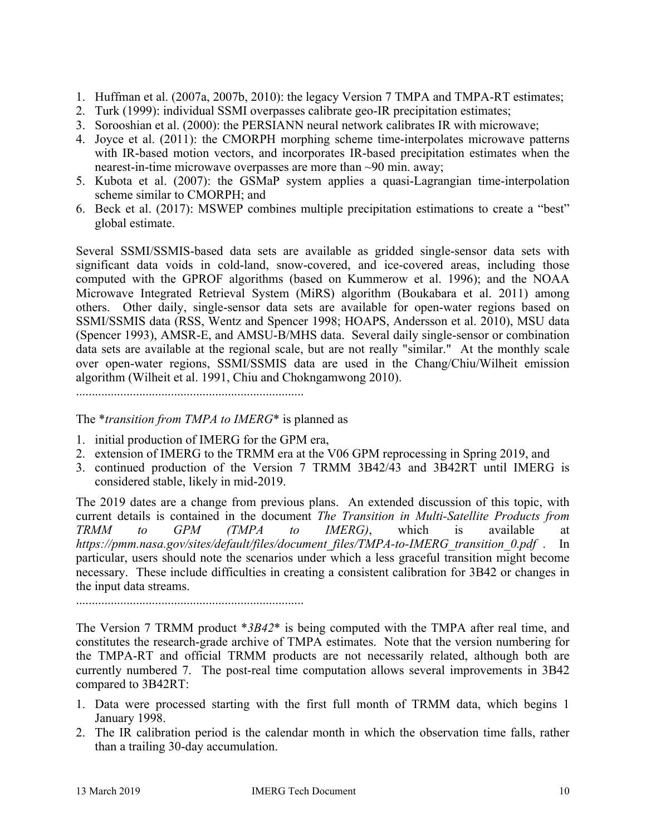- 1. Huffman et al. (2007a, 2007b, 2010): the legacy Version 7 TMPA and TMPA-RT estimates;
- 2. Turk (1999): individual SSMI overpasses calibrate geo-IR precipitation estimates;
- 3. Sorooshian et al. (2000): the PERSIANN neural network calibrates IR with microwave;
- 4. Joyce et al. (2011): the CMORPH morphing scheme time-interpolates microwave patterns with IR-based motion vectors, and incorporates IR-based precipitation estimates when the nearest-in-time microwave overpasses are more than ~90 min. away;
- 5. Kubota et al. (2007): the GSMaP system applies a quasi-Lagrangian time-interpolation scheme similar to CMORPH; and
- 6. Beck et al. (2017): MSWEP combines multiple precipitation estimations to create a "best" global estimate.

Several SSMI/SSMIS-based data sets are available as gridded single-sensor data sets with significant data voids in cold-land, snow-covered, and ice-covered areas, including those computed with the GPROF algorithms (based on Kummerow et al. 1996); and the NOAA Microwave Integrated Retrieval System (MiRS) algorithm (Boukabara et al. 2011) among others. Other daily, single-sensor data sets are available for open-water regions based on SSMI/SSMIS data (RSS, Wentz and Spencer 1998; HOAPS, Andersson et al. 2010), MSU data (Spencer 1993), AMSR-E, and AMSU-B/MHS data. Several daily single-sensor or combination data sets are available at the regional scale, but are not really "similar." At the monthly scale over open-water regions, SSMI/SSMIS data are used in the Chang/Chiu/Wilheit emission algorithm (Wilheit et al. 1991, Chiu and Chokngamwong 2010).

........................................................................

The \**transition from TMPA to IMERG*\* is planned as

- 1. initial production of IMERG for the GPM era,
- 2. extension of IMERG to the TRMM era at the V06 GPM reprocessing in Spring 2019, and
- 3. continued production of the Version 7 TRMM 3B42/43 and 3B42RT until IMERG is considered stable, likely in mid-2019.

The 2019 dates are a change from previous plans. An extended discussion of this topic, with current details is contained in the document *The Transition in Multi-Satellite Products from TRMM to GPM (TMPA to IMERG)*, which is available at *https://pmm.nasa.gov/sites/default/files/document\_files/TMPA-to-IMERG\_transition\_0.pdf* . In particular, users should note the scenarios under which a less graceful transition might become necessary. These include difficulties in creating a consistent calibration for 3B42 or changes in the input data streams.

........................................................................

The Version 7 TRMM product \**3B42*\* is being computed with the TMPA after real time, and constitutes the research-grade archive of TMPA estimates. Note that the version numbering for the TMPA-RT and official TRMM products are not necessarily related, although both are currently numbered 7. The post-real time computation allows several improvements in 3B42 compared to 3B42RT:

- 1. Data were processed starting with the first full month of TRMM data, which begins 1 January 1998.
- 2. The IR calibration period is the calendar month in which the observation time falls, rather than a trailing 30-day accumulation.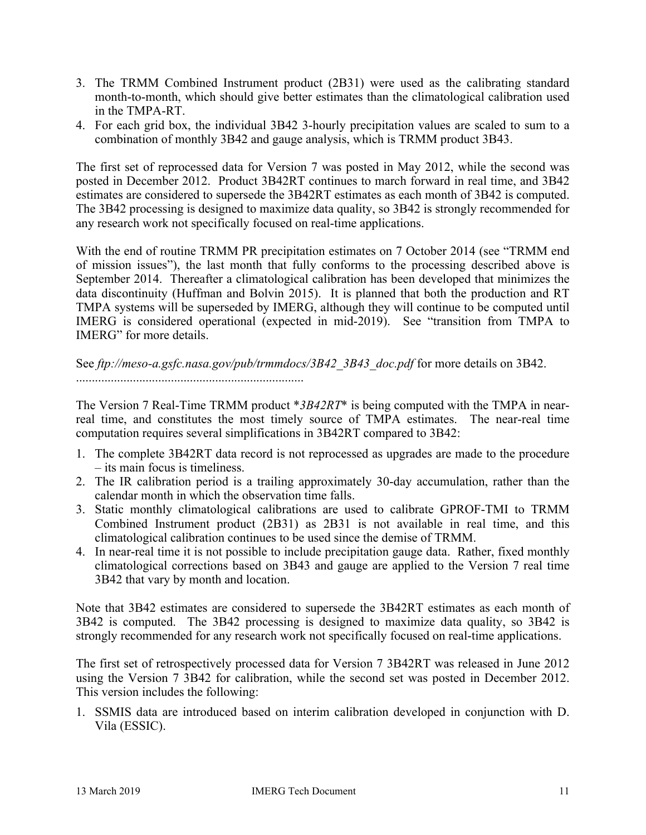- 3. The TRMM Combined Instrument product (2B31) were used as the calibrating standard month-to-month, which should give better estimates than the climatological calibration used in the TMPA-RT.
- 4. For each grid box, the individual 3B42 3-hourly precipitation values are scaled to sum to a combination of monthly 3B42 and gauge analysis, which is TRMM product 3B43.

The first set of reprocessed data for Version 7 was posted in May 2012, while the second was posted in December 2012. Product 3B42RT continues to march forward in real time, and 3B42 estimates are considered to supersede the 3B42RT estimates as each month of 3B42 is computed. The 3B42 processing is designed to maximize data quality, so 3B42 is strongly recommended for any research work not specifically focused on real-time applications.

With the end of routine TRMM PR precipitation estimates on 7 October 2014 (see "TRMM end of mission issues"), the last month that fully conforms to the processing described above is September 2014. Thereafter a climatological calibration has been developed that minimizes the data discontinuity (Huffman and Bolvin 2015). It is planned that both the production and RT TMPA systems will be superseded by IMERG, although they will continue to be computed until IMERG is considered operational (expected in mid-2019). See "transition from TMPA to IMERG" for more details.

See *ftp://meso-a.gsfc.nasa.gov/pub/trmmdocs/3B42\_3B43\_doc.pdf* for more details on 3B42. ........................................................................

The Version 7 Real-Time TRMM product \**3B42RT*\* is being computed with the TMPA in nearreal time, and constitutes the most timely source of TMPA estimates. The near-real time computation requires several simplifications in 3B42RT compared to 3B42:

- 1. The complete 3B42RT data record is not reprocessed as upgrades are made to the procedure – its main focus is timeliness.
- 2. The IR calibration period is a trailing approximately 30-day accumulation, rather than the calendar month in which the observation time falls.
- 3. Static monthly climatological calibrations are used to calibrate GPROF-TMI to TRMM Combined Instrument product (2B31) as 2B31 is not available in real time, and this climatological calibration continues to be used since the demise of TRMM.
- 4. In near-real time it is not possible to include precipitation gauge data. Rather, fixed monthly climatological corrections based on 3B43 and gauge are applied to the Version 7 real time 3B42 that vary by month and location.

Note that 3B42 estimates are considered to supersede the 3B42RT estimates as each month of 3B42 is computed. The 3B42 processing is designed to maximize data quality, so 3B42 is strongly recommended for any research work not specifically focused on real-time applications.

The first set of retrospectively processed data for Version 7 3B42RT was released in June 2012 using the Version 7 3B42 for calibration, while the second set was posted in December 2012. This version includes the following:

1. SSMIS data are introduced based on interim calibration developed in conjunction with D. Vila (ESSIC).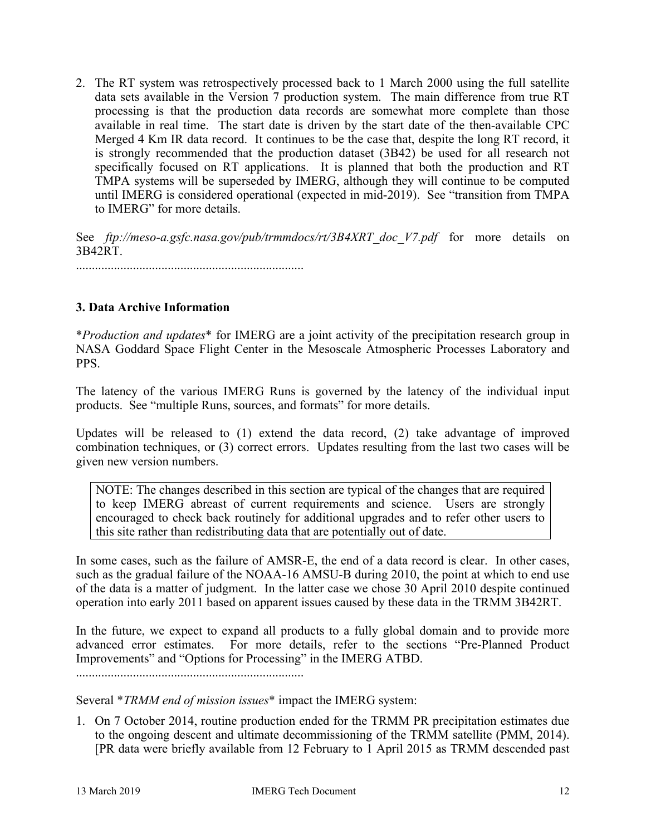2. The RT system was retrospectively processed back to 1 March 2000 using the full satellite data sets available in the Version 7 production system. The main difference from true RT processing is that the production data records are somewhat more complete than those available in real time. The start date is driven by the start date of the then-available CPC Merged 4 Km IR data record. It continues to be the case that, despite the long RT record, it is strongly recommended that the production dataset (3B42) be used for all research not specifically focused on RT applications. It is planned that both the production and RT TMPA systems will be superseded by IMERG, although they will continue to be computed until IMERG is considered operational (expected in mid-2019). See "transition from TMPA to IMERG" for more details.

See *ftp://meso-a.gsfc.nasa.gov/pub/trmmdocs/rt/3B4XRT doc V7.pdf* for more details on 3B42RT.

........................................................................

# **3. Data Archive Information**

\**Production and updates*\* for IMERG are a joint activity of the precipitation research group in NASA Goddard Space Flight Center in the Mesoscale Atmospheric Processes Laboratory and PPS.

The latency of the various IMERG Runs is governed by the latency of the individual input products. See "multiple Runs, sources, and formats" for more details.

Updates will be released to (1) extend the data record, (2) take advantage of improved combination techniques, or (3) correct errors. Updates resulting from the last two cases will be given new version numbers.

NOTE: The changes described in this section are typical of the changes that are required to keep IMERG abreast of current requirements and science. Users are strongly encouraged to check back routinely for additional upgrades and to refer other users to this site rather than redistributing data that are potentially out of date.

In some cases, such as the failure of AMSR-E, the end of a data record is clear. In other cases, such as the gradual failure of the NOAA-16 AMSU-B during 2010, the point at which to end use of the data is a matter of judgment. In the latter case we chose 30 April 2010 despite continued operation into early 2011 based on apparent issues caused by these data in the TRMM 3B42RT.

In the future, we expect to expand all products to a fully global domain and to provide more advanced error estimates. For more details, refer to the sections "Pre-Planned Product Improvements" and "Options for Processing" in the IMERG ATBD.

........................................................................

Several \**TRMM end of mission issues*\* impact the IMERG system:

1. On 7 October 2014, routine production ended for the TRMM PR precipitation estimates due to the ongoing descent and ultimate decommissioning of the TRMM satellite (PMM, 2014). [PR data were briefly available from 12 February to 1 April 2015 as TRMM descended past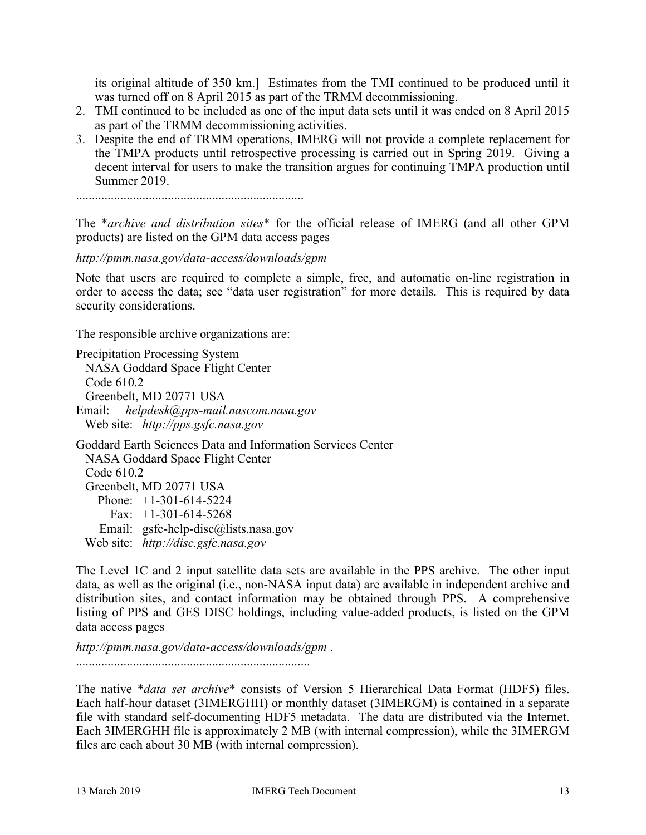its original altitude of 350 km.] Estimates from the TMI continued to be produced until it was turned off on 8 April 2015 as part of the TRMM decommissioning.

- 2. TMI continued to be included as one of the input data sets until it was ended on 8 April 2015 as part of the TRMM decommissioning activities.
- 3. Despite the end of TRMM operations, IMERG will not provide a complete replacement for the TMPA products until retrospective processing is carried out in Spring 2019. Giving a decent interval for users to make the transition argues for continuing TMPA production until Summer 2019.

........................................................................

The \**archive and distribution sites*\* for the official release of IMERG (and all other GPM products) are listed on the GPM data access pages

*http://pmm.nasa.gov/data-access/downloads/gpm*

Note that users are required to complete a simple, free, and automatic on-line registration in order to access the data; see "data user registration" for more details. This is required by data security considerations.

The responsible archive organizations are:

Precipitation Processing System NASA Goddard Space Flight Center Code 610.2 Greenbelt, MD 20771 USA

Email: *helpdesk@pps-mail.nascom.nasa.gov* Web site: *http://pps.gsfc.nasa.gov*

Goddard Earth Sciences Data and Information Services Center NASA Goddard Space Flight Center Code 610.2 Greenbelt, MD 20771 USA Phone: +1-301-614-5224 Fax:  $+1-301-614-5268$  Email: gsfc-help-disc@lists.nasa.gov Web site: *http://disc.gsfc.nasa.gov*

The Level 1C and 2 input satellite data sets are available in the PPS archive. The other input data, as well as the original (i.e., non-NASA input data) are available in independent archive and distribution sites, and contact information may be obtained through PPS. A comprehensive listing of PPS and GES DISC holdings, including value-added products, is listed on the GPM data access pages

*http://pmm.nasa.gov/data-access/downloads/gpm* . ..........................................................................

The native \**data set archive*\* consists of Version 5 Hierarchical Data Format (HDF5) files. Each half-hour dataset (3IMERGHH) or monthly dataset (3IMERGM) is contained in a separate file with standard self-documenting HDF5 metadata. The data are distributed via the Internet. Each 3IMERGHH file is approximately 2 MB (with internal compression), while the 3IMERGM files are each about 30 MB (with internal compression).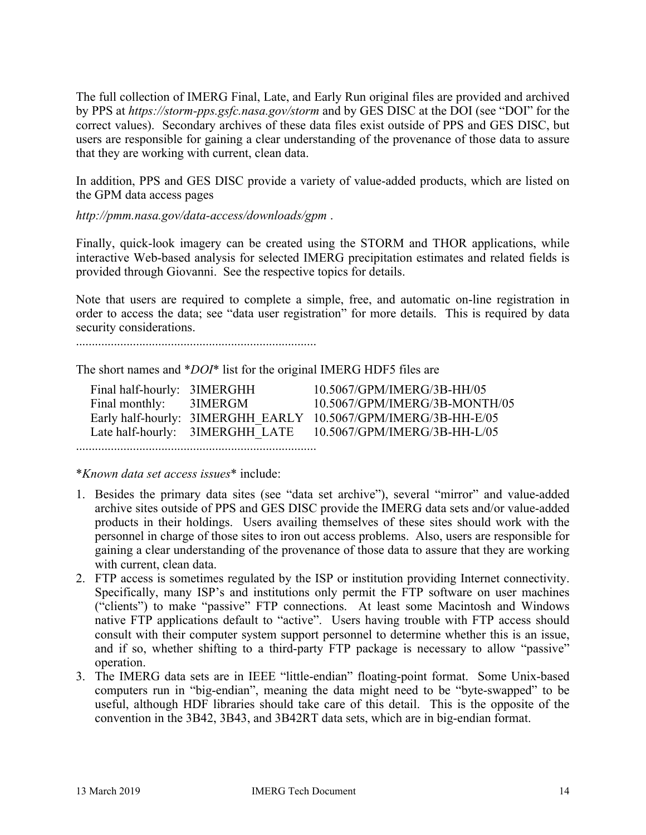The full collection of IMERG Final, Late, and Early Run original files are provided and archived by PPS at *https://storm-pps.gsfc.nasa.gov/storm* and by GES DISC at the DOI (see "DOI" for the correct values). Secondary archives of these data files exist outside of PPS and GES DISC, but users are responsible for gaining a clear understanding of the provenance of those data to assure that they are working with current, clean data.

In addition, PPS and GES DISC provide a variety of value-added products, which are listed on the GPM data access pages

*http://pmm.nasa.gov/data-access/downloads/gpm* .

Finally, quick-look imagery can be created using the STORM and THOR applications, while interactive Web-based analysis for selected IMERG precipitation estimates and related fields is provided through Giovanni. See the respective topics for details.

Note that users are required to complete a simple, free, and automatic on-line registration in order to access the data; see "data user registration" for more details. This is required by data security considerations.

............................................................................

The short names and \**DOI*\* list for the original IMERG HDF5 files are

| Final half-hourly: 3IMERGHH |                                 | 10.5067/GPM/IMERG/3B-HH/05                                     |
|-----------------------------|---------------------------------|----------------------------------------------------------------|
| Final monthly:              | 3IMERGM                         | 10.5067/GPM/IMERG/3B-MONTH/05                                  |
|                             |                                 | Early half-hourly: 3IMERGHH EARLY 10.5067/GPM/IMERG/3B-HH-E/05 |
|                             | Late half-hourly: 3IMERGHH LATE | 10.5067/GPM/IMERG/3B-HH-L/05                                   |
|                             |                                 |                                                                |

............................................................................

\**Known data set access issues*\* include:

- 1. Besides the primary data sites (see "data set archive"), several "mirror" and value-added archive sites outside of PPS and GES DISC provide the IMERG data sets and/or value-added products in their holdings. Users availing themselves of these sites should work with the personnel in charge of those sites to iron out access problems. Also, users are responsible for gaining a clear understanding of the provenance of those data to assure that they are working with current, clean data.
- 2. FTP access is sometimes regulated by the ISP or institution providing Internet connectivity. Specifically, many ISP's and institutions only permit the FTP software on user machines ("clients") to make "passive" FTP connections. At least some Macintosh and Windows native FTP applications default to "active". Users having trouble with FTP access should consult with their computer system support personnel to determine whether this is an issue, and if so, whether shifting to a third-party FTP package is necessary to allow "passive" operation.
- 3. The IMERG data sets are in IEEE "little-endian" floating-point format. Some Unix-based computers run in "big-endian", meaning the data might need to be "byte-swapped" to be useful, although HDF libraries should take care of this detail. This is the opposite of the convention in the 3B42, 3B43, and 3B42RT data sets, which are in big-endian format.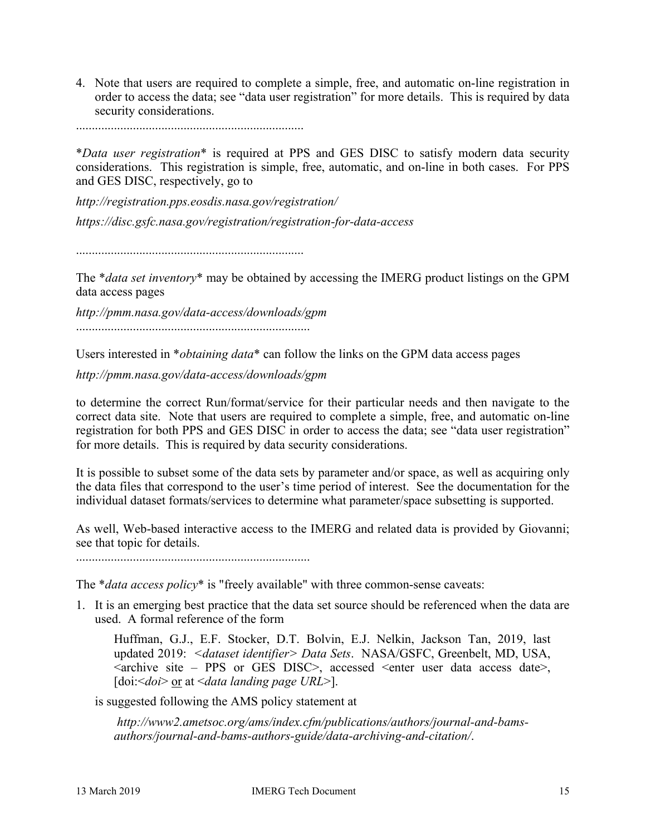4. Note that users are required to complete a simple, free, and automatic on-line registration in order to access the data; see "data user registration" for more details. This is required by data security considerations.

........................................................................

\**Data user registration*\* is required at PPS and GES DISC to satisfy modern data security considerations. This registration is simple, free, automatic, and on-line in both cases. For PPS and GES DISC, respectively, go to

*http://registration.pps.eosdis.nasa.gov/registration/ https://disc.gsfc.nasa.gov/registration/registration-for-data-access*

........................................................................

The \**data set inventory*\* may be obtained by accessing the IMERG product listings on the GPM data access pages

*http://pmm.nasa.gov/data-access/downloads/gpm* ..........................................................................

Users interested in \**obtaining data*\* can follow the links on the GPM data access pages

*http://pmm.nasa.gov/data-access/downloads/gpm*

to determine the correct Run/format/service for their particular needs and then navigate to the correct data site. Note that users are required to complete a simple, free, and automatic on-line registration for both PPS and GES DISC in order to access the data; see "data user registration" for more details. This is required by data security considerations.

It is possible to subset some of the data sets by parameter and/or space, as well as acquiring only the data files that correspond to the user's time period of interest. See the documentation for the individual dataset formats/services to determine what parameter/space subsetting is supported.

As well, Web-based interactive access to the IMERG and related data is provided by Giovanni; see that topic for details.

..........................................................................

The \**data access policy*\* is "freely available" with three common-sense caveats:

1. It is an emerging best practice that the data set source should be referenced when the data are used. A formal reference of the form

Huffman, G.J., E.F. Stocker, D.T. Bolvin, E.J. Nelkin, Jackson Tan, 2019, last updated 2019: *<dataset identifier> Data Sets*. NASA/GSFC, Greenbelt, MD, USA, <archive site – PPS or GES DISC>, accessed <enter user data access date>, [doi:<*doi>* <u>or</u> at <*data landing page URL>*].

is suggested following the AMS policy statement at

*http://www2.ametsoc.org/ams/index.cfm/publications/authors/journal-and-bamsauthors/journal-and-bams-authors-guide/data-archiving-and-citation/*.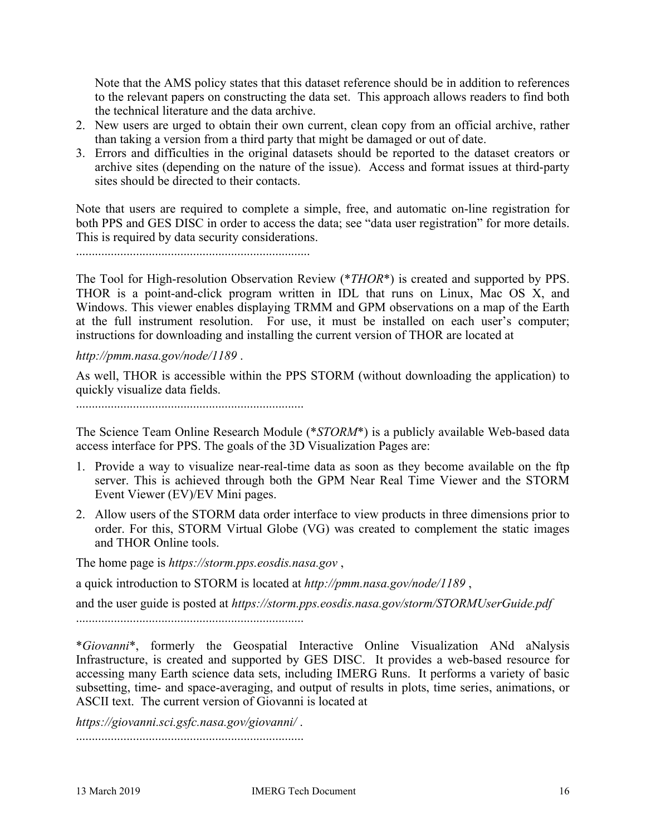Note that the AMS policy states that this dataset reference should be in addition to references to the relevant papers on constructing the data set. This approach allows readers to find both the technical literature and the data archive.

- 2. New users are urged to obtain their own current, clean copy from an official archive, rather than taking a version from a third party that might be damaged or out of date.
- 3. Errors and difficulties in the original datasets should be reported to the dataset creators or archive sites (depending on the nature of the issue). Access and format issues at third-party sites should be directed to their contacts.

Note that users are required to complete a simple, free, and automatic on-line registration for both PPS and GES DISC in order to access the data; see "data user registration" for more details. This is required by data security considerations.

..........................................................................

The Tool for High-resolution Observation Review (\**THOR*\*) is created and supported by PPS. THOR is a point-and-click program written in IDL that runs on Linux, Mac OS X, and Windows. This viewer enables displaying TRMM and GPM observations on a map of the Earth at the full instrument resolution. For use, it must be installed on each user's computer; instructions for downloading and installing the current version of THOR are located at

*http://pmm.nasa.gov/node/1189* .

As well, THOR is accessible within the PPS STORM (without downloading the application) to quickly visualize data fields.

........................................................................

The Science Team Online Research Module (\**STORM*\*) is a publicly available Web-based data access interface for PPS. The goals of the 3D Visualization Pages are:

- 1. Provide a way to visualize near-real-time data as soon as they become available on the ftp server. This is achieved through both the GPM Near Real Time Viewer and the STORM Event Viewer (EV)/EV Mini pages.
- 2. Allow users of the STORM data order interface to view products in three dimensions prior to order. For this, STORM Virtual Globe (VG) was created to complement the static images and THOR Online tools.

The home page is *https://storm.pps.eosdis.nasa.gov* ,

a quick introduction to STORM is located at *http://pmm.nasa.gov/node/1189* ,

and the user guide is posted at *https://storm.pps.eosdis.nasa.gov/storm/STORMUserGuide.pdf* ........................................................................

\**Giovanni*\*, formerly the Geospatial Interactive Online Visualization ANd aNalysis Infrastructure, is created and supported by GES DISC. It provides a web-based resource for accessing many Earth science data sets, including IMERG Runs. It performs a variety of basic subsetting, time- and space-averaging, and output of results in plots, time series, animations, or ASCII text. The current version of Giovanni is located at

*https://giovanni.sci.gsfc.nasa.gov/giovanni/* . ........................................................................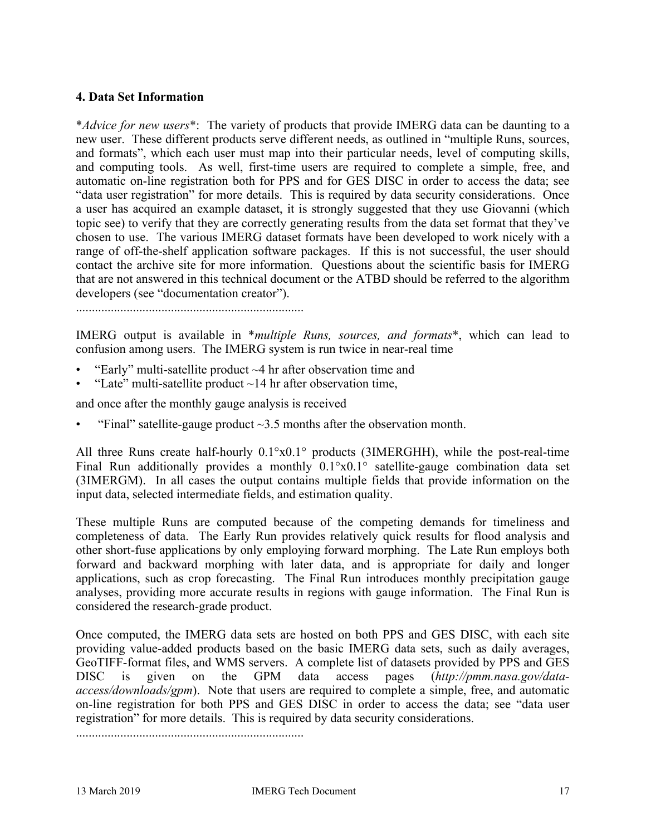### **4. Data Set Information**

\**Advice for new users*\*: The variety of products that provide IMERG data can be daunting to a new user. These different products serve different needs, as outlined in "multiple Runs, sources, and formats", which each user must map into their particular needs, level of computing skills, and computing tools. As well, first-time users are required to complete a simple, free, and automatic on-line registration both for PPS and for GES DISC in order to access the data; see "data user registration" for more details. This is required by data security considerations. Once a user has acquired an example dataset, it is strongly suggested that they use Giovanni (which topic see) to verify that they are correctly generating results from the data set format that they've chosen to use. The various IMERG dataset formats have been developed to work nicely with a range of off-the-shelf application software packages. If this is not successful, the user should contact the archive site for more information. Questions about the scientific basis for IMERG that are not answered in this technical document or the ATBD should be referred to the algorithm developers (see "documentation creator").

........................................................................

IMERG output is available in \**multiple Runs, sources, and formats*\*, which can lead to confusion among users. The IMERG system is run twice in near-real time

- "Early" multi-satellite product  $\sim$ 4 hr after observation time and
- "Late" multi-satellite product  $\sim$  14 hr after observation time,

and once after the monthly gauge analysis is received

"Final" satellite-gauge product  $\sim$ 3.5 months after the observation month.

All three Runs create half-hourly 0.1°x0.1° products (3IMERGHH), while the post-real-time Final Run additionally provides a monthly 0.1°x0.1° satellite-gauge combination data set (3IMERGM). In all cases the output contains multiple fields that provide information on the input data, selected intermediate fields, and estimation quality.

These multiple Runs are computed because of the competing demands for timeliness and completeness of data. The Early Run provides relatively quick results for flood analysis and other short-fuse applications by only employing forward morphing. The Late Run employs both forward and backward morphing with later data, and is appropriate for daily and longer applications, such as crop forecasting. The Final Run introduces monthly precipitation gauge analyses, providing more accurate results in regions with gauge information. The Final Run is considered the research-grade product.

Once computed, the IMERG data sets are hosted on both PPS and GES DISC, with each site providing value-added products based on the basic IMERG data sets, such as daily averages, GeoTIFF-format files, and WMS servers. A complete list of datasets provided by PPS and GES DISC is given on the GPM data access pages (*http://pmm.nasa.gov/dataaccess/downloads/gpm*). Note that users are required to complete a simple, free, and automatic on-line registration for both PPS and GES DISC in order to access the data; see "data user registration" for more details. This is required by data security considerations.

........................................................................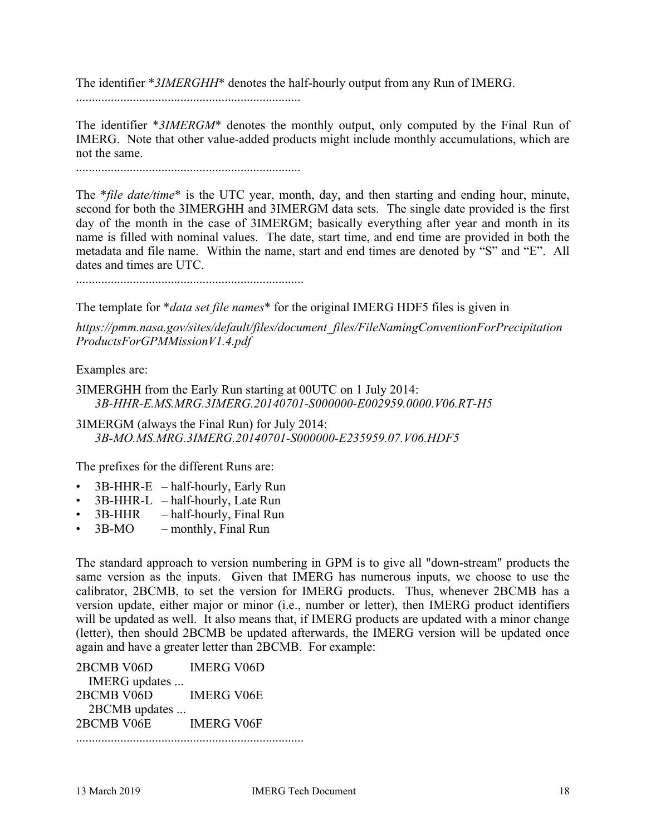The identifier \**3IMERGHH*\* denotes the half-hourly output from any Run of IMERG.

.......................................................................

The identifier \**3IMERGM*\* denotes the monthly output, only computed by the Final Run of IMERG. Note that other value-added products might include monthly accumulations, which are not the same.

.......................................................................

The \**file date/time*\* is the UTC year, month, day, and then starting and ending hour, minute, second for both the 3IMERGHH and 3IMERGM data sets. The single date provided is the first day of the month in the case of 3IMERGM; basically everything after year and month in its name is filled with nominal values. The date, start time, and end time are provided in both the metadata and file name. Within the name, start and end times are denoted by "S" and "E". All dates and times are UTC.

........................................................................

The template for \**data set file names*\* for the original IMERG HDF5 files is given in

*https://pmm.nasa.gov/sites/default/files/document\_files/FileNamingConventionForPrecipitation ProductsForGPMMissionV1.4.pdf*

Examples are:

3IMERGHH from the Early Run starting at 00UTC on 1 July 2014: *3B-HHR-E.MS.MRG.3IMERG.20140701-S000000-E002959.0000.V06.RT-H5*

3IMERGM (always the Final Run) for July 2014: *3B-MO.MS.MRG.3IMERG.20140701-S000000-E235959.07.V06.HDF5*

The prefixes for the different Runs are:

- $3B$ -HHR-E half-hourly, Early Run
- 3B-HHR-L half-hourly, Late Run
- 3B-HHR half-hourly, Final Run
- $3B-MO$  monthly, Final Run

The standard approach to version numbering in GPM is to give all "down-stream" products the same version as the inputs. Given that IMERG has numerous inputs, we choose to use the calibrator, 2BCMB, to set the version for IMERG products. Thus, whenever 2BCMB has a version update, either major or minor (i.e., number or letter), then IMERG product identifiers will be updated as well. It also means that, if IMERG products are updated with a minor change (letter), then should 2BCMB be updated afterwards, the IMERG version will be updated once again and have a greater letter than 2BCMB. For example:

| 2BCMB V06D    | <b>IMERG V06D</b> |
|---------------|-------------------|
| IMERG updates |                   |
| 2BCMB V06D    | <b>IMERG V06E</b> |
| 2BCMB updates |                   |
| 2BCMB V06E    | <b>IMERG V06F</b> |
|               |                   |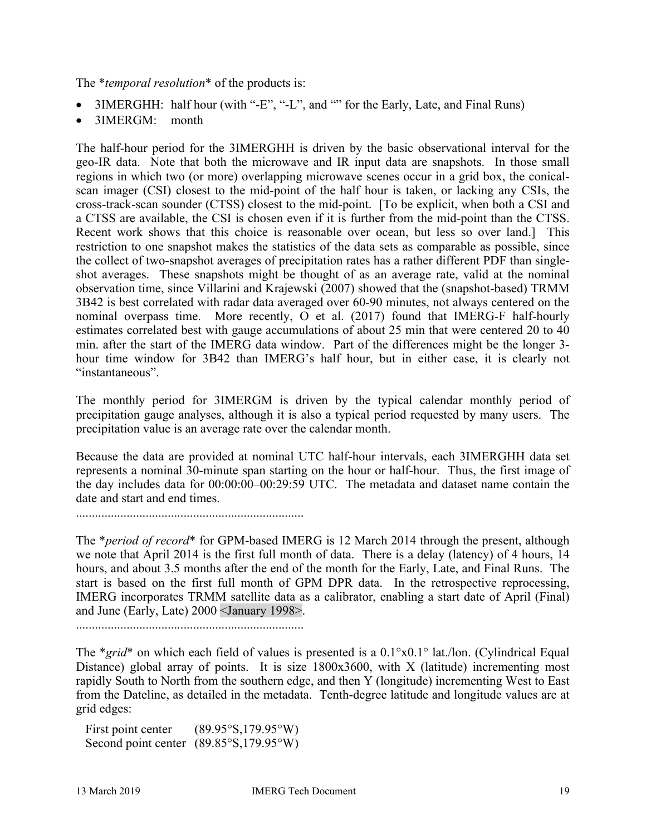The \**temporal resolution*\* of the products is:

- 3IMERGHH: half hour (with "-E", "-L", and "" for the Early, Late, and Final Runs)
- 3IMERGM: month

The half-hour period for the 3IMERGHH is driven by the basic observational interval for the geo-IR data. Note that both the microwave and IR input data are snapshots. In those small regions in which two (or more) overlapping microwave scenes occur in a grid box, the conicalscan imager (CSI) closest to the mid-point of the half hour is taken, or lacking any CSIs, the cross-track-scan sounder (CTSS) closest to the mid-point. [To be explicit, when both a CSI and a CTSS are available, the CSI is chosen even if it is further from the mid-point than the CTSS. Recent work shows that this choice is reasonable over ocean, but less so over land.] This restriction to one snapshot makes the statistics of the data sets as comparable as possible, since the collect of two-snapshot averages of precipitation rates has a rather different PDF than singleshot averages. These snapshots might be thought of as an average rate, valid at the nominal observation time, since Villarini and Krajewski (2007) showed that the (snapshot-based) TRMM 3B42 is best correlated with radar data averaged over 60-90 minutes, not always centered on the nominal overpass time. More recently, O et al. (2017) found that IMERG-F half-hourly estimates correlated best with gauge accumulations of about 25 min that were centered 20 to 40 min. after the start of the IMERG data window. Part of the differences might be the longer 3 hour time window for 3B42 than IMERG's half hour, but in either case, it is clearly not "instantaneous".

The monthly period for 3IMERGM is driven by the typical calendar monthly period of precipitation gauge analyses, although it is also a typical period requested by many users. The precipitation value is an average rate over the calendar month.

Because the data are provided at nominal UTC half-hour intervals, each 3IMERGHH data set represents a nominal 30-minute span starting on the hour or half-hour. Thus, the first image of the day includes data for 00:00:00–00:29:59 UTC. The metadata and dataset name contain the date and start and end times.

........................................................................

The \**period of record*\* for GPM-based IMERG is 12 March 2014 through the present, although we note that April 2014 is the first full month of data. There is a delay (latency) of 4 hours, 14 hours, and about 3.5 months after the end of the month for the Early, Late, and Final Runs. The start is based on the first full month of GPM DPR data. In the retrospective reprocessing, IMERG incorporates TRMM satellite data as a calibrator, enabling a start date of April (Final) and June (Early, Late) 2000 <January 1998>.

........................................................................

The \**grid*\* on which each field of values is presented is a  $0.1^{\circ}x0.1^{\circ}$  lat./lon. (Cylindrical Equal Distance) global array of points. It is size 1800x3600, with X (latitude) incrementing most rapidly South to North from the southern edge, and then Y (longitude) incrementing West to East from the Dateline, as detailed in the metadata. Tenth-degree latitude and longitude values are at grid edges:

First point center  $(89.95°S, 179.95°W)$ Second point center (89.85°S,179.95°W)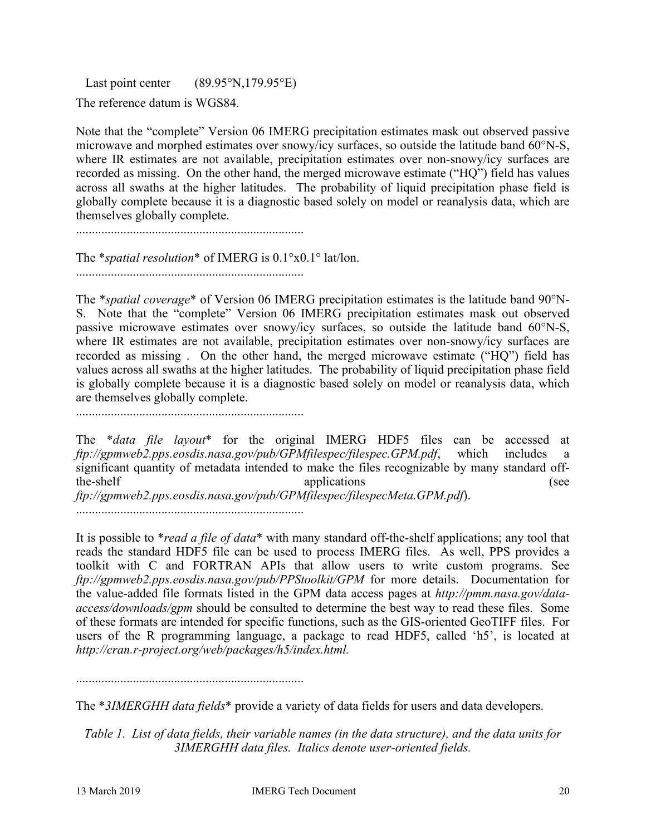Last point center  $(89.95\textdegree N, 179.95\textdegree E)$ 

The reference datum is WGS84.

Note that the "complete" Version 06 IMERG precipitation estimates mask out observed passive microwave and morphed estimates over snowy/icy surfaces, so outside the latitude band 60°N-S, where IR estimates are not available, precipitation estimates over non-snowy/icy surfaces are recorded as missing. On the other hand, the merged microwave estimate ("HQ") field has values across all swaths at the higher latitudes. The probability of liquid precipitation phase field is globally complete because it is a diagnostic based solely on model or reanalysis data, which are themselves globally complete.

........................................................................

The \**spatial resolution*\* of IMERG is 0.1°x0.1° lat/lon. ........................................................................

The \**spatial coverage*\* of Version 06 IMERG precipitation estimates is the latitude band 90°N-S. Note that the "complete" Version 06 IMERG precipitation estimates mask out observed passive microwave estimates over snowy/icy surfaces, so outside the latitude band 60°N-S, where IR estimates are not available, precipitation estimates over non-snowy/icy surfaces are recorded as missing . On the other hand, the merged microwave estimate ("HQ") field has values across all swaths at the higher latitudes. The probability of liquid precipitation phase field is globally complete because it is a diagnostic based solely on model or reanalysis data, which are themselves globally complete.

........................................................................

The \**data file layout*\* for the original IMERG HDF5 files can be accessed at *ftp://gpmweb2.pps.eosdis.nasa.gov/pub/GPMfilespec/filespec.GPM.pdf*, which includes a significant quantity of metadata intended to make the files recognizable by many standard offthe-shelf applications (see *ftp://gpmweb2.pps.eosdis.nasa.gov/pub/GPMfilespec/filespecMeta.GPM.pdf*). ........................................................................

It is possible to \**read a file of data*\* with many standard off-the-shelf applications; any tool that reads the standard HDF5 file can be used to process IMERG files. As well, PPS provides a toolkit with C and FORTRAN APIs that allow users to write custom programs. See *ftp://gpmweb2.pps.eosdis.nasa.gov/pub/PPStoolkit/GPM* for more details. Documentation for the value-added file formats listed in the GPM data access pages at *http://pmm.nasa.gov/dataaccess/downloads/gpm* should be consulted to determine the best way to read these files. Some of these formats are intended for specific functions, such as the GIS-oriented GeoTIFF files. For users of the R programming language, a package to read HDF5, called 'h5', is located at *http://cran.r-project.org/web/packages/h5/index.html.*

........................................................................

The \**3IMERGHH data fields*\* provide a variety of data fields for users and data developers.

*Table 1. List of data fields, their variable names (in the data structure), and the data units for 3IMERGHH data files. Italics denote user-oriented fields.*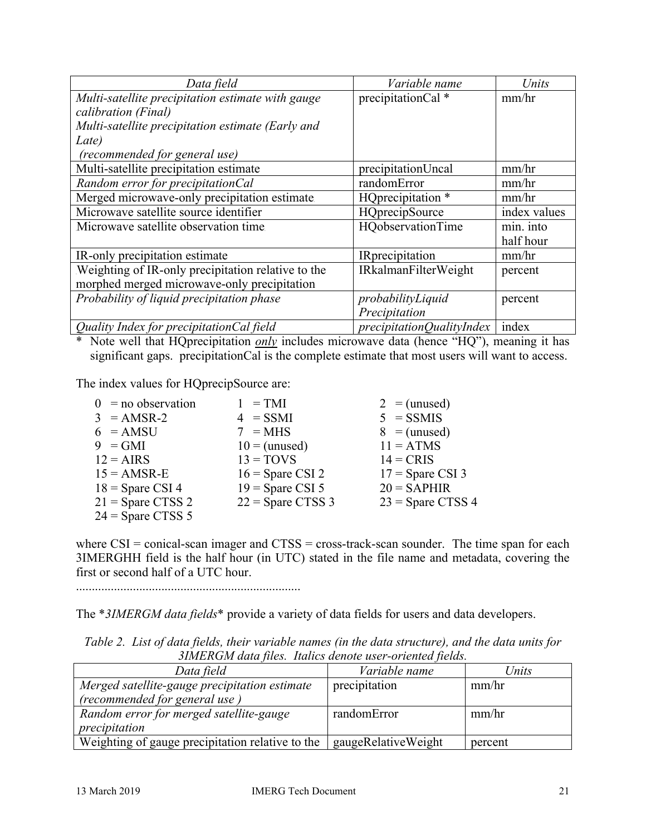| Data field                                         | Variable name               | Units        |
|----------------------------------------------------|-----------------------------|--------------|
| Multi-satellite precipitation estimate with gauge  | precipitationCal *          | mm/hr        |
| calibration (Final)                                |                             |              |
| Multi-satellite precipitation estimate (Early and  |                             |              |
| Late)                                              |                             |              |
| (recommended for general use)                      |                             |              |
| Multi-satellite precipitation estimate             | precipitationUncal          | mm/hr        |
| Random error for precipitationCal                  | randomError                 | mm/hr        |
| Merged microwave-only precipitation estimate       | HQprecipitation *           | mm/hr        |
| Microwave satellite source identifier              | HQprecipSource              | index values |
| Microwave satellite observation time               | HQobservationTime           | min. into    |
|                                                    |                             | half hour    |
| IR-only precipitation estimate                     | IRprecipitation             | mm/hr        |
| Weighting of IR-only precipitation relative to the | <b>IRkalmanFilterWeight</b> | percent      |
| morphed merged microwave-only precipitation        |                             |              |
| Probability of liquid precipitation phase          | probabilityLiquid           | percent      |
|                                                    | Precipitation               |              |
| Quality Index for precipitationCal field           | precipitationQualityIndex   | index        |

\* Note well that HQprecipitation *only* includes microwave data (hence "HQ"), meaning it has significant gaps. precipitationCal is the complete estimate that most users will want to access.

The index values for HQprecipSource are:

| $0 =$ no observation | $1 = TMI$           | $2 =$ (unused)      |
|----------------------|---------------------|---------------------|
| $3 = AMSR-2$         | $4 = SSMI$          | $5 = SSMIS$         |
| $6 = AMSU$           | $7 = MHz$           | $8 =$ (unused)      |
| $9 = GMI$            | $10 =$ (unused)     | $11 = ATMS$         |
| $12 = AIRS$          | $13 = TOVS$         | $14 = CRIS$         |
| $15 = AMSR-E$        | $16 =$ Spare CSI 2  | $17 =$ Spare CSI 3  |
| $18 =$ Spare CSI 4   | $19 =$ Spare CSI 5  | $20 =$ SAPHIR       |
| $21 =$ Spare CTSS 2  | $22 =$ Spare CTSS 3 | $23$ = Spare CTSS 4 |
| $24 =$ Spare CTSS 5  |                     |                     |

where CSI = conical-scan imager and CTSS = cross-track-scan sounder. The time span for each 3IMERGHH field is the half hour (in UTC) stated in the file name and metadata, covering the first or second half of a UTC hour.

.......................................................................

The \**3IMERGM data fields*\* provide a variety of data fields for users and data developers.

| 3IMERGM data files. Italics denote user-oriented fields. |                     |         |  |
|----------------------------------------------------------|---------------------|---------|--|
| Data field                                               | Variable name       | Units   |  |
| Merged satellite-gauge precipitation estimate            | precipitation       | mm/hr   |  |
| (recommended for general use)                            |                     |         |  |
| Random error for merged satellite-gauge                  | randomError         | mm/hr   |  |
| precipitation                                            |                     |         |  |
| Weighting of gauge precipitation relative to the         | gaugeRelativeWeight | percent |  |

*Table 2. List of data fields, their variable names (in the data structure), and the data units for 3IMERGM data files. Italics denote user-oriented fields.*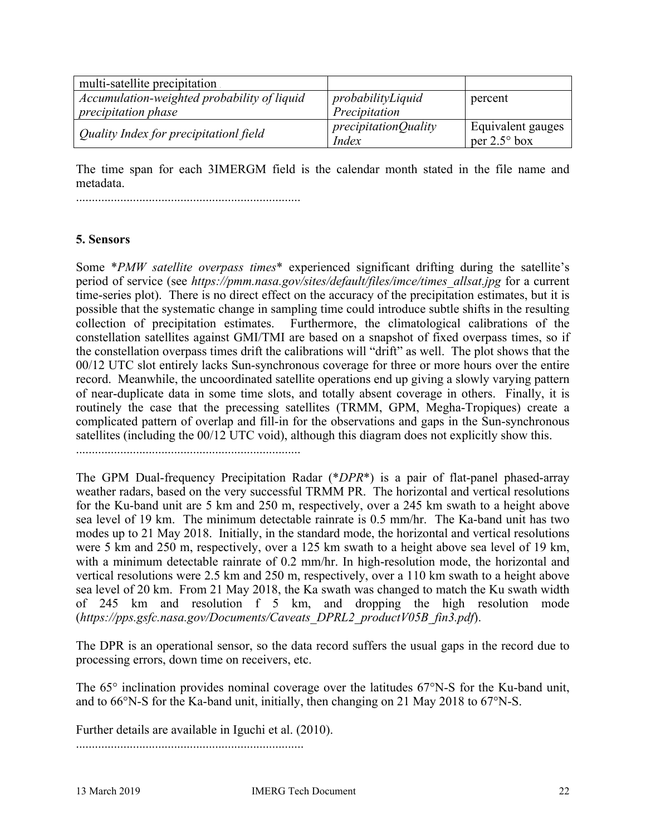| multi-satellite precipitation                                             |                                             |                                            |
|---------------------------------------------------------------------------|---------------------------------------------|--------------------------------------------|
| Accumulation-weighted probability of liquid<br><i>precipitation phase</i> | probabilityLiquid<br>Precipitation          | percent                                    |
| Quality Index for precipitationl field                                    | <i>precipitationQuality</i><br><i>Index</i> | Equivalent gauges<br>per $2.5^{\circ}$ box |

The time span for each 3IMERGM field is the calendar month stated in the file name and metadata.

.......................................................................

## **5. Sensors**

Some \**PMW satellite overpass times*\* experienced significant drifting during the satellite's period of service (see *https://pmm.nasa.gov/sites/default/files/imce/times\_allsat.jpg* for a current time-series plot). There is no direct effect on the accuracy of the precipitation estimates, but it is possible that the systematic change in sampling time could introduce subtle shifts in the resulting collection of precipitation estimates. Furthermore, the climatological calibrations of the constellation satellites against GMI/TMI are based on a snapshot of fixed overpass times, so if the constellation overpass times drift the calibrations will "drift" as well. The plot shows that the 00/12 UTC slot entirely lacks Sun-synchronous coverage for three or more hours over the entire record. Meanwhile, the uncoordinated satellite operations end up giving a slowly varying pattern of near-duplicate data in some time slots, and totally absent coverage in others. Finally, it is routinely the case that the precessing satellites (TRMM, GPM, Megha-Tropiques) create a complicated pattern of overlap and fill-in for the observations and gaps in the Sun-synchronous satellites (including the 00/12 UTC void), although this diagram does not explicitly show this.

.......................................................................

The GPM Dual-frequency Precipitation Radar (\**DPR*\*) is a pair of flat-panel phased-array weather radars, based on the very successful TRMM PR. The horizontal and vertical resolutions for the Ku-band unit are 5 km and 250 m, respectively, over a 245 km swath to a height above sea level of 19 km. The minimum detectable rainrate is 0.5 mm/hr. The Ka-band unit has two modes up to 21 May 2018. Initially, in the standard mode, the horizontal and vertical resolutions were 5 km and 250 m, respectively, over a 125 km swath to a height above sea level of 19 km, with a minimum detectable rainrate of 0.2 mm/hr. In high-resolution mode, the horizontal and vertical resolutions were 2.5 km and 250 m, respectively, over a 110 km swath to a height above sea level of 20 km. From 21 May 2018, the Ka swath was changed to match the Ku swath width of 245 km and resolution f 5 km, and dropping the high resolution mode (*https://pps.gsfc.nasa.gov/Documents/Caveats\_DPRL2\_productV05B\_fin3.pdf*).

The DPR is an operational sensor, so the data record suffers the usual gaps in the record due to processing errors, down time on receivers, etc.

The 65° inclination provides nominal coverage over the latitudes 67°N-S for the Ku-band unit, and to 66°N-S for the Ka-band unit, initially, then changing on 21 May 2018 to 67°N-S.

Further details are available in Iguchi et al. (2010).

........................................................................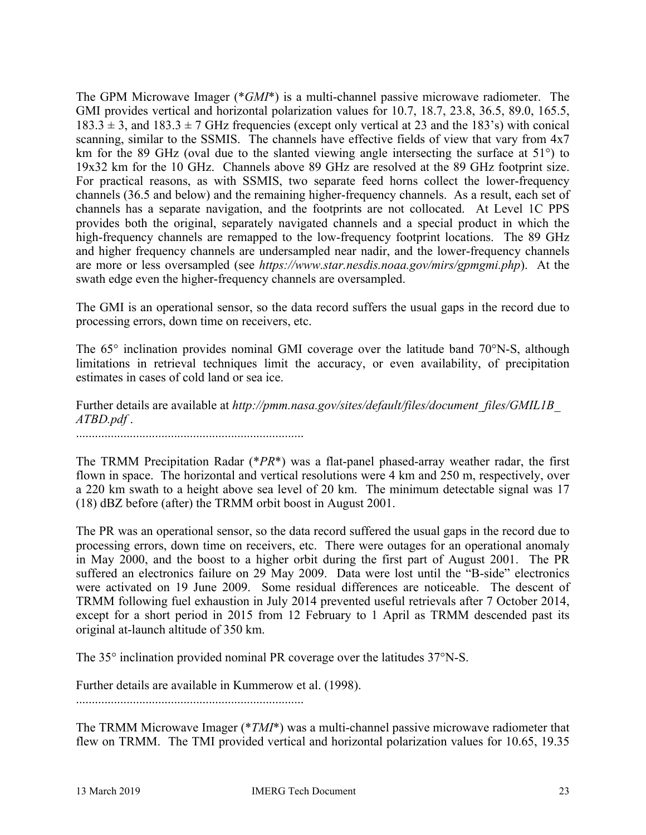The GPM Microwave Imager (\**GMI*\*) is a multi-channel passive microwave radiometer. The GMI provides vertical and horizontal polarization values for 10.7, 18.7, 23.8, 36.5, 89.0, 165.5,  $183.3 \pm 3$ , and  $183.3 \pm 7$  GHz frequencies (except only vertical at 23 and the 183's) with conical scanning, similar to the SSMIS. The channels have effective fields of view that vary from 4x7 km for the 89 GHz (oval due to the slanted viewing angle intersecting the surface at 51°) to 19x32 km for the 10 GHz. Channels above 89 GHz are resolved at the 89 GHz footprint size. For practical reasons, as with SSMIS, two separate feed horns collect the lower-frequency channels (36.5 and below) and the remaining higher-frequency channels. As a result, each set of channels has a separate navigation, and the footprints are not collocated. At Level 1C PPS provides both the original, separately navigated channels and a special product in which the high-frequency channels are remapped to the low-frequency footprint locations. The 89 GHz and higher frequency channels are undersampled near nadir, and the lower-frequency channels are more or less oversampled (see *https://www.star.nesdis.noaa.gov/mirs/gpmgmi.php*). At the swath edge even the higher-frequency channels are oversampled.

The GMI is an operational sensor, so the data record suffers the usual gaps in the record due to processing errors, down time on receivers, etc.

The 65° inclination provides nominal GMI coverage over the latitude band 70°N-S, although limitations in retrieval techniques limit the accuracy, or even availability, of precipitation estimates in cases of cold land or sea ice.

Further details are available at *http://pmm.nasa.gov/sites/default/files/document\_files/GMIL1B\_ ATBD.pdf* .

........................................................................

The TRMM Precipitation Radar (\**PR*\*) was a flat-panel phased-array weather radar, the first flown in space. The horizontal and vertical resolutions were 4 km and 250 m, respectively, over a 220 km swath to a height above sea level of 20 km. The minimum detectable signal was 17 (18) dBZ before (after) the TRMM orbit boost in August 2001.

The PR was an operational sensor, so the data record suffered the usual gaps in the record due to processing errors, down time on receivers, etc. There were outages for an operational anomaly in May 2000, and the boost to a higher orbit during the first part of August 2001. The PR suffered an electronics failure on 29 May 2009. Data were lost until the "B-side" electronics were activated on 19 June 2009. Some residual differences are noticeable. The descent of TRMM following fuel exhaustion in July 2014 prevented useful retrievals after 7 October 2014, except for a short period in 2015 from 12 February to 1 April as TRMM descended past its original at-launch altitude of 350 km.

The 35° inclination provided nominal PR coverage over the latitudes 37°N-S.

Further details are available in Kummerow et al. (1998).

........................................................................

The TRMM Microwave Imager (\**TMI*\*) was a multi-channel passive microwave radiometer that flew on TRMM. The TMI provided vertical and horizontal polarization values for 10.65, 19.35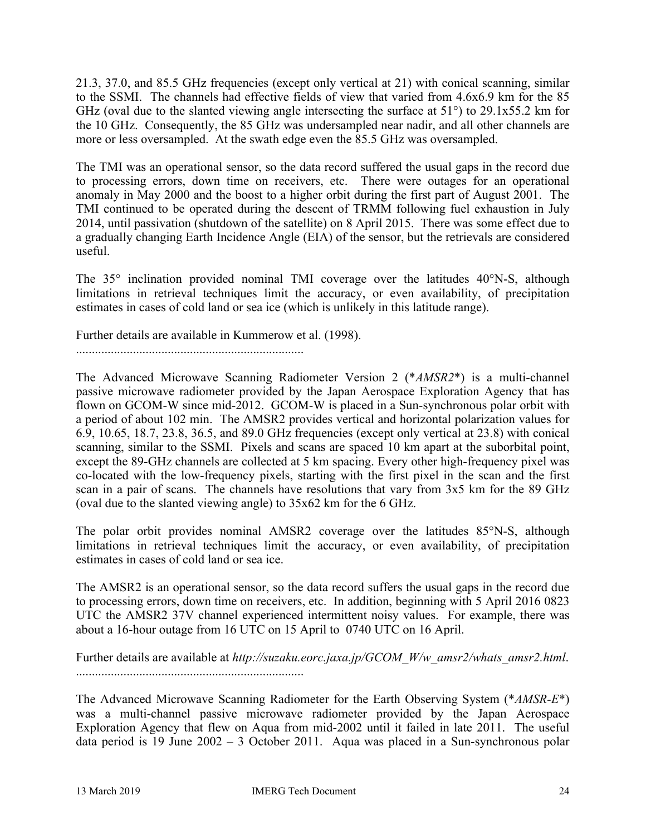21.3, 37.0, and 85.5 GHz frequencies (except only vertical at 21) with conical scanning, similar to the SSMI. The channels had effective fields of view that varied from 4.6x6.9 km for the 85 GHz (oval due to the slanted viewing angle intersecting the surface at 51°) to 29.1x55.2 km for the 10 GHz. Consequently, the 85 GHz was undersampled near nadir, and all other channels are more or less oversampled. At the swath edge even the 85.5 GHz was oversampled.

The TMI was an operational sensor, so the data record suffered the usual gaps in the record due to processing errors, down time on receivers, etc. There were outages for an operational anomaly in May 2000 and the boost to a higher orbit during the first part of August 2001. The TMI continued to be operated during the descent of TRMM following fuel exhaustion in July 2014, until passivation (shutdown of the satellite) on 8 April 2015. There was some effect due to a gradually changing Earth Incidence Angle (EIA) of the sensor, but the retrievals are considered useful.

The  $35^\circ$  inclination provided nominal TMI coverage over the latitudes  $40^\circ$ N-S, although limitations in retrieval techniques limit the accuracy, or even availability, of precipitation estimates in cases of cold land or sea ice (which is unlikely in this latitude range).

Further details are available in Kummerow et al. (1998).

........................................................................

The Advanced Microwave Scanning Radiometer Version 2 (\**AMSR2*\*) is a multi-channel passive microwave radiometer provided by the Japan Aerospace Exploration Agency that has flown on GCOM-W since mid-2012. GCOM-W is placed in a Sun-synchronous polar orbit with a period of about 102 min. The AMSR2 provides vertical and horizontal polarization values for 6.9, 10.65, 18.7, 23.8, 36.5, and 89.0 GHz frequencies (except only vertical at 23.8) with conical scanning, similar to the SSMI. Pixels and scans are spaced 10 km apart at the suborbital point, except the 89-GHz channels are collected at 5 km spacing. Every other high-frequency pixel was co-located with the low-frequency pixels, starting with the first pixel in the scan and the first scan in a pair of scans. The channels have resolutions that vary from 3x5 km for the 89 GHz (oval due to the slanted viewing angle) to 35x62 km for the 6 GHz.

The polar orbit provides nominal AMSR2 coverage over the latitudes 85°N-S, although limitations in retrieval techniques limit the accuracy, or even availability, of precipitation estimates in cases of cold land or sea ice.

The AMSR2 is an operational sensor, so the data record suffers the usual gaps in the record due to processing errors, down time on receivers, etc. In addition, beginning with 5 April 2016 0823 UTC the AMSR2 37V channel experienced intermittent noisy values. For example, there was about a 16-hour outage from 16 UTC on 15 April to 0740 UTC on 16 April.

Further details are available at *http://suzaku.eorc.jaxa.jp/GCOM\_W/w\_amsr2/whats\_amsr2.html*. ........................................................................

The Advanced Microwave Scanning Radiometer for the Earth Observing System (\**AMSR-E*\*) was a multi-channel passive microwave radiometer provided by the Japan Aerospace Exploration Agency that flew on Aqua from mid-2002 until it failed in late 2011. The useful data period is 19 June 2002 – 3 October 2011. Aqua was placed in a Sun-synchronous polar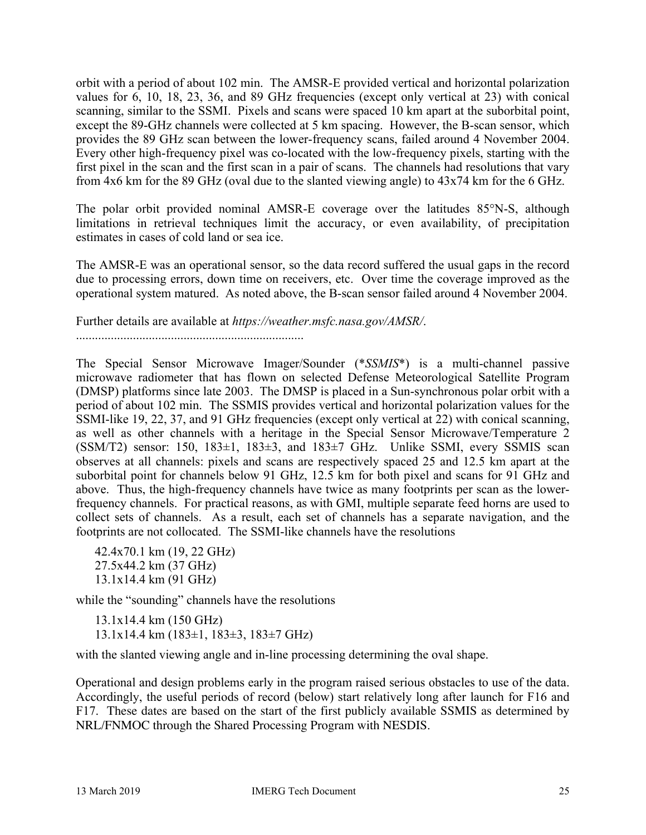orbit with a period of about 102 min. The AMSR-E provided vertical and horizontal polarization values for 6, 10, 18, 23, 36, and 89 GHz frequencies (except only vertical at 23) with conical scanning, similar to the SSMI. Pixels and scans were spaced 10 km apart at the suborbital point, except the 89-GHz channels were collected at 5 km spacing. However, the B-scan sensor, which provides the 89 GHz scan between the lower-frequency scans, failed around 4 November 2004. Every other high-frequency pixel was co-located with the low-frequency pixels, starting with the first pixel in the scan and the first scan in a pair of scans. The channels had resolutions that vary from 4x6 km for the 89 GHz (oval due to the slanted viewing angle) to 43x74 km for the 6 GHz.

The polar orbit provided nominal AMSR-E coverage over the latitudes 85°N-S, although limitations in retrieval techniques limit the accuracy, or even availability, of precipitation estimates in cases of cold land or sea ice.

The AMSR-E was an operational sensor, so the data record suffered the usual gaps in the record due to processing errors, down time on receivers, etc. Over time the coverage improved as the operational system matured. As noted above, the B-scan sensor failed around 4 November 2004.

Further details are available at *https://weather.msfc.nasa.gov/AMSR/*.

........................................................................

The Special Sensor Microwave Imager/Sounder (\**SSMIS*\*) is a multi-channel passive microwave radiometer that has flown on selected Defense Meteorological Satellite Program (DMSP) platforms since late 2003. The DMSP is placed in a Sun-synchronous polar orbit with a period of about 102 min. The SSMIS provides vertical and horizontal polarization values for the SSMI-like 19, 22, 37, and 91 GHz frequencies (except only vertical at 22) with conical scanning, as well as other channels with a heritage in the Special Sensor Microwave/Temperature 2  $(SSM/T2)$  sensor: 150, 183 $\pm$ 1, 183 $\pm$ 3, and 183 $\pm$ 7 GHz. Unlike SSMI, every SSMIS scan observes at all channels: pixels and scans are respectively spaced 25 and 12.5 km apart at the suborbital point for channels below 91 GHz, 12.5 km for both pixel and scans for 91 GHz and above. Thus, the high-frequency channels have twice as many footprints per scan as the lowerfrequency channels. For practical reasons, as with GMI, multiple separate feed horns are used to collect sets of channels. As a result, each set of channels has a separate navigation, and the footprints are not collocated. The SSMI-like channels have the resolutions

42.4x70.1 km (19, 22 GHz) 27.5x44.2 km (37 GHz) 13.1x14.4 km (91 GHz)

while the "sounding" channels have the resolutions

13.1x14.4 km (150 GHz) 13.1x14.4 km (183±1, 183±3, 183±7 GHz)

with the slanted viewing angle and in-line processing determining the oval shape.

Operational and design problems early in the program raised serious obstacles to use of the data. Accordingly, the useful periods of record (below) start relatively long after launch for F16 and F17. These dates are based on the start of the first publicly available SSMIS as determined by NRL/FNMOC through the Shared Processing Program with NESDIS.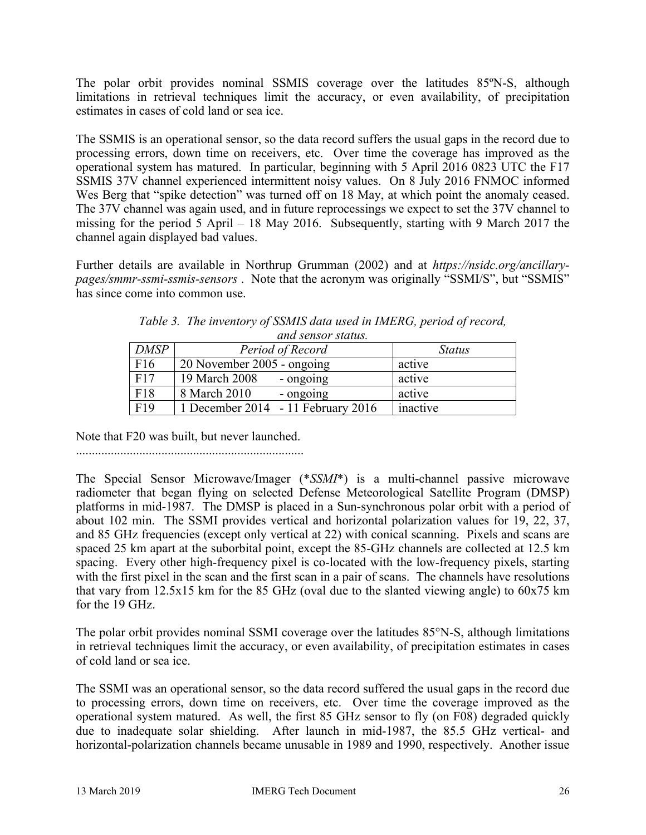The polar orbit provides nominal SSMIS coverage over the latitudes 85ºN-S, although limitations in retrieval techniques limit the accuracy, or even availability, of precipitation estimates in cases of cold land or sea ice.

The SSMIS is an operational sensor, so the data record suffers the usual gaps in the record due to processing errors, down time on receivers, etc. Over time the coverage has improved as the operational system has matured. In particular, beginning with 5 April 2016 0823 UTC the F17 SSMIS 37V channel experienced intermittent noisy values. On 8 July 2016 FNMOC informed Wes Berg that "spike detection" was turned off on 18 May, at which point the anomaly ceased. The 37V channel was again used, and in future reprocessings we expect to set the 37V channel to missing for the period 5 April – 18 May 2016. Subsequently, starting with 9 March 2017 the channel again displayed bad values.

Further details are available in Northrup Grumman (2002) and at *https://nsidc.org/ancillarypages/smmr-ssmi-ssmis-sensors* . Note that the acronym was originally "SSMI/S", but "SSMIS" has since come into common use.

| ana sensor status. |                                    |               |  |
|--------------------|------------------------------------|---------------|--|
| <b>DMSP</b>        | Period of Record                   | <b>Status</b> |  |
| F16                | 20 November 2005 - ongoing         | active        |  |
| F17                | 19 March 2008<br>- ongoing         | active        |  |
| F18                | 8 March 2010<br>- ongoing          | active        |  |
| F19                | 1 December 2014 - 11 February 2016 | inactive      |  |

*Table 3. The inventory of SSMIS data used in IMERG, period of record, and sensor status.*

Note that F20 was built, but never launched.

........................................................................

The Special Sensor Microwave/Imager (\**SSMI*\*) is a multi-channel passive microwave radiometer that began flying on selected Defense Meteorological Satellite Program (DMSP) platforms in mid-1987. The DMSP is placed in a Sun-synchronous polar orbit with a period of about 102 min. The SSMI provides vertical and horizontal polarization values for 19, 22, 37, and 85 GHz frequencies (except only vertical at 22) with conical scanning. Pixels and scans are spaced 25 km apart at the suborbital point, except the 85-GHz channels are collected at 12.5 km spacing. Every other high-frequency pixel is co-located with the low-frequency pixels, starting with the first pixel in the scan and the first scan in a pair of scans. The channels have resolutions that vary from 12.5x15 km for the 85 GHz (oval due to the slanted viewing angle) to 60x75 km for the 19 GHz.

The polar orbit provides nominal SSMI coverage over the latitudes 85°N-S, although limitations in retrieval techniques limit the accuracy, or even availability, of precipitation estimates in cases of cold land or sea ice.

The SSMI was an operational sensor, so the data record suffered the usual gaps in the record due to processing errors, down time on receivers, etc. Over time the coverage improved as the operational system matured. As well, the first 85 GHz sensor to fly (on F08) degraded quickly due to inadequate solar shielding. After launch in mid-1987, the 85.5 GHz vertical- and horizontal-polarization channels became unusable in 1989 and 1990, respectively. Another issue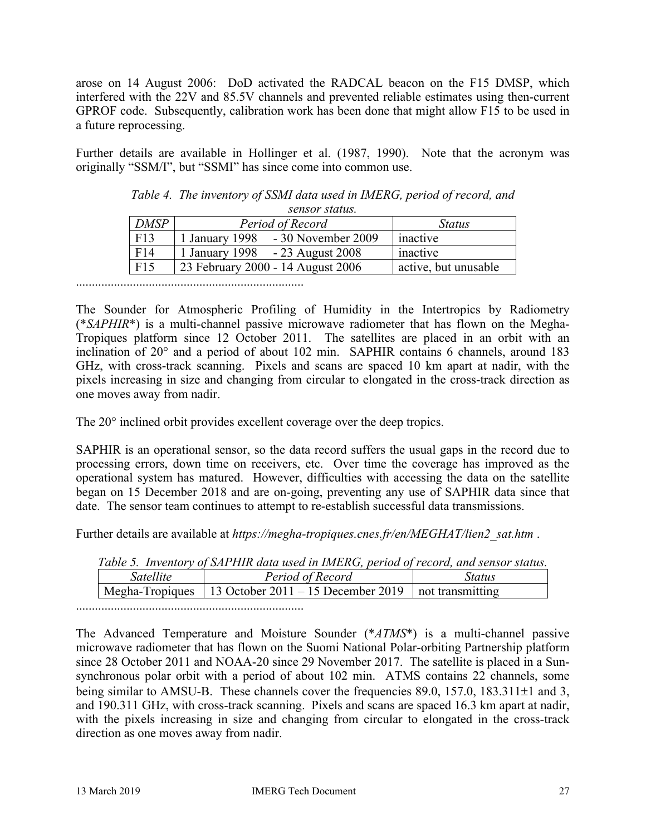arose on 14 August 2006: DoD activated the RADCAL beacon on the F15 DMSP, which interfered with the 22V and 85.5V channels and prevented reliable estimates using then-current GPROF code. Subsequently, calibration work has been done that might allow F15 to be used in a future reprocessing.

Further details are available in Hollinger et al. (1987, 1990). Note that the acronym was originally "SSM/I", but "SSMI" has since come into common use.

| sensor status. |                                       |                      |  |
|----------------|---------------------------------------|----------------------|--|
| <b>DMSP</b>    | Period of Record                      | <b>Status</b>        |  |
| F13            | $-30$ November 2009<br>1 January 1998 | inactive             |  |
| F14            | 1 January 1998 - 23 August 2008       | inactive             |  |
| F15            | 23 February 2000 - 14 August 2006     | active, but unusable |  |

*Table 4. The inventory of SSMI data used in IMERG, period of record, and* 

........................................................................

The Sounder for Atmospheric Profiling of Humidity in the Intertropics by Radiometry (\**SAPHIR*\*) is a multi-channel passive microwave radiometer that has flown on the Megha-Tropiques platform since 12 October 2011. The satellites are placed in an orbit with an inclination of 20° and a period of about 102 min. SAPHIR contains 6 channels, around 183 GHz, with cross-track scanning. Pixels and scans are spaced 10 km apart at nadir, with the pixels increasing in size and changing from circular to elongated in the cross-track direction as one moves away from nadir.

The 20° inclined orbit provides excellent coverage over the deep tropics.

SAPHIR is an operational sensor, so the data record suffers the usual gaps in the record due to processing errors, down time on receivers, etc. Over time the coverage has improved as the operational system has matured. However, difficulties with accessing the data on the satellite began on 15 December 2018 and are on-going, preventing any use of SAPHIR data since that date. The sensor team continues to attempt to re-establish successful data transmissions.

Further details are available at *https://megha-tropiques.cnes.fr/en/MEGHAT/lien2\_sat.htm* .

|                  | Table 5. Inventory of SAPHIR data used in IMERG, period of record, and sensor status. |        |
|------------------|---------------------------------------------------------------------------------------|--------|
| <i>Satellite</i> | Period of Record                                                                      | Status |
|                  | Megha-Tropiques   13 October 2011 – 15 December 2019   not transmitting               |        |

*Table 5. Inventory of SAPHIR data used in IMERG, period of record, and sensor status.*

........................................................................

The Advanced Temperature and Moisture Sounder (\**ATMS*\*) is a multi-channel passive microwave radiometer that has flown on the Suomi National Polar-orbiting Partnership platform since 28 October 2011 and NOAA-20 since 29 November 2017. The satellite is placed in a Sunsynchronous polar orbit with a period of about 102 min. ATMS contains 22 channels, some being similar to AMSU-B. These channels cover the frequencies 89.0, 157.0, 183.311 $\pm$ 1 and 3, and 190.311 GHz, with cross-track scanning. Pixels and scans are spaced 16.3 km apart at nadir, with the pixels increasing in size and changing from circular to elongated in the cross-track direction as one moves away from nadir.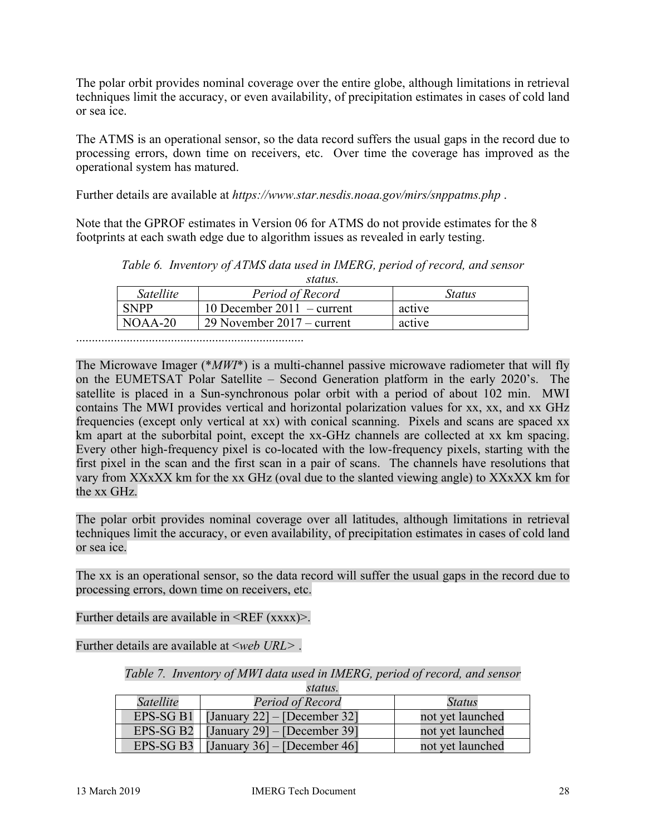The polar orbit provides nominal coverage over the entire globe, although limitations in retrieval techniques limit the accuracy, or even availability, of precipitation estimates in cases of cold land or sea ice.

The ATMS is an operational sensor, so the data record suffers the usual gaps in the record due to processing errors, down time on receivers, etc. Over time the coverage has improved as the operational system has matured.

Further details are available at *https://www.star.nesdis.noaa.gov/mirs/snppatms.php* .

Note that the GPROF estimates in Version 06 for ATMS do not provide estimates for the 8 footprints at each swath edge due to algorithm issues as revealed in early testing.

| status.     |                              |               |  |
|-------------|------------------------------|---------------|--|
| Satellite   | Period of Record             | <i>Status</i> |  |
| <b>SNPP</b> | 10 December 2011 – current   | active        |  |
| $NOAA-20$   | 29 November $2017 -$ current | active        |  |

*Table 6. Inventory of ATMS data used in IMERG, period of record, and sensor* 

........................................................................

The Microwave Imager (\**MWI*\*) is a multi-channel passive microwave radiometer that will fly on the EUMETSAT Polar Satellite – Second Generation platform in the early 2020's. The satellite is placed in a Sun-synchronous polar orbit with a period of about 102 min. MWI contains The MWI provides vertical and horizontal polarization values for xx, xx, and xx GHz frequencies (except only vertical at xx) with conical scanning. Pixels and scans are spaced xx km apart at the suborbital point, except the xx-GHz channels are collected at xx km spacing. Every other high-frequency pixel is co-located with the low-frequency pixels, starting with the first pixel in the scan and the first scan in a pair of scans. The channels have resolutions that vary from XXxXX km for the xx GHz (oval due to the slanted viewing angle) to XXxXX km for the xx GHz.

The polar orbit provides nominal coverage over all latitudes, although limitations in retrieval techniques limit the accuracy, or even availability, of precipitation estimates in cases of cold land or sea ice.

The xx is an operational sensor, so the data record will suffer the usual gaps in the record due to processing errors, down time on receivers, etc.

Further details are available in  $\langle$ REF (xxxx) $\rangle$ .

Further details are available at <*web URL>* .

*Table 7. Inventory of MWI data used in IMERG, period of record, and sensor status.*

|           | $3\mu\mu\mu\mu\lambda$ .                   |                  |
|-----------|--------------------------------------------|------------------|
| Satellite | Period of Record                           | Status           |
|           | EPS-SG B1   [January 22] $-$ [December 32] | not yet launched |
|           | EPS-SG B2   [January 29] $-$ [December 39] | not yet launched |
|           | EPS-SG B3 [January 36] – [December 46]     | not yet launched |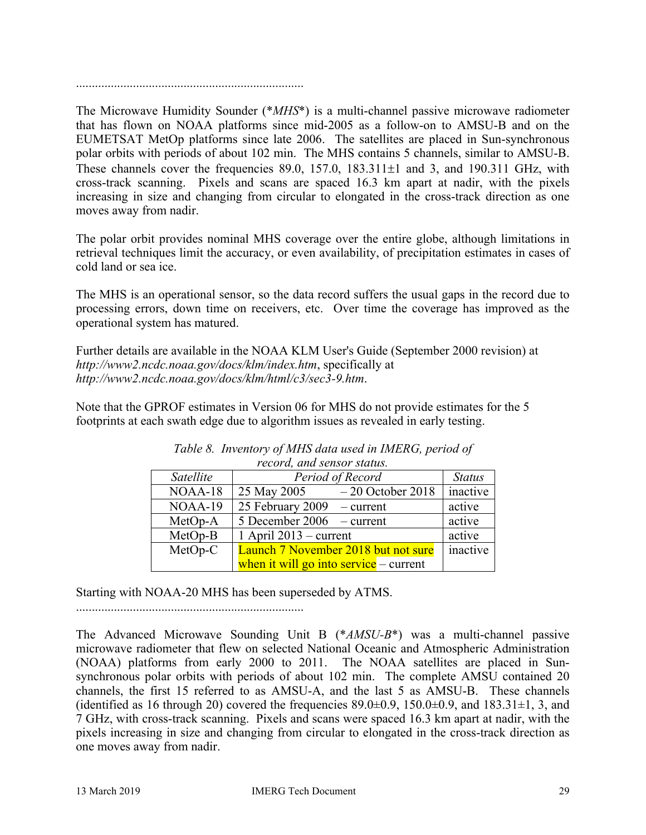........................................................................

The Microwave Humidity Sounder (\**MHS*\*) is a multi-channel passive microwave radiometer that has flown on NOAA platforms since mid-2005 as a follow-on to AMSU-B and on the EUMETSAT MetOp platforms since late 2006. The satellites are placed in Sun-synchronous polar orbits with periods of about 102 min. The MHS contains 5 channels, similar to AMSU-B. These channels cover the frequencies  $89.0$ ,  $157.0$ ,  $183.311\pm1$  and 3, and  $190.311$  GHz, with cross-track scanning. Pixels and scans are spaced 16.3 km apart at nadir, with the pixels increasing in size and changing from circular to elongated in the cross-track direction as one moves away from nadir.

The polar orbit provides nominal MHS coverage over the entire globe, although limitations in retrieval techniques limit the accuracy, or even availability, of precipitation estimates in cases of cold land or sea ice.

The MHS is an operational sensor, so the data record suffers the usual gaps in the record due to processing errors, down time on receivers, etc. Over time the coverage has improved as the operational system has matured.

Further details are available in the NOAA KLM User's Guide (September 2000 revision) at *http://www2.ncdc.noaa.gov/docs/klm/index.htm*, specifically at *http://www2.ncdc.noaa.gov/docs/klm/html/c3/sec3-9.htm*.

Note that the GPROF estimates in Version 06 for MHS do not provide estimates for the 5 footprints at each swath edge due to algorithm issues as revealed in early testing.

| recora, ana sensor status. |                                        |               |  |
|----------------------------|----------------------------------------|---------------|--|
| Satellite                  | Period of Record                       | <b>Status</b> |  |
| NOAA-18                    | 25 May 2005<br>$-20$ October 2018      | inactive      |  |
| NOAA-19                    | 25 February 2009 $-$ current           | active        |  |
| $MetOp-A$                  | 5 December 2006 $-$ current            | active        |  |
| $MetOp-B$                  | 1 April $2013$ – current               | active        |  |
| MetOp-C                    | Launch 7 November 2018 but not sure    | inactive      |  |
|                            | when it will go into service – current |               |  |

*Table 8. Inventory of MHS data used in IMERG, period of record, and sensor status.*

Starting with NOAA-20 MHS has been superseded by ATMS.

........................................................................

The Advanced Microwave Sounding Unit B (\**AMSU-B*\*) was a multi-channel passive microwave radiometer that flew on selected National Oceanic and Atmospheric Administration (NOAA) platforms from early 2000 to 2011. The NOAA satellites are placed in Sunsynchronous polar orbits with periods of about 102 min. The complete AMSU contained 20 channels, the first 15 referred to as AMSU-A, and the last 5 as AMSU-B. These channels (identified as 16 through 20) covered the frequencies  $89.0\pm0.9$ ,  $150.0\pm0.9$ , and  $183.31\pm1$ , 3, and 7 GHz, with cross-track scanning. Pixels and scans were spaced 16.3 km apart at nadir, with the pixels increasing in size and changing from circular to elongated in the cross-track direction as one moves away from nadir.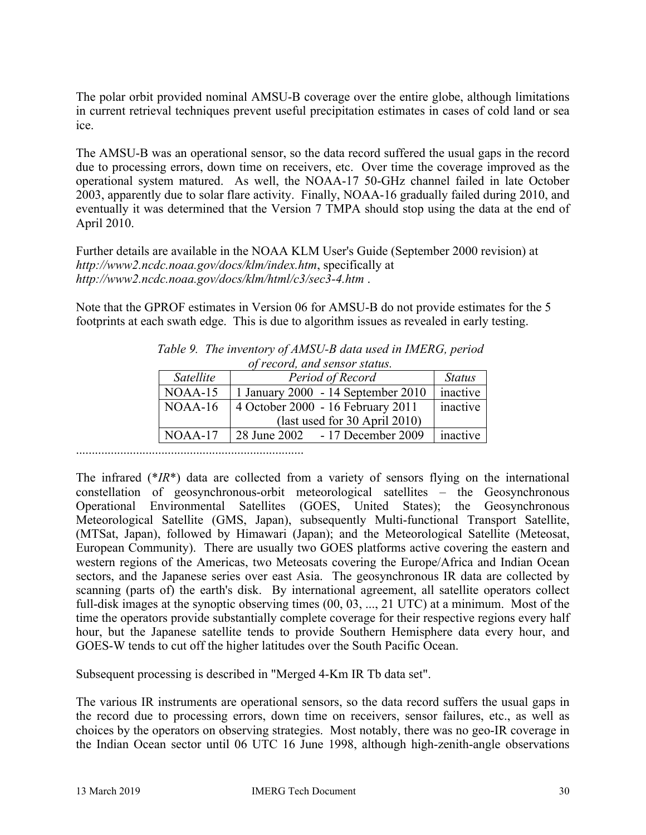The polar orbit provided nominal AMSU-B coverage over the entire globe, although limitations in current retrieval techniques prevent useful precipitation estimates in cases of cold land or sea ice.

The AMSU-B was an operational sensor, so the data record suffered the usual gaps in the record due to processing errors, down time on receivers, etc. Over time the coverage improved as the operational system matured. As well, the NOAA-17 50-GHz channel failed in late October 2003, apparently due to solar flare activity. Finally, NOAA-16 gradually failed during 2010, and eventually it was determined that the Version 7 TMPA should stop using the data at the end of April 2010.

Further details are available in the NOAA KLM User's Guide (September 2000 revision) at *http://www2.ncdc.noaa.gov/docs/klm/index.htm*, specifically at *http://www2.ncdc.noaa.gov/docs/klm/html/c3/sec3-4.htm* .

Note that the GPROF estimates in Version 06 for AMSU-B do not provide estimates for the 5 footprints at each swath edge. This is due to algorithm issues as revealed in early testing.

| 0) record, and sensor status. |                                        |          |  |  |  |  |
|-------------------------------|----------------------------------------|----------|--|--|--|--|
| Satellite                     | Period of Record                       |          |  |  |  |  |
| $NOAA-15$                     | 1 January 2000 - 14 September 2010     | inactive |  |  |  |  |
| $NOAA-16$                     | 4 October 2000 - 16 February 2011      | inactive |  |  |  |  |
|                               | $\text{(last used for 30 April 2010)}$ |          |  |  |  |  |
| $NOAA-17$                     | - 17 December 2009<br>28 June 2002     | inactive |  |  |  |  |

*Table 9. The inventory of AMSU-B data used in IMERG, period of record, and sensor status.*

........................................................................

The infrared (\**IR*\*) data are collected from a variety of sensors flying on the international constellation of geosynchronous-orbit meteorological satellites – the Geosynchronous Operational Environmental Satellites (GOES, United States); the Geosynchronous Meteorological Satellite (GMS, Japan), subsequently Multi-functional Transport Satellite, (MTSat, Japan), followed by Himawari (Japan); and the Meteorological Satellite (Meteosat, European Community). There are usually two GOES platforms active covering the eastern and western regions of the Americas, two Meteosats covering the Europe/Africa and Indian Ocean sectors, and the Japanese series over east Asia. The geosynchronous IR data are collected by scanning (parts of) the earth's disk. By international agreement, all satellite operators collect full-disk images at the synoptic observing times (00, 03, ..., 21 UTC) at a minimum. Most of the time the operators provide substantially complete coverage for their respective regions every half hour, but the Japanese satellite tends to provide Southern Hemisphere data every hour, and GOES-W tends to cut off the higher latitudes over the South Pacific Ocean.

Subsequent processing is described in "Merged 4-Km IR Tb data set".

The various IR instruments are operational sensors, so the data record suffers the usual gaps in the record due to processing errors, down time on receivers, sensor failures, etc., as well as choices by the operators on observing strategies. Most notably, there was no geo-IR coverage in the Indian Ocean sector until 06 UTC 16 June 1998, although high-zenith-angle observations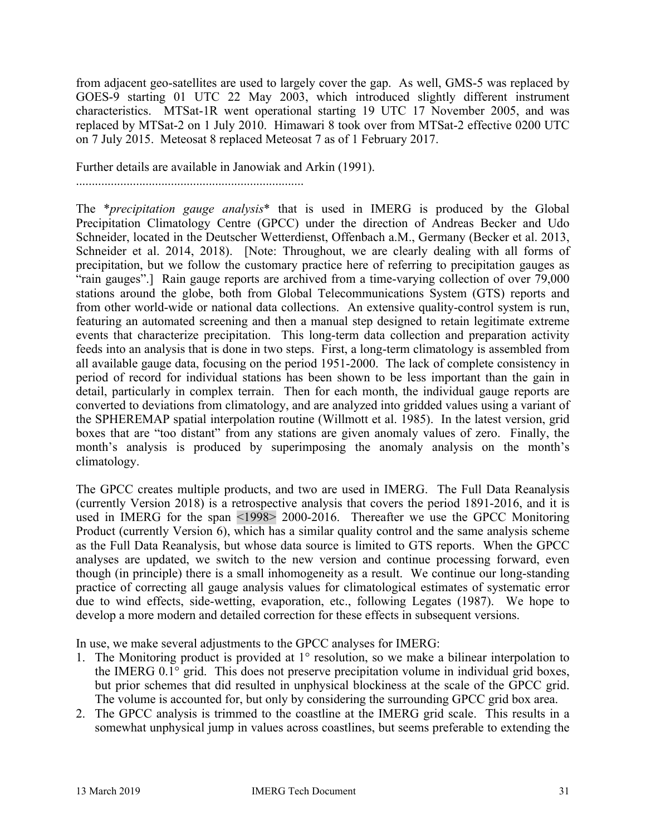from adjacent geo-satellites are used to largely cover the gap. As well, GMS-5 was replaced by GOES-9 starting 01 UTC 22 May 2003, which introduced slightly different instrument characteristics. MTSat-1R went operational starting 19 UTC 17 November 2005, and was replaced by MTSat-2 on 1 July 2010. Himawari 8 took over from MTSat-2 effective 0200 UTC on 7 July 2015. Meteosat 8 replaced Meteosat 7 as of 1 February 2017.

Further details are available in Janowiak and Arkin (1991).

........................................................................

The \**precipitation gauge analysis*\* that is used in IMERG is produced by the Global Precipitation Climatology Centre (GPCC) under the direction of Andreas Becker and Udo Schneider, located in the Deutscher Wetterdienst, Offenbach a.M., Germany (Becker et al. 2013, Schneider et al. 2014, 2018). [Note: Throughout, we are clearly dealing with all forms of precipitation, but we follow the customary practice here of referring to precipitation gauges as "rain gauges".] Rain gauge reports are archived from a time-varying collection of over 79,000 stations around the globe, both from Global Telecommunications System (GTS) reports and from other world-wide or national data collections. An extensive quality-control system is run, featuring an automated screening and then a manual step designed to retain legitimate extreme events that characterize precipitation. This long-term data collection and preparation activity feeds into an analysis that is done in two steps. First, a long-term climatology is assembled from all available gauge data, focusing on the period 1951-2000. The lack of complete consistency in period of record for individual stations has been shown to be less important than the gain in detail, particularly in complex terrain. Then for each month, the individual gauge reports are converted to deviations from climatology, and are analyzed into gridded values using a variant of the SPHEREMAP spatial interpolation routine (Willmott et al. 1985). In the latest version, grid boxes that are "too distant" from any stations are given anomaly values of zero. Finally, the month's analysis is produced by superimposing the anomaly analysis on the month's climatology.

The GPCC creates multiple products, and two are used in IMERG. The Full Data Reanalysis (currently Version 2018) is a retrospective analysis that covers the period 1891-2016, and it is used in IMERG for the span <1998> 2000-2016. Thereafter we use the GPCC Monitoring Product (currently Version 6), which has a similar quality control and the same analysis scheme as the Full Data Reanalysis, but whose data source is limited to GTS reports. When the GPCC analyses are updated, we switch to the new version and continue processing forward, even though (in principle) there is a small inhomogeneity as a result. We continue our long-standing practice of correcting all gauge analysis values for climatological estimates of systematic error due to wind effects, side-wetting, evaporation, etc., following Legates (1987). We hope to develop a more modern and detailed correction for these effects in subsequent versions.

In use, we make several adjustments to the GPCC analyses for IMERG:

- 1. The Monitoring product is provided at 1° resolution, so we make a bilinear interpolation to the IMERG 0.1° grid. This does not preserve precipitation volume in individual grid boxes, but prior schemes that did resulted in unphysical blockiness at the scale of the GPCC grid. The volume is accounted for, but only by considering the surrounding GPCC grid box area.
- 2. The GPCC analysis is trimmed to the coastline at the IMERG grid scale. This results in a somewhat unphysical jump in values across coastlines, but seems preferable to extending the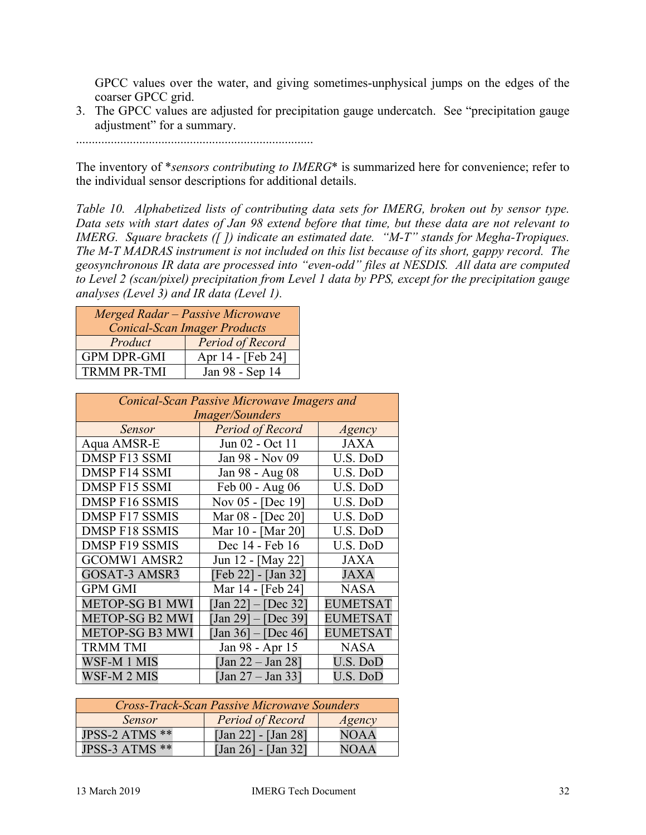GPCC values over the water, and giving sometimes-unphysical jumps on the edges of the coarser GPCC grid.

3. The GPCC values are adjusted for precipitation gauge undercatch. See "precipitation gauge adjustment" for a summary.

...........................................................................

The inventory of \**sensors contributing to IMERG*\* is summarized here for convenience; refer to the individual sensor descriptions for additional details.

*Table 10. Alphabetized lists of contributing data sets for IMERG, broken out by sensor type. Data sets with start dates of Jan 98 extend before that time, but these data are not relevant to IMERG. Square brackets ([ ]) indicate an estimated date. "M-T" stands for Megha-Tropiques. The M-T MADRAS instrument is not included on this list because of its short, gappy record. The geosynchronous IR data are processed into "even-odd" files at NESDIS. All data are computed to Level 2 (scan/pixel) precipitation from Level 1 data by PPS, except for the precipitation gauge analyses (Level 3) and IR data (Level 1).*

| <b>Merged Radar - Passive Microwave</b><br><b>Conical-Scan Imager Products</b> |  |  |  |  |
|--------------------------------------------------------------------------------|--|--|--|--|
| Product<br>Period of Record                                                    |  |  |  |  |
| Apr 14 - [Feb 24]<br><b>GPM DPR-GMI</b>                                        |  |  |  |  |
| <b>TRMM PR-TMI</b><br>Jan 98 - Sep 14                                          |  |  |  |  |

| Conical-Scan Passive Microwave Imagers and |                                                        |                 |  |  |  |  |
|--------------------------------------------|--------------------------------------------------------|-----------------|--|--|--|--|
| <i>Imager/Sounders</i>                     |                                                        |                 |  |  |  |  |
| Sensor                                     | <b>Period of Record</b>                                | Agency          |  |  |  |  |
| Aqua AMSR-E                                | Jun 02 - Oct 11                                        | <b>JAXA</b>     |  |  |  |  |
| DMSP F13 SSMI                              | Jan 98 - Nov 09                                        | U.S. DoD        |  |  |  |  |
| <b>DMSP F14 SSMI</b>                       | Jan 98 - Aug 08                                        | U.S. DoD        |  |  |  |  |
| <b>DMSP F15 SSMI</b>                       | Feb 00 - Aug 06                                        | U.S. DoD        |  |  |  |  |
| DMSP F16 SSMIS                             | Nov 05 - [Dec 19]                                      | U.S. DoD        |  |  |  |  |
| DMSP F17 SSMIS                             | Mar 08 - [Dec 20]                                      | U.S. DoD        |  |  |  |  |
| DMSP F18 SSMIS                             | Mar 10 - [Mar 20]                                      | U.S. DoD        |  |  |  |  |
| <b>DMSP F19 SSMIS</b>                      | Dec 14 - Feb 16                                        | U.S. DoD        |  |  |  |  |
| <b>GCOMW1 AMSR2</b>                        | Jun 12 - [May 22]                                      | <b>JAXA</b>     |  |  |  |  |
| <b>GOSAT-3 AMSR3</b>                       | [Feb 22] - [Jan 32]                                    | <b>JAXA</b>     |  |  |  |  |
| <b>GPM GMI</b>                             | Mar 14 - [Feb 24]                                      | <b>NASA</b>     |  |  |  |  |
| <b>METOP-SG B1 MWI</b>                     | $\text{Jan } 22 \text{ }   - \text{[Dec } 32 \text{]}$ | <b>EUMETSAT</b> |  |  |  |  |
| <b>METOP-SG B2 MWI</b>                     | $\text{Jan } 29$ ] – [Dec 39]                          | <b>EUMETSAT</b> |  |  |  |  |
| <b>METOP-SG B3 MWI</b>                     | $[Jan 36] - [Dec 46]$                                  | <b>EUMETSAT</b> |  |  |  |  |
| <b>TRMM TMI</b>                            | Jan 98 - Apr 15                                        | <b>NASA</b>     |  |  |  |  |
| WSF-M 1 MIS                                | [Jan 22 – Jan 28]                                      | U.S. DoD        |  |  |  |  |
| WSF-M 2 MIS                                | [Jan 27 – Jan 33]                                      | U.S. DoD        |  |  |  |  |

| <b>Cross-Track-Scan Passive Microwave Sounders</b> |                       |                               |  |  |  |
|----------------------------------------------------|-----------------------|-------------------------------|--|--|--|
| Sensor                                             | Agency                |                               |  |  |  |
| JPSS-2 ATMS **                                     | [Jan 22] - [Jan 28]   | <b>NOAA</b>                   |  |  |  |
| JPSS-3 ATMS **                                     | $[Jan 26] - [Jan 32]$ | N <sub>0</sub> A <sub>A</sub> |  |  |  |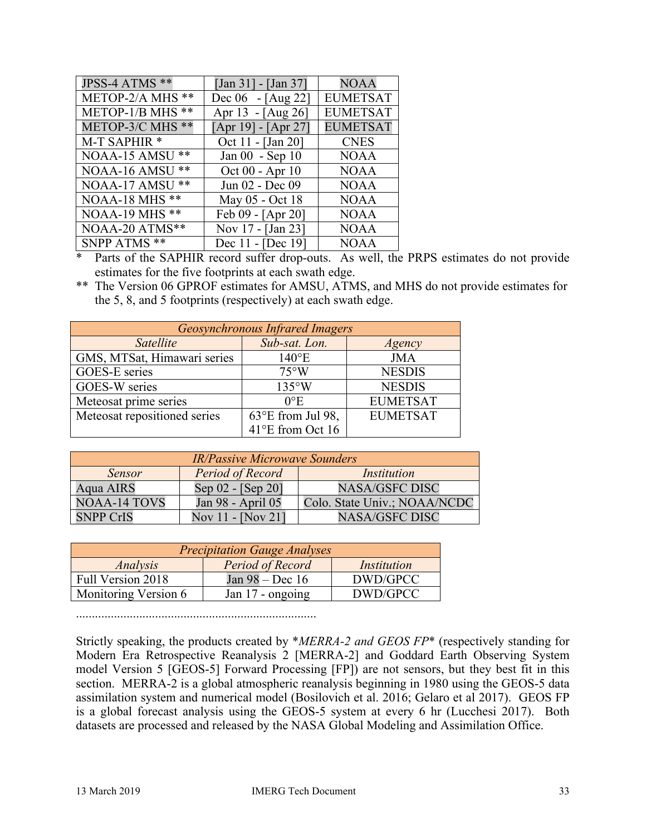| JPSS-4 ATMS **        | [Jan 31] - [Jan 37]   | <b>NOAA</b>     |
|-----------------------|-----------------------|-----------------|
| METOP-2/A MHS **      | Dec 06 - [Aug 22]     | <b>EUMETSAT</b> |
| METOP-1/B MHS **      | Apr 13 - [Aug 26]     | <b>EUMETSAT</b> |
| METOP-3/C MHS **      | $[Apr 19] - [Apr 27]$ | <b>EUMETSAT</b> |
| M-T SAPHIR *          | Oct 11 - [Jan 20]     | <b>CNES</b>     |
| NOAA-15 AMSU **       | Jan 00 - Sep 10       | <b>NOAA</b>     |
| NOAA-16 AMSU **       | Oct 00 - Apr 10       | <b>NOAA</b>     |
| NOAA-17 AMSU **       | Jun 02 - Dec 09       | <b>NOAA</b>     |
| <b>NOAA-18 MHS **</b> | May 05 - Oct 18       | <b>NOAA</b>     |
| <b>NOAA-19 MHS **</b> | Feb 09 - [Apr 20]     | <b>NOAA</b>     |
| NOAA-20 ATMS**        | Nov 17 - [Jan 23]     | <b>NOAA</b>     |
| SNPP ATMS **          | Dec 11 - [Dec 19]     | <b>NOAA</b>     |

\* Parts of the SAPHIR record suffer drop-outs. As well, the PRPS estimates do not provide estimates for the five footprints at each swath edge.

\*\* The Version 06 GPROF estimates for AMSU, ATMS, and MHS do not provide estimates for the 5, 8, and 5 footprints (respectively) at each swath edge.

| <b>Geosynchronous Infrared Imagers</b> |                            |                 |  |  |  |
|----------------------------------------|----------------------------|-----------------|--|--|--|
| Satellite                              | Sub-sat. Lon.              | Agency          |  |  |  |
| GMS, MTSat, Himawari series            | $140^{\circ}E$             | <b>JMA</b>      |  |  |  |
| <b>GOES-E</b> series                   | $75^{\circ}$ W             | <b>NESDIS</b>   |  |  |  |
| GOES-W series                          | $135^{\circ}$ W            | <b>NESDIS</b>   |  |  |  |
| Meteosat prime series                  | $0^{\circ}E$               | <b>EUMETSAT</b> |  |  |  |
| Meteosat repositioned series           | $63^{\circ}E$ from Jul 98, | <b>EUMETSAT</b> |  |  |  |
|                                        | 41°E from Oct 16           |                 |  |  |  |

| <b>IR/Passive Microwave Sounders</b>                    |                   |                              |  |  |  |
|---------------------------------------------------------|-------------------|------------------------------|--|--|--|
| Period of Record<br><b>Sensor</b><br><i>Institution</i> |                   |                              |  |  |  |
| Aqua AIRS                                               | Sep 02 - [Sep 20] | <b>NASA/GSFC DISC</b>        |  |  |  |
| <b>NOAA-14 TOVS</b>                                     | Jan 98 - April 05 | Colo. State Univ.; NOAA/NCDC |  |  |  |
| <b>SNPP CrIS</b>                                        | Nov 11 - [Nov 21] | <b>NASA/GSFC DISC</b>        |  |  |  |

| <b>Precipitation Gauge Analyses</b>                |                   |          |  |  |
|----------------------------------------------------|-------------------|----------|--|--|
| Period of Record<br>Analysis<br><i>Institution</i> |                   |          |  |  |
| Full Version 2018                                  | Jan $98 - Dec 16$ | DWD/GPCC |  |  |
| Monitoring Version 6                               | Jan 17 - ongoing  | DWD/GPCC |  |  |

............................................................................

Strictly speaking, the products created by \**MERRA-2 and GEOS FP*\* (respectively standing for Modern Era Retrospective Reanalysis 2 [MERRA-2] and Goddard Earth Observing System model Version 5 [GEOS-5] Forward Processing [FP]) are not sensors, but they best fit in this section. MERRA-2 is a global atmospheric reanalysis beginning in 1980 using the GEOS-5 data assimilation system and numerical model (Bosilovich et al. 2016; Gelaro et al 2017). GEOS FP is a global forecast analysis using the GEOS-5 system at every 6 hr (Lucchesi 2017). Both datasets are processed and released by the NASA Global Modeling and Assimilation Office.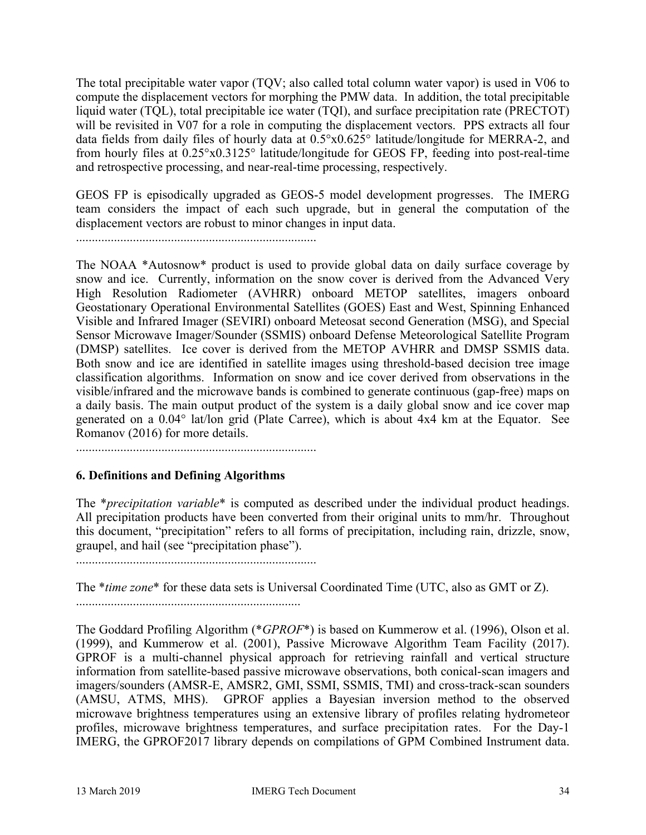The total precipitable water vapor (TQV; also called total column water vapor) is used in V06 to compute the displacement vectors for morphing the PMW data. In addition, the total precipitable liquid water (TQL), total precipitable ice water (TQI), and surface precipitation rate (PRECTOT) will be revisited in V07 for a role in computing the displacement vectors. PPS extracts all four data fields from daily files of hourly data at 0.5°x0.625° latitude/longitude for MERRA-2, and from hourly files at 0.25°x0.3125° latitude/longitude for GEOS FP, feeding into post-real-time and retrospective processing, and near-real-time processing, respectively.

GEOS FP is episodically upgraded as GEOS-5 model development progresses. The IMERG team considers the impact of each such upgrade, but in general the computation of the displacement vectors are robust to minor changes in input data.

............................................................................

The NOAA \*Autosnow\* product is used to provide global data on daily surface coverage by snow and ice. Currently, information on the snow cover is derived from the Advanced Very High Resolution Radiometer (AVHRR) onboard METOP satellites, imagers onboard Geostationary Operational Environmental Satellites (GOES) East and West, Spinning Enhanced Visible and Infrared Imager (SEVIRI) onboard Meteosat second Generation (MSG), and Special Sensor Microwave Imager/Sounder (SSMIS) onboard Defense Meteorological Satellite Program (DMSP) satellites. Ice cover is derived from the METOP AVHRR and DMSP SSMIS data. Both snow and ice are identified in satellite images using threshold-based decision tree image classification algorithms. Information on snow and ice cover derived from observations in the visible/infrared and the microwave bands is combined to generate continuous (gap-free) maps on a daily basis. The main output product of the system is a daily global snow and ice cover map generated on a 0.04° lat/lon grid (Plate Carree), which is about 4x4 km at the Equator. See Romanov (2016) for more details.

............................................................................

# **6. Definitions and Defining Algorithms**

The \**precipitation variable*\* is computed as described under the individual product headings. All precipitation products have been converted from their original units to mm/hr. Throughout this document, "precipitation" refers to all forms of precipitation, including rain, drizzle, snow, graupel, and hail (see "precipitation phase").

............................................................................

The \**time zone*\* for these data sets is Universal Coordinated Time (UTC, also as GMT or Z). .......................................................................

The Goddard Profiling Algorithm (\**GPROF*\*) is based on Kummerow et al. (1996), Olson et al. (1999), and Kummerow et al. (2001), Passive Microwave Algorithm Team Facility (2017). GPROF is a multi-channel physical approach for retrieving rainfall and vertical structure information from satellite-based passive microwave observations, both conical-scan imagers and imagers/sounders (AMSR-E, AMSR2, GMI, SSMI, SSMIS, TMI) and cross-track-scan sounders (AMSU, ATMS, MHS). GPROF applies a Bayesian inversion method to the observed microwave brightness temperatures using an extensive library of profiles relating hydrometeor profiles, microwave brightness temperatures, and surface precipitation rates. For the Day-1 IMERG, the GPROF2017 library depends on compilations of GPM Combined Instrument data.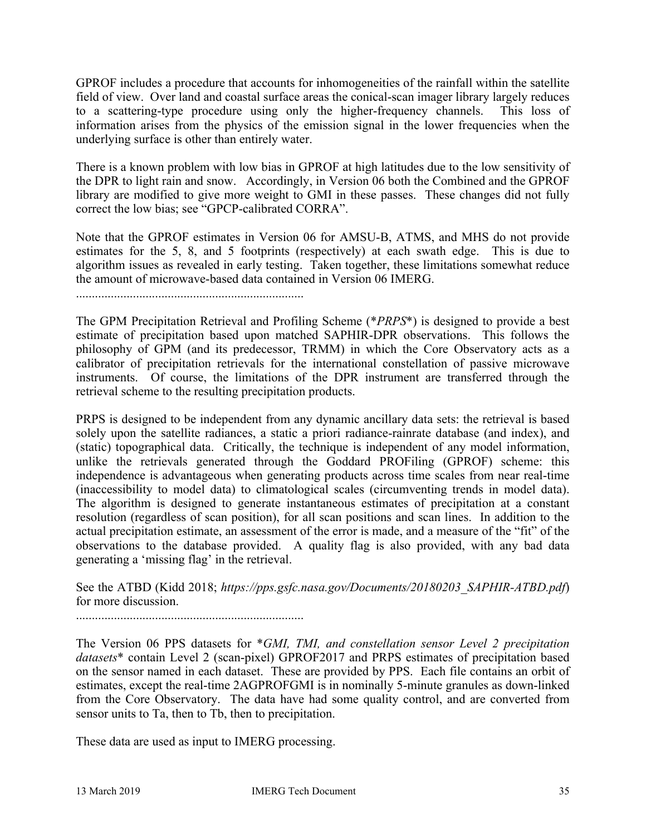GPROF includes a procedure that accounts for inhomogeneities of the rainfall within the satellite field of view. Over land and coastal surface areas the conical-scan imager library largely reduces to a scattering-type procedure using only the higher-frequency channels. This loss of information arises from the physics of the emission signal in the lower frequencies when the underlying surface is other than entirely water.

There is a known problem with low bias in GPROF at high latitudes due to the low sensitivity of the DPR to light rain and snow. Accordingly, in Version 06 both the Combined and the GPROF library are modified to give more weight to GMI in these passes. These changes did not fully correct the low bias; see "GPCP-calibrated CORRA".

Note that the GPROF estimates in Version 06 for AMSU-B, ATMS, and MHS do not provide estimates for the 5, 8, and 5 footprints (respectively) at each swath edge. This is due to algorithm issues as revealed in early testing. Taken together, these limitations somewhat reduce the amount of microwave-based data contained in Version 06 IMERG.

........................................................................

The GPM Precipitation Retrieval and Profiling Scheme (\**PRPS*\*) is designed to provide a best estimate of precipitation based upon matched SAPHIR-DPR observations. This follows the philosophy of GPM (and its predecessor, TRMM) in which the Core Observatory acts as a calibrator of precipitation retrievals for the international constellation of passive microwave instruments. Of course, the limitations of the DPR instrument are transferred through the retrieval scheme to the resulting precipitation products.

PRPS is designed to be independent from any dynamic ancillary data sets: the retrieval is based solely upon the satellite radiances, a static a priori radiance-rainrate database (and index), and (static) topographical data. Critically, the technique is independent of any model information, unlike the retrievals generated through the Goddard PROFiling (GPROF) scheme: this independence is advantageous when generating products across time scales from near real-time (inaccessibility to model data) to climatological scales (circumventing trends in model data). The algorithm is designed to generate instantaneous estimates of precipitation at a constant resolution (regardless of scan position), for all scan positions and scan lines. In addition to the actual precipitation estimate, an assessment of the error is made, and a measure of the "fit" of the observations to the database provided. A quality flag is also provided, with any bad data generating a 'missing flag' in the retrieval.

See the ATBD (Kidd 2018; *https://pps.gsfc.nasa.gov/Documents/20180203\_SAPHIR-ATBD.pdf*) for more discussion.

........................................................................

The Version 06 PPS datasets for \**GMI, TMI, and constellation sensor Level 2 precipitation datasets*\* contain Level 2 (scan-pixel) GPROF2017 and PRPS estimates of precipitation based on the sensor named in each dataset. These are provided by PPS. Each file contains an orbit of estimates, except the real-time 2AGPROFGMI is in nominally 5-minute granules as down-linked from the Core Observatory. The data have had some quality control, and are converted from sensor units to Ta, then to Tb, then to precipitation.

These data are used as input to IMERG processing.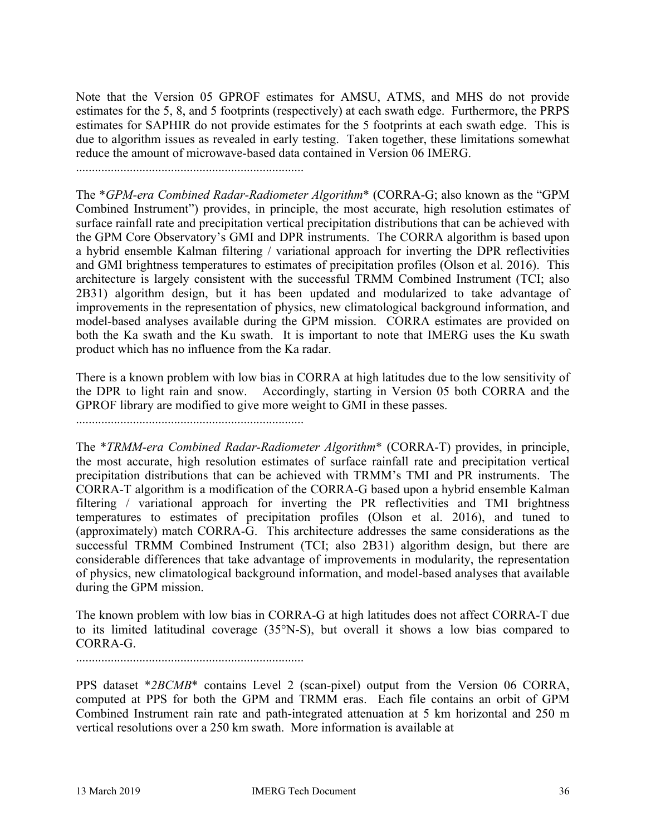Note that the Version 05 GPROF estimates for AMSU, ATMS, and MHS do not provide estimates for the 5, 8, and 5 footprints (respectively) at each swath edge. Furthermore, the PRPS estimates for SAPHIR do not provide estimates for the 5 footprints at each swath edge. This is due to algorithm issues as revealed in early testing. Taken together, these limitations somewhat reduce the amount of microwave-based data contained in Version 06 IMERG.

........................................................................

The \**GPM-era Combined Radar-Radiometer Algorithm*\* (CORRA-G; also known as the "GPM Combined Instrument") provides, in principle, the most accurate, high resolution estimates of surface rainfall rate and precipitation vertical precipitation distributions that can be achieved with the GPM Core Observatory's GMI and DPR instruments. The CORRA algorithm is based upon a hybrid ensemble Kalman filtering / variational approach for inverting the DPR reflectivities and GMI brightness temperatures to estimates of precipitation profiles (Olson et al. 2016). This architecture is largely consistent with the successful TRMM Combined Instrument (TCI; also 2B31) algorithm design, but it has been updated and modularized to take advantage of improvements in the representation of physics, new climatological background information, and model-based analyses available during the GPM mission. CORRA estimates are provided on both the Ka swath and the Ku swath. It is important to note that IMERG uses the Ku swath product which has no influence from the Ka radar.

There is a known problem with low bias in CORRA at high latitudes due to the low sensitivity of the DPR to light rain and snow. Accordingly, starting in Version 05 both CORRA and the GPROF library are modified to give more weight to GMI in these passes.

........................................................................

The \**TRMM-era Combined Radar-Radiometer Algorithm*\* (CORRA-T) provides, in principle, the most accurate, high resolution estimates of surface rainfall rate and precipitation vertical precipitation distributions that can be achieved with TRMM's TMI and PR instruments. The CORRA-T algorithm is a modification of the CORRA-G based upon a hybrid ensemble Kalman filtering / variational approach for inverting the PR reflectivities and TMI brightness temperatures to estimates of precipitation profiles (Olson et al. 2016), and tuned to (approximately) match CORRA-G. This architecture addresses the same considerations as the successful TRMM Combined Instrument (TCI; also 2B31) algorithm design, but there are considerable differences that take advantage of improvements in modularity, the representation of physics, new climatological background information, and model-based analyses that available during the GPM mission.

The known problem with low bias in CORRA-G at high latitudes does not affect CORRA-T due to its limited latitudinal coverage (35°N-S), but overall it shows a low bias compared to CORRA-G.

........................................................................

PPS dataset \**2BCMB*\* contains Level 2 (scan-pixel) output from the Version 06 CORRA, computed at PPS for both the GPM and TRMM eras. Each file contains an orbit of GPM Combined Instrument rain rate and path-integrated attenuation at 5 km horizontal and 250 m vertical resolutions over a 250 km swath. More information is available at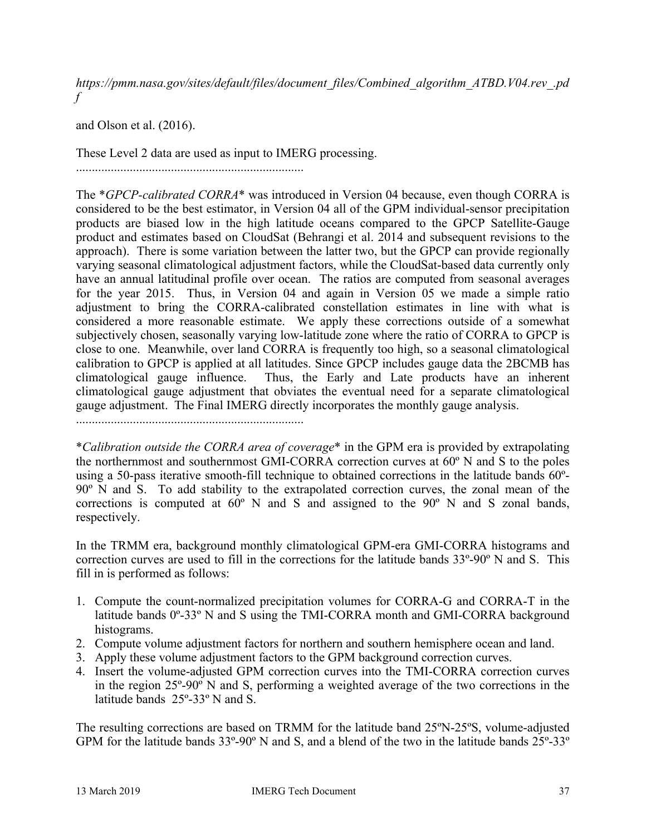*https://pmm.nasa.gov/sites/default/files/document\_files/Combined\_algorithm\_ATBD.V04.rev\_.pd f*

and Olson et al. (2016).

These Level 2 data are used as input to IMERG processing.

........................................................................

The \**GPCP-calibrated CORRA*\* was introduced in Version 04 because, even though CORRA is considered to be the best estimator, in Version 04 all of the GPM individual-sensor precipitation products are biased low in the high latitude oceans compared to the GPCP Satellite-Gauge product and estimates based on CloudSat (Behrangi et al. 2014 and subsequent revisions to the approach). There is some variation between the latter two, but the GPCP can provide regionally varying seasonal climatological adjustment factors, while the CloudSat-based data currently only have an annual latitudinal profile over ocean. The ratios are computed from seasonal averages for the year 2015. Thus, in Version 04 and again in Version 05 we made a simple ratio adjustment to bring the CORRA-calibrated constellation estimates in line with what is considered a more reasonable estimate. We apply these corrections outside of a somewhat subjectively chosen, seasonally varying low-latitude zone where the ratio of CORRA to GPCP is close to one. Meanwhile, over land CORRA is frequently too high, so a seasonal climatological calibration to GPCP is applied at all latitudes. Since GPCP includes gauge data the 2BCMB has climatological gauge influence. Thus, the Early and Late products have an inherent climatological gauge adjustment that obviates the eventual need for a separate climatological gauge adjustment. The Final IMERG directly incorporates the monthly gauge analysis.

........................................................................

\**Calibration outside the CORRA area of coverage*\* in the GPM era is provided by extrapolating the northernmost and southernmost GMI-CORRA correction curves at 60º N and S to the poles using a 50-pass iterative smooth-fill technique to obtained corrections in the latitude bands 60º-90º N and S. To add stability to the extrapolated correction curves, the zonal mean of the corrections is computed at 60º N and S and assigned to the 90º N and S zonal bands, respectively.

In the TRMM era, background monthly climatological GPM-era GMI-CORRA histograms and correction curves are used to fill in the corrections for the latitude bands 33º-90º N and S. This fill in is performed as follows:

- 1. Compute the count-normalized precipitation volumes for CORRA-G and CORRA-T in the latitude bands 0º-33º N and S using the TMI-CORRA month and GMI-CORRA background histograms.
- 2. Compute volume adjustment factors for northern and southern hemisphere ocean and land.
- 3. Apply these volume adjustment factors to the GPM background correction curves.
- 4. Insert the volume-adjusted GPM correction curves into the TMI-CORRA correction curves in the region 25º-90º N and S, performing a weighted average of the two corrections in the latitude bands 25º-33º N and S.

The resulting corrections are based on TRMM for the latitude band 25ºN-25ºS, volume-adjusted GPM for the latitude bands 33º-90º N and S, and a blend of the two in the latitude bands 25º-33º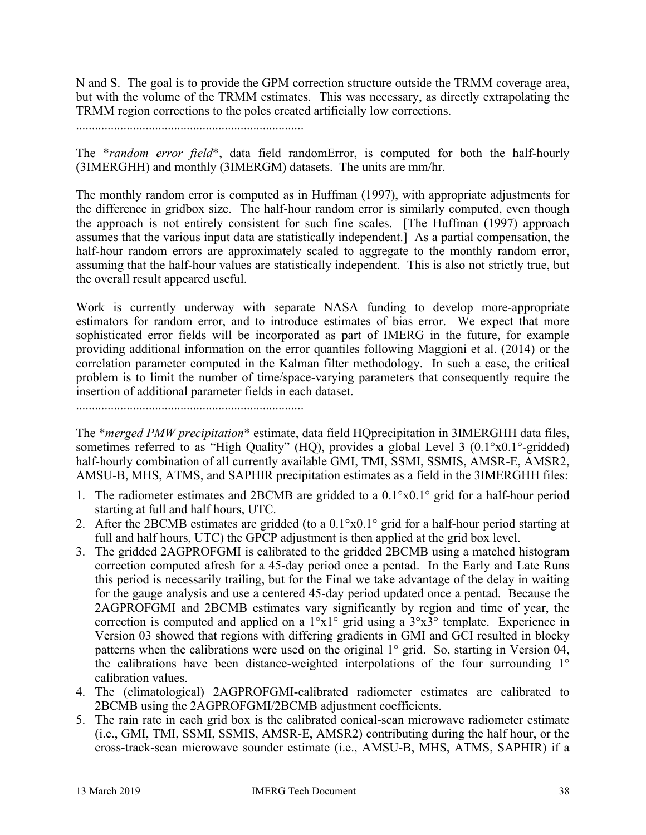N and S. The goal is to provide the GPM correction structure outside the TRMM coverage area, but with the volume of the TRMM estimates. This was necessary, as directly extrapolating the TRMM region corrections to the poles created artificially low corrections.

........................................................................

The \**random error field*\*, data field randomError, is computed for both the half-hourly (3IMERGHH) and monthly (3IMERGM) datasets. The units are mm/hr.

The monthly random error is computed as in Huffman (1997), with appropriate adjustments for the difference in gridbox size. The half-hour random error is similarly computed, even though the approach is not entirely consistent for such fine scales. [The Huffman (1997) approach assumes that the various input data are statistically independent.] As a partial compensation, the half-hour random errors are approximately scaled to aggregate to the monthly random error, assuming that the half-hour values are statistically independent. This is also not strictly true, but the overall result appeared useful.

Work is currently underway with separate NASA funding to develop more-appropriate estimators for random error, and to introduce estimates of bias error. We expect that more sophisticated error fields will be incorporated as part of IMERG in the future, for example providing additional information on the error quantiles following Maggioni et al. (2014) or the correlation parameter computed in the Kalman filter methodology. In such a case, the critical problem is to limit the number of time/space-varying parameters that consequently require the insertion of additional parameter fields in each dataset.

........................................................................

The \**merged PMW precipitation*\* estimate, data field HQprecipitation in 3IMERGHH data files, sometimes referred to as "High Quality" (HQ), provides a global Level 3 (0.1°x0.1°-gridded) half-hourly combination of all currently available GMI, TMI, SSMI, SSMIS, AMSR-E, AMSR2, AMSU-B, MHS, ATMS, and SAPHIR precipitation estimates as a field in the 3IMERGHH files:

- 1. The radiometer estimates and 2BCMB are gridded to a  $0.1^{\circ}x0.1^{\circ}$  grid for a half-hour period starting at full and half hours, UTC.
- 2. After the 2BCMB estimates are gridded (to a 0.1°x0.1° grid for a half-hour period starting at full and half hours, UTC) the GPCP adjustment is then applied at the grid box level.
- 3. The gridded 2AGPROFGMI is calibrated to the gridded 2BCMB using a matched histogram correction computed afresh for a 45-day period once a pentad. In the Early and Late Runs this period is necessarily trailing, but for the Final we take advantage of the delay in waiting for the gauge analysis and use a centered 45-day period updated once a pentad. Because the 2AGPROFGMI and 2BCMB estimates vary significantly by region and time of year, the correction is computed and applied on a 1°x1° grid using a 3°x3° template. Experience in Version 03 showed that regions with differing gradients in GMI and GCI resulted in blocky patterns when the calibrations were used on the original 1° grid. So, starting in Version 04, the calibrations have been distance-weighted interpolations of the four surrounding 1° calibration values.
- 4. The (climatological) 2AGPROFGMI-calibrated radiometer estimates are calibrated to 2BCMB using the 2AGPROFGMI/2BCMB adjustment coefficients.
- 5. The rain rate in each grid box is the calibrated conical-scan microwave radiometer estimate (i.e., GMI, TMI, SSMI, SSMIS, AMSR-E, AMSR2) contributing during the half hour, or the cross-track-scan microwave sounder estimate (i.e., AMSU-B, MHS, ATMS, SAPHIR) if a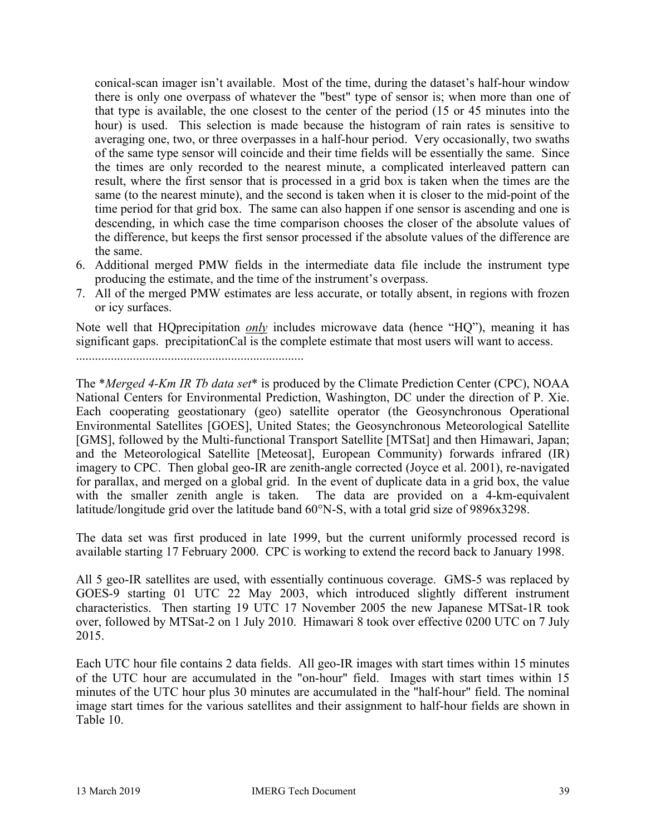conical-scan imager isn't available. Most of the time, during the dataset's half-hour window there is only one overpass of whatever the "best" type of sensor is; when more than one of that type is available, the one closest to the center of the period (15 or 45 minutes into the hour) is used. This selection is made because the histogram of rain rates is sensitive to averaging one, two, or three overpasses in a half-hour period. Very occasionally, two swaths of the same type sensor will coincide and their time fields will be essentially the same. Since the times are only recorded to the nearest minute, a complicated interleaved pattern can result, where the first sensor that is processed in a grid box is taken when the times are the same (to the nearest minute), and the second is taken when it is closer to the mid-point of the time period for that grid box. The same can also happen if one sensor is ascending and one is descending, in which case the time comparison chooses the closer of the absolute values of the difference, but keeps the first sensor processed if the absolute values of the difference are the same.

- 6. Additional merged PMW fields in the intermediate data file include the instrument type producing the estimate, and the time of the instrument's overpass.
- 7. All of the merged PMW estimates are less accurate, or totally absent, in regions with frozen or icy surfaces.

Note well that HQprecipitation *only* includes microwave data (hence "HQ"), meaning it has significant gaps. precipitationCal is the complete estimate that most users will want to access.

........................................................................

The \**Merged 4-Km IR Tb data set*\* is produced by the Climate Prediction Center (CPC), NOAA National Centers for Environmental Prediction, Washington, DC under the direction of P. Xie. Each cooperating geostationary (geo) satellite operator (the Geosynchronous Operational Environmental Satellites [GOES], United States; the Geosynchronous Meteorological Satellite [GMS], followed by the Multi-functional Transport Satellite [MTSat] and then Himawari, Japan; and the Meteorological Satellite [Meteosat], European Community) forwards infrared (IR) imagery to CPC. Then global geo-IR are zenith-angle corrected (Joyce et al. 2001), re-navigated for parallax, and merged on a global grid. In the event of duplicate data in a grid box, the value with the smaller zenith angle is taken. The data are provided on a 4-km-equivalent latitude/longitude grid over the latitude band 60°N-S, with a total grid size of 9896x3298.

The data set was first produced in late 1999, but the current uniformly processed record is available starting 17 February 2000. CPC is working to extend the record back to January 1998.

All 5 geo-IR satellites are used, with essentially continuous coverage. GMS-5 was replaced by GOES-9 starting 01 UTC 22 May 2003, which introduced slightly different instrument characteristics. Then starting 19 UTC 17 November 2005 the new Japanese MTSat-1R took over, followed by MTSat-2 on 1 July 2010. Himawari 8 took over effective 0200 UTC on 7 July 2015.

Each UTC hour file contains 2 data fields. All geo-IR images with start times within 15 minutes of the UTC hour are accumulated in the "on-hour" field. Images with start times within 15 minutes of the UTC hour plus 30 minutes are accumulated in the "half-hour" field. The nominal image start times for the various satellites and their assignment to half-hour fields are shown in Table 10.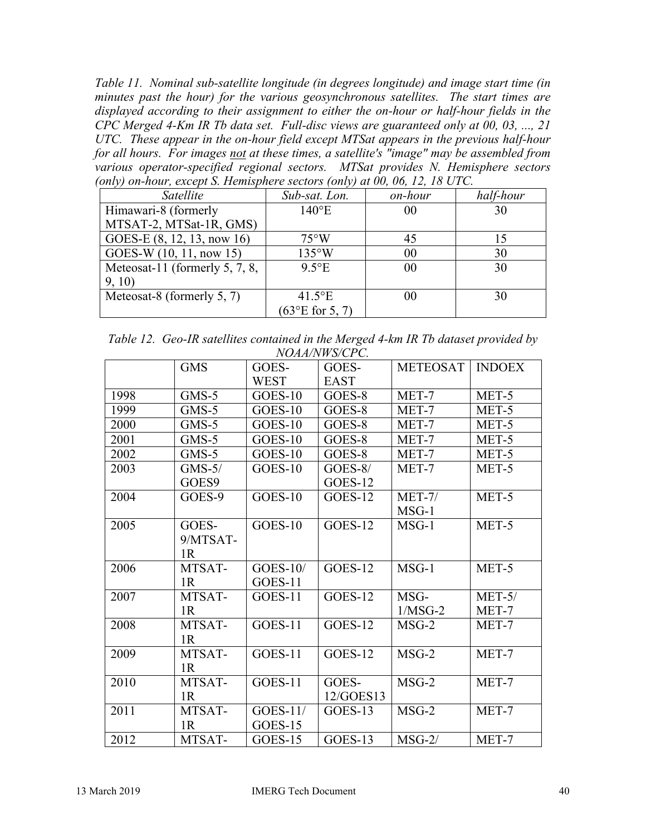*Table 11. Nominal sub-satellite longitude (in degrees longitude) and image start time (in minutes past the hour) for the various geosynchronous satellites. The start times are displayed according to their assignment to either the on-hour or half-hour fields in the CPC Merged 4-Km IR Tb data set. Full-disc views are guaranteed only at 00, 03, ..., 21 UTC. These appear in the on-hour field except MTSat appears in the previous half-hour for all hours. For images not at these times, a satellite's "image" may be assembled from various operator-specified regional sectors. MTSat provides N. Hemisphere sectors (only) on-hour, except S. Hemisphere sectors (only) at 00, 06, 12, 18 UTC.*

| Satellite                         | Sub-sat. Lon.             | on-hour | half-hour |
|-----------------------------------|---------------------------|---------|-----------|
| Himawari-8 (formerly              | $140^{\circ}E$            | 00      | 30        |
| MTSAT-2, MTSat-1R, GMS)           |                           |         |           |
| GOES-E (8, 12, 13, now 16)        | $75^{\circ}$ W            | 45      | 15        |
| GOES-W (10, 11, now 15)           | $135^{\circ}$ W           | 00      | 30        |
| Meteosat-11 (formerly $5, 7, 8$ , | $9.5^{\circ}E$            | 00      | 30        |
| 9, 10                             |                           |         |           |
| Meteosat-8 (formerly 5, 7)        | $41.5$ °E                 | 00      | 30        |
|                                   | $(63^{\circ}E)$ for 5, 7) |         |           |

| Table 12. Geo-IR satellites contained in the Merged 4-km IR Tb dataset provided by |
|------------------------------------------------------------------------------------|
| NOAA/NWS/CPC.                                                                      |

|      | <b>GMS</b>     | GOES-       | GOES-       | <b>METEOSAT</b> | <b>INDOEX</b> |  |  |
|------|----------------|-------------|-------------|-----------------|---------------|--|--|
|      |                | <b>WEST</b> | <b>EAST</b> |                 |               |  |  |
| 1998 | $GMS-5$        | GOES-10     | GOES-8      | MET-7           | MET-5         |  |  |
| 1999 | $GMS-5$        | GOES-10     | GOES-8      | MET-7           | MET-5         |  |  |
| 2000 | $GMS-5$        | GOES-10     | GOES-8      | MET-7           | MET-5         |  |  |
| 2001 | $GMS-5$        | GOES-10     | GOES-8      | MET-7           | MET-5         |  |  |
| 2002 | $GMS-5$        | GOES-10     | GOES-8      | MET-7           | MET-5         |  |  |
| 2003 | $GMS-5/$       | GOES-10     | $GOES-8/$   | MET-7           | MET-5         |  |  |
|      | GOES9          |             | GOES-12     |                 |               |  |  |
| 2004 | GOES-9         | GOES-10     | $GOES-12$   | $MET-7/$        | MET-5         |  |  |
|      |                |             |             | $MSG-1$         |               |  |  |
| 2005 | GOES-          | GOES-10     | GOES-12     | $MSG-1$         | MET-5         |  |  |
|      | 9/MTSAT-       |             |             |                 |               |  |  |
|      | 1R             |             |             |                 |               |  |  |
| 2006 | MTSAT-         | $GOES-10/$  | $GOES-12$   | $MSG-1$         | MET-5         |  |  |
|      | 1R             | GOES-11     |             |                 |               |  |  |
| 2007 | MTSAT-         | GOES-11     | GOES-12     | MSG-            | $MET-5/$      |  |  |
|      | 1 <sub>R</sub> |             |             | $1/MSG-2$       | MET-7         |  |  |
| 2008 | MTSAT-         | GOES-11     | GOES-12     | $MSG-2$         | MET-7         |  |  |
|      | 1 <sub>R</sub> |             |             |                 |               |  |  |
| 2009 | MTSAT-         | GOES-11     | GOES-12     | $MSG-2$         | MET-7         |  |  |
|      | 1R             |             |             |                 |               |  |  |
| 2010 | MTSAT-         | GOES-11     | GOES-       | $MSG-2$         | MET-7         |  |  |
|      | 1R             |             | 12/GOES13   |                 |               |  |  |
| 2011 | MTSAT-         | $GOES-11/$  | GOES-13     | $MSG-2$         | MET-7         |  |  |
|      | 1 <sub>R</sub> | $GOES-15$   |             |                 |               |  |  |
| 2012 | MTSAT-         | $GOES-15$   | GOES-13     | $MSG-2/$        | MET-7         |  |  |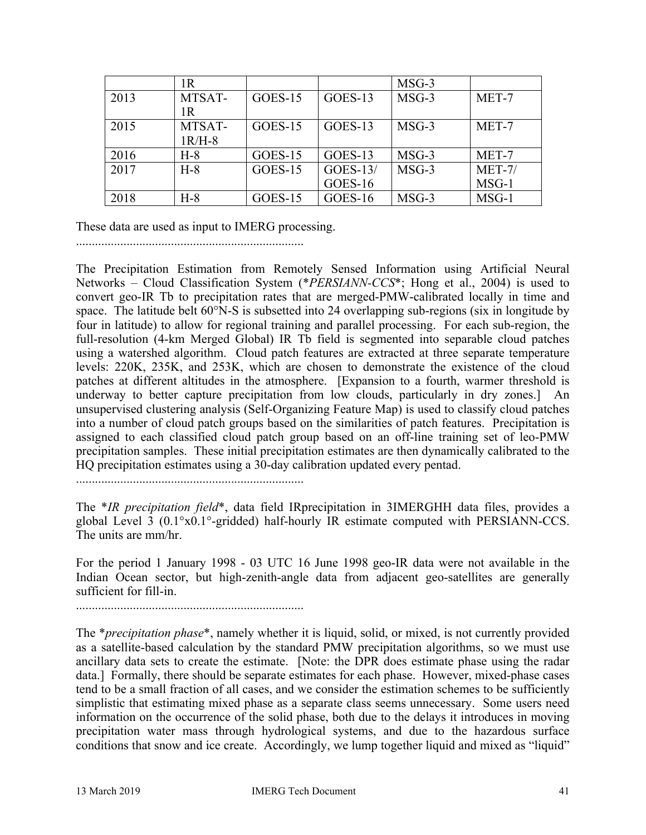|      | 1R       |           |            | $MSG-3$ |          |
|------|----------|-----------|------------|---------|----------|
| 2013 | MTSAT-   | GOES-15   | GOES-13    | $MSG-3$ | MET-7    |
|      | 1R       |           |            |         |          |
| 2015 | MTSAT-   | $GOES-15$ | $GOES-13$  | $MSG-3$ | MET-7    |
|      | $1R/H-8$ |           |            |         |          |
| 2016 | $H-8$    | GOES-15   | GOES-13    | $MSG-3$ | MET-7    |
| 2017 | $H-8$    | GOES-15   | $GOES-13/$ | $MSG-3$ | $MET-7/$ |
|      |          |           | GOES-16    |         | $MSG-1$  |
| 2018 | $H-8$    | GOES-15   | GOES-16    | $MSG-3$ | $MSG-1$  |

These data are used as input to IMERG processing.

........................................................................

The Precipitation Estimation from Remotely Sensed Information using Artificial Neural Networks – Cloud Classification System (\**PERSIANN-CCS*\*; Hong et al., 2004) is used to convert geo-IR Tb to precipitation rates that are merged-PMW-calibrated locally in time and space. The latitude belt 60°N-S is subsetted into 24 overlapping sub-regions (six in longitude by four in latitude) to allow for regional training and parallel processing. For each sub-region, the full-resolution (4-km Merged Global) IR Tb field is segmented into separable cloud patches using a watershed algorithm. Cloud patch features are extracted at three separate temperature levels: 220K, 235K, and 253K, which are chosen to demonstrate the existence of the cloud patches at different altitudes in the atmosphere. [Expansion to a fourth, warmer threshold is underway to better capture precipitation from low clouds, particularly in dry zones.] An unsupervised clustering analysis (Self-Organizing Feature Map) is used to classify cloud patches into a number of cloud patch groups based on the similarities of patch features. Precipitation is assigned to each classified cloud patch group based on an off-line training set of leo-PMW precipitation samples. These initial precipitation estimates are then dynamically calibrated to the HQ precipitation estimates using a 30-day calibration updated every pentad.

........................................................................

The \**IR precipitation field*\*, data field IRprecipitation in 3IMERGHH data files, provides a global Level 3 (0.1°x0.1°-gridded) half-hourly IR estimate computed with PERSIANN-CCS. The units are mm/hr.

For the period 1 January 1998 - 03 UTC 16 June 1998 geo-IR data were not available in the Indian Ocean sector, but high-zenith-angle data from adjacent geo-satellites are generally sufficient for fill-in.

........................................................................

The \**precipitation phase*\*, namely whether it is liquid, solid, or mixed, is not currently provided as a satellite-based calculation by the standard PMW precipitation algorithms, so we must use ancillary data sets to create the estimate. [Note: the DPR does estimate phase using the radar data.] Formally, there should be separate estimates for each phase. However, mixed-phase cases tend to be a small fraction of all cases, and we consider the estimation schemes to be sufficiently simplistic that estimating mixed phase as a separate class seems unnecessary. Some users need information on the occurrence of the solid phase, both due to the delays it introduces in moving precipitation water mass through hydrological systems, and due to the hazardous surface conditions that snow and ice create. Accordingly, we lump together liquid and mixed as "liquid"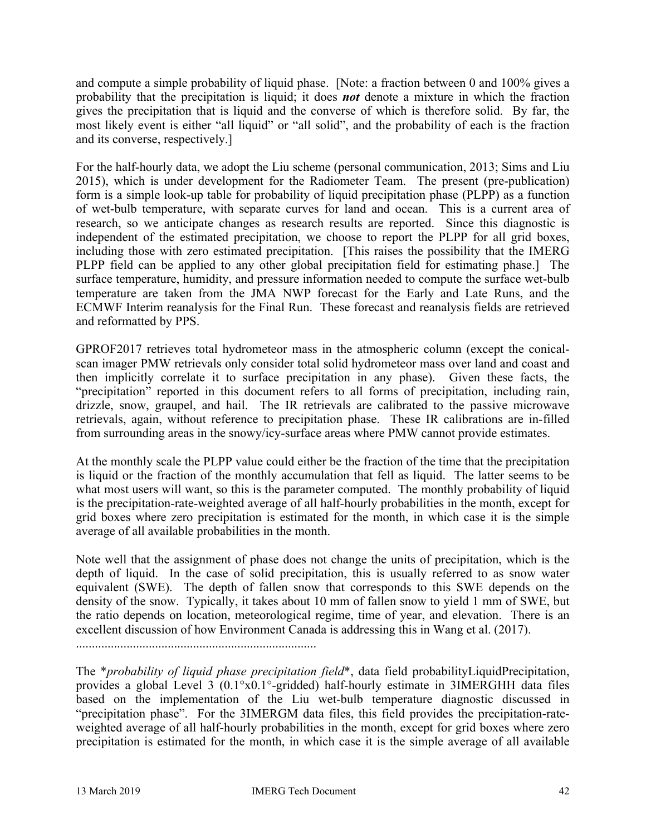and compute a simple probability of liquid phase. [Note: a fraction between 0 and 100% gives a probability that the precipitation is liquid; it does *not* denote a mixture in which the fraction gives the precipitation that is liquid and the converse of which is therefore solid. By far, the most likely event is either "all liquid" or "all solid", and the probability of each is the fraction and its converse, respectively.]

For the half-hourly data, we adopt the Liu scheme (personal communication, 2013; Sims and Liu 2015), which is under development for the Radiometer Team. The present (pre-publication) form is a simple look-up table for probability of liquid precipitation phase (PLPP) as a function of wet-bulb temperature, with separate curves for land and ocean. This is a current area of research, so we anticipate changes as research results are reported. Since this diagnostic is independent of the estimated precipitation, we choose to report the PLPP for all grid boxes, including those with zero estimated precipitation. [This raises the possibility that the IMERG PLPP field can be applied to any other global precipitation field for estimating phase.] The surface temperature, humidity, and pressure information needed to compute the surface wet-bulb temperature are taken from the JMA NWP forecast for the Early and Late Runs, and the ECMWF Interim reanalysis for the Final Run. These forecast and reanalysis fields are retrieved and reformatted by PPS.

GPROF2017 retrieves total hydrometeor mass in the atmospheric column (except the conicalscan imager PMW retrievals only consider total solid hydrometeor mass over land and coast and then implicitly correlate it to surface precipitation in any phase). Given these facts, the "precipitation" reported in this document refers to all forms of precipitation, including rain, drizzle, snow, graupel, and hail. The IR retrievals are calibrated to the passive microwave retrievals, again, without reference to precipitation phase. These IR calibrations are in-filled from surrounding areas in the snowy/icy-surface areas where PMW cannot provide estimates.

At the monthly scale the PLPP value could either be the fraction of the time that the precipitation is liquid or the fraction of the monthly accumulation that fell as liquid. The latter seems to be what most users will want, so this is the parameter computed. The monthly probability of liquid is the precipitation-rate-weighted average of all half-hourly probabilities in the month, except for grid boxes where zero precipitation is estimated for the month, in which case it is the simple average of all available probabilities in the month.

Note well that the assignment of phase does not change the units of precipitation, which is the depth of liquid. In the case of solid precipitation, this is usually referred to as snow water equivalent (SWE). The depth of fallen snow that corresponds to this SWE depends on the density of the snow. Typically, it takes about 10 mm of fallen snow to yield 1 mm of SWE, but the ratio depends on location, meteorological regime, time of year, and elevation. There is an excellent discussion of how Environment Canada is addressing this in Wang et al. (2017).

............................................................................

The \**probability of liquid phase precipitation field*\*, data field probabilityLiquidPrecipitation, provides a global Level 3 (0.1°x0.1°-gridded) half-hourly estimate in 3IMERGHH data files based on the implementation of the Liu wet-bulb temperature diagnostic discussed in "precipitation phase". For the 3IMERGM data files, this field provides the precipitation-rateweighted average of all half-hourly probabilities in the month, except for grid boxes where zero precipitation is estimated for the month, in which case it is the simple average of all available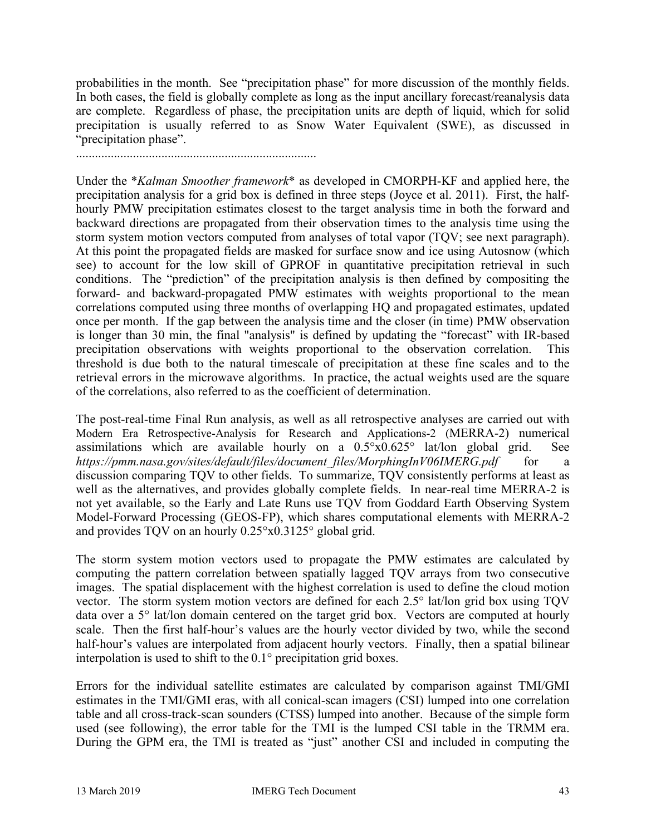probabilities in the month. See "precipitation phase" for more discussion of the monthly fields. In both cases, the field is globally complete as long as the input ancillary forecast/reanalysis data are complete. Regardless of phase, the precipitation units are depth of liquid, which for solid precipitation is usually referred to as Snow Water Equivalent (SWE), as discussed in "precipitation phase".

............................................................................

Under the \**Kalman Smoother framework*\* as developed in CMORPH-KF and applied here, the precipitation analysis for a grid box is defined in three steps (Joyce et al. 2011). First, the halfhourly PMW precipitation estimates closest to the target analysis time in both the forward and backward directions are propagated from their observation times to the analysis time using the storm system motion vectors computed from analyses of total vapor (TQV; see next paragraph). At this point the propagated fields are masked for surface snow and ice using Autosnow (which see) to account for the low skill of GPROF in quantitative precipitation retrieval in such conditions. The "prediction" of the precipitation analysis is then defined by compositing the forward- and backward-propagated PMW estimates with weights proportional to the mean correlations computed using three months of overlapping HQ and propagated estimates, updated once per month. If the gap between the analysis time and the closer (in time) PMW observation is longer than 30 min, the final "analysis" is defined by updating the "forecast" with IR-based precipitation observations with weights proportional to the observation correlation. This threshold is due both to the natural timescale of precipitation at these fine scales and to the retrieval errors in the microwave algorithms. In practice, the actual weights used are the square of the correlations, also referred to as the coefficient of determination.

The post-real-time Final Run analysis, as well as all retrospective analyses are carried out with Modern Era Retrospective-Analysis for Research and Applications-2 (MERRA-2) numerical assimilations which are available hourly on a 0.5°x0.625° lat/lon global grid. See *https://pmm.nasa.gov/sites/default/files/document\_files/MorphingInV06IMERG.pdf* for a discussion comparing TQV to other fields. To summarize, TQV consistently performs at least as well as the alternatives, and provides globally complete fields. In near-real time MERRA-2 is not yet available, so the Early and Late Runs use TQV from Goddard Earth Observing System Model-Forward Processing (GEOS-FP), which shares computational elements with MERRA-2 and provides TQV on an hourly 0.25°x0.3125° global grid.

The storm system motion vectors used to propagate the PMW estimates are calculated by computing the pattern correlation between spatially lagged TQV arrays from two consecutive images. The spatial displacement with the highest correlation is used to define the cloud motion vector. The storm system motion vectors are defined for each 2.5° lat/lon grid box using TQV data over a 5° lat/lon domain centered on the target grid box. Vectors are computed at hourly scale. Then the first half-hour's values are the hourly vector divided by two, while the second half-hour's values are interpolated from adjacent hourly vectors. Finally, then a spatial bilinear interpolation is used to shift to the 0.1° precipitation grid boxes.

Errors for the individual satellite estimates are calculated by comparison against TMI/GMI estimates in the TMI/GMI eras, with all conical-scan imagers (CSI) lumped into one correlation table and all cross-track-scan sounders (CTSS) lumped into another. Because of the simple form used (see following), the error table for the TMI is the lumped CSI table in the TRMM era. During the GPM era, the TMI is treated as "just" another CSI and included in computing the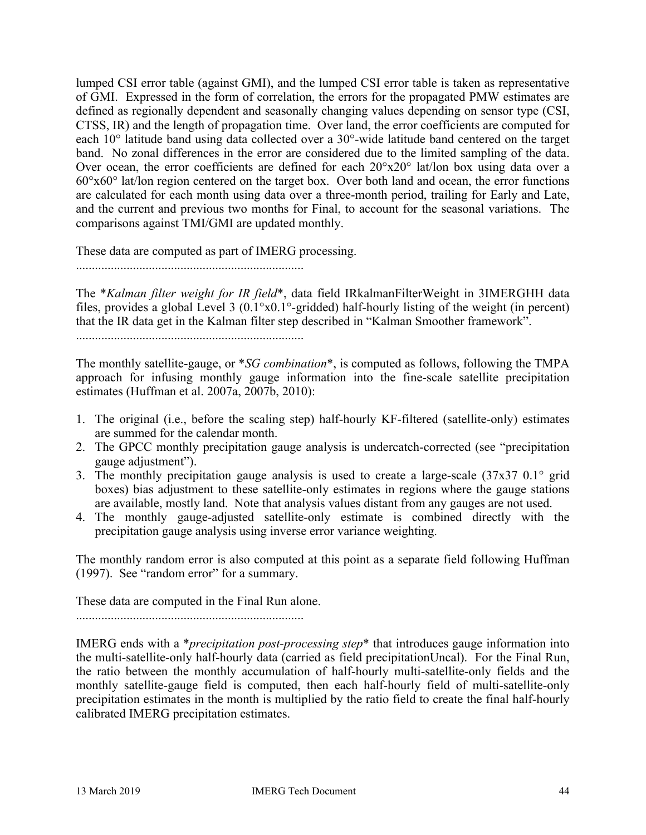lumped CSI error table (against GMI), and the lumped CSI error table is taken as representative of GMI. Expressed in the form of correlation, the errors for the propagated PMW estimates are defined as regionally dependent and seasonally changing values depending on sensor type (CSI, CTSS, IR) and the length of propagation time. Over land, the error coefficients are computed for each 10° latitude band using data collected over a 30°-wide latitude band centered on the target band. No zonal differences in the error are considered due to the limited sampling of the data. Over ocean, the error coefficients are defined for each 20°x20° lat/lon box using data over a 60°x60° lat/lon region centered on the target box. Over both land and ocean, the error functions are calculated for each month using data over a three-month period, trailing for Early and Late, and the current and previous two months for Final, to account for the seasonal variations. The comparisons against TMI/GMI are updated monthly.

These data are computed as part of IMERG processing.

........................................................................

The \**Kalman filter weight for IR field*\*, data field IRkalmanFilterWeight in 3IMERGHH data files, provides a global Level 3 (0.1°x0.1°-gridded) half-hourly listing of the weight (in percent) that the IR data get in the Kalman filter step described in "Kalman Smoother framework".

........................................................................

The monthly satellite-gauge, or \**SG combination*\*, is computed as follows, following the TMPA approach for infusing monthly gauge information into the fine-scale satellite precipitation estimates (Huffman et al. 2007a, 2007b, 2010):

- 1. The original (i.e., before the scaling step) half-hourly KF-filtered (satellite-only) estimates are summed for the calendar month.
- 2. The GPCC monthly precipitation gauge analysis is undercatch-corrected (see "precipitation gauge adjustment").
- 3. The monthly precipitation gauge analysis is used to create a large-scale (37x37 0.1° grid boxes) bias adjustment to these satellite-only estimates in regions where the gauge stations are available, mostly land. Note that analysis values distant from any gauges are not used.
- 4. The monthly gauge-adjusted satellite-only estimate is combined directly with the precipitation gauge analysis using inverse error variance weighting.

The monthly random error is also computed at this point as a separate field following Huffman (1997). See "random error" for a summary.

These data are computed in the Final Run alone.

........................................................................

IMERG ends with a \**precipitation post-processing step*\* that introduces gauge information into the multi-satellite-only half-hourly data (carried as field precipitationUncal). For the Final Run, the ratio between the monthly accumulation of half-hourly multi-satellite-only fields and the monthly satellite-gauge field is computed, then each half-hourly field of multi-satellite-only precipitation estimates in the month is multiplied by the ratio field to create the final half-hourly calibrated IMERG precipitation estimates.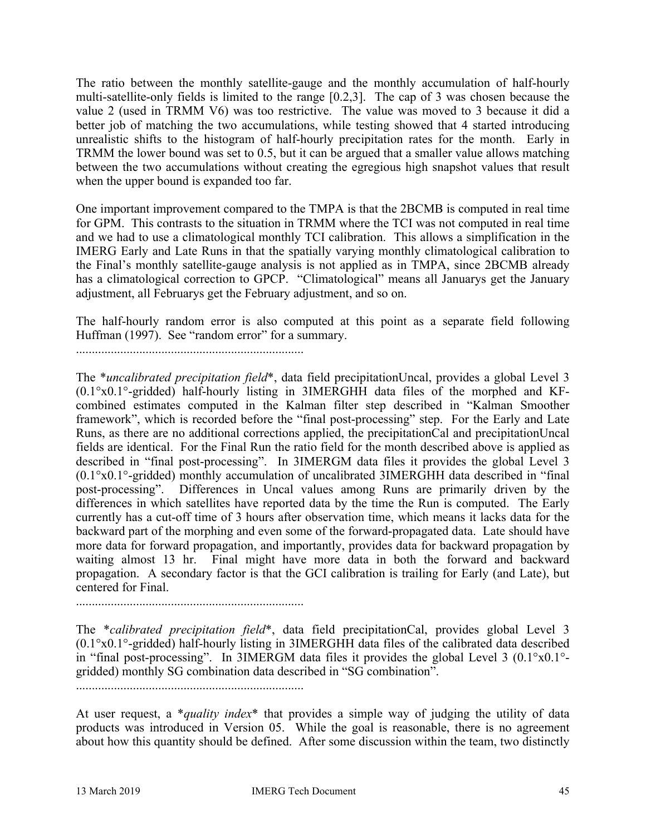The ratio between the monthly satellite-gauge and the monthly accumulation of half-hourly multi-satellite-only fields is limited to the range [0.2,3]. The cap of 3 was chosen because the value 2 (used in TRMM V6) was too restrictive. The value was moved to 3 because it did a better job of matching the two accumulations, while testing showed that 4 started introducing unrealistic shifts to the histogram of half-hourly precipitation rates for the month. Early in TRMM the lower bound was set to 0.5, but it can be argued that a smaller value allows matching between the two accumulations without creating the egregious high snapshot values that result when the upper bound is expanded too far.

One important improvement compared to the TMPA is that the 2BCMB is computed in real time for GPM. This contrasts to the situation in TRMM where the TCI was not computed in real time and we had to use a climatological monthly TCI calibration. This allows a simplification in the IMERG Early and Late Runs in that the spatially varying monthly climatological calibration to the Final's monthly satellite-gauge analysis is not applied as in TMPA, since 2BCMB already has a climatological correction to GPCP. "Climatological" means all Januarys get the January adjustment, all Februarys get the February adjustment, and so on.

The half-hourly random error is also computed at this point as a separate field following Huffman (1997). See "random error" for a summary.

........................................................................

The \**uncalibrated precipitation field*\*, data field precipitationUncal, provides a global Level 3 (0.1°x0.1°-gridded) half-hourly listing in 3IMERGHH data files of the morphed and KFcombined estimates computed in the Kalman filter step described in "Kalman Smoother framework", which is recorded before the "final post-processing" step. For the Early and Late Runs, as there are no additional corrections applied, the precipitationCal and precipitationUncal fields are identical. For the Final Run the ratio field for the month described above is applied as described in "final post-processing". In 3IMERGM data files it provides the global Level 3 (0.1°x0.1°-gridded) monthly accumulation of uncalibrated 3IMERGHH data described in "final post-processing". Differences in Uncal values among Runs are primarily driven by the differences in which satellites have reported data by the time the Run is computed. The Early currently has a cut-off time of 3 hours after observation time, which means it lacks data for the backward part of the morphing and even some of the forward-propagated data. Late should have more data for forward propagation, and importantly, provides data for backward propagation by waiting almost 13 hr. Final might have more data in both the forward and backward propagation. A secondary factor is that the GCI calibration is trailing for Early (and Late), but centered for Final.

........................................................................

The \**calibrated precipitation field*\*, data field precipitationCal, provides global Level 3 (0.1°x0.1°-gridded) half-hourly listing in 3IMERGHH data files of the calibrated data described in "final post-processing". In 3IMERGM data files it provides the global Level 3 (0.1°x0.1° gridded) monthly SG combination data described in "SG combination".

........................................................................

At user request, a \**quality index*\* that provides a simple way of judging the utility of data products was introduced in Version 05. While the goal is reasonable, there is no agreement about how this quantity should be defined. After some discussion within the team, two distinctly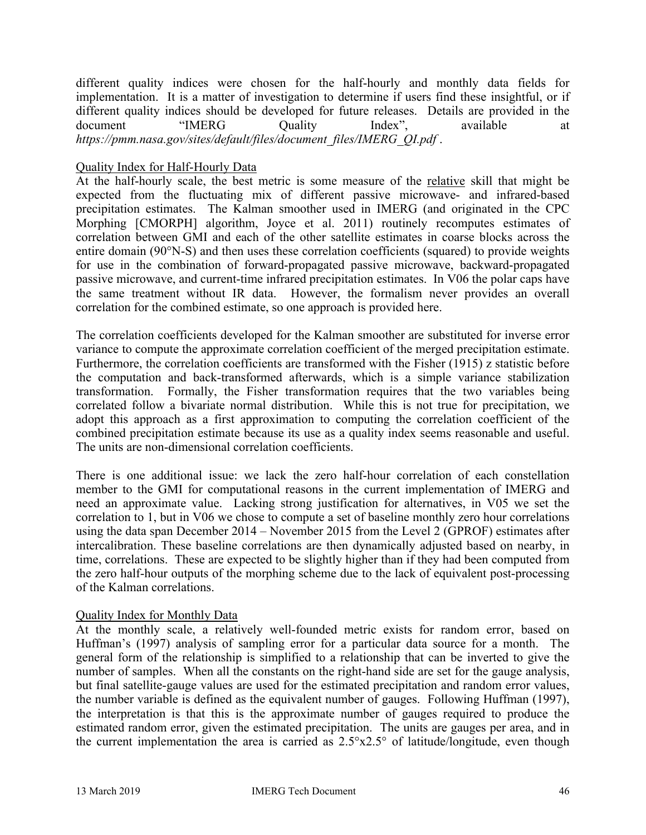different quality indices were chosen for the half-hourly and monthly data fields for implementation. It is a matter of investigation to determine if users find these insightful, or if different quality indices should be developed for future releases. Details are provided in the document "IMERG Quality Index", available at *https://pmm.nasa.gov/sites/default/files/document\_files/IMERG\_QI.pdf* .

### Quality Index for Half-Hourly Data

At the half-hourly scale, the best metric is some measure of the relative skill that might be expected from the fluctuating mix of different passive microwave- and infrared-based precipitation estimates. The Kalman smoother used in IMERG (and originated in the CPC Morphing [CMORPH] algorithm, Joyce et al. 2011) routinely recomputes estimates of correlation between GMI and each of the other satellite estimates in coarse blocks across the entire domain (90°N-S) and then uses these correlation coefficients (squared) to provide weights for use in the combination of forward-propagated passive microwave, backward-propagated passive microwave, and current-time infrared precipitation estimates. In V06 the polar caps have the same treatment without IR data. However, the formalism never provides an overall correlation for the combined estimate, so one approach is provided here.

The correlation coefficients developed for the Kalman smoother are substituted for inverse error variance to compute the approximate correlation coefficient of the merged precipitation estimate. Furthermore, the correlation coefficients are transformed with the Fisher (1915) z statistic before the computation and back-transformed afterwards, which is a simple variance stabilization transformation. Formally, the Fisher transformation requires that the two variables being correlated follow a bivariate normal distribution. While this is not true for precipitation, we adopt this approach as a first approximation to computing the correlation coefficient of the combined precipitation estimate because its use as a quality index seems reasonable and useful. The units are non-dimensional correlation coefficients.

There is one additional issue: we lack the zero half-hour correlation of each constellation member to the GMI for computational reasons in the current implementation of IMERG and need an approximate value. Lacking strong justification for alternatives, in V05 we set the correlation to 1, but in V06 we chose to compute a set of baseline monthly zero hour correlations using the data span December 2014 – November 2015 from the Level 2 (GPROF) estimates after intercalibration. These baseline correlations are then dynamically adjusted based on nearby, in time, correlations. These are expected to be slightly higher than if they had been computed from the zero half-hour outputs of the morphing scheme due to the lack of equivalent post-processing of the Kalman correlations.

### Quality Index for Monthly Data

At the monthly scale, a relatively well-founded metric exists for random error, based on Huffman's (1997) analysis of sampling error for a particular data source for a month. The general form of the relationship is simplified to a relationship that can be inverted to give the number of samples. When all the constants on the right-hand side are set for the gauge analysis, but final satellite-gauge values are used for the estimated precipitation and random error values, the number variable is defined as the equivalent number of gauges. Following Huffman (1997), the interpretation is that this is the approximate number of gauges required to produce the estimated random error, given the estimated precipitation. The units are gauges per area, and in the current implementation the area is carried as  $2.5^{\circ}x2.5^{\circ}$  of latitude/longitude, even though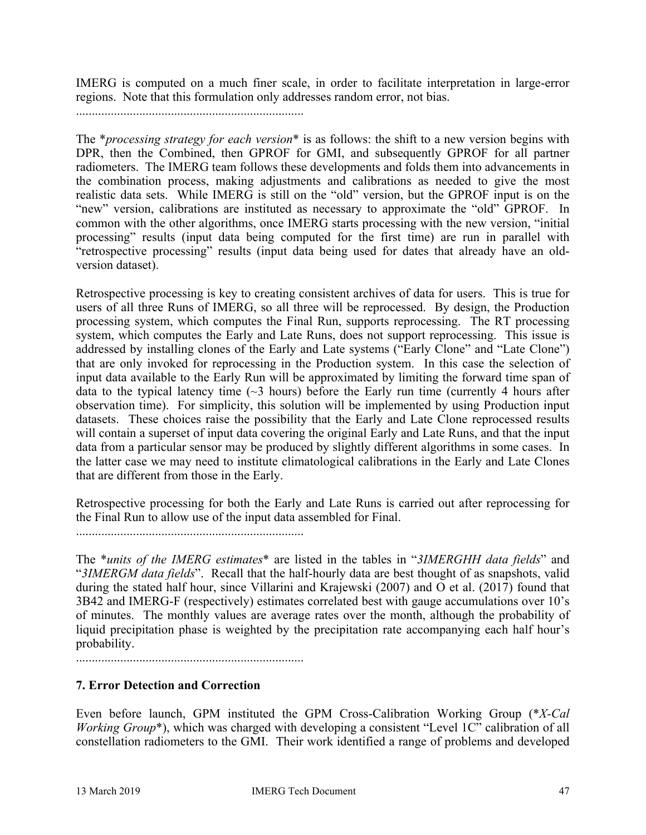IMERG is computed on a much finer scale, in order to facilitate interpretation in large-error regions. Note that this formulation only addresses random error, not bias.

........................................................................

The \**processing strategy for each version*\* is as follows: the shift to a new version begins with DPR, then the Combined, then GPROF for GMI, and subsequently GPROF for all partner radiometers. The IMERG team follows these developments and folds them into advancements in the combination process, making adjustments and calibrations as needed to give the most realistic data sets. While IMERG is still on the "old" version, but the GPROF input is on the "new" version, calibrations are instituted as necessary to approximate the "old" GPROF. In common with the other algorithms, once IMERG starts processing with the new version, "initial processing" results (input data being computed for the first time) are run in parallel with "retrospective processing" results (input data being used for dates that already have an oldversion dataset).

Retrospective processing is key to creating consistent archives of data for users. This is true for users of all three Runs of IMERG, so all three will be reprocessed. By design, the Production processing system, which computes the Final Run, supports reprocessing. The RT processing system, which computes the Early and Late Runs, does not support reprocessing. This issue is addressed by installing clones of the Early and Late systems ("Early Clone" and "Late Clone") that are only invoked for reprocessing in the Production system. In this case the selection of input data available to the Early Run will be approximated by limiting the forward time span of data to the typical latency time  $(\sim 3$  hours) before the Early run time (currently 4 hours after observation time). For simplicity, this solution will be implemented by using Production input datasets. These choices raise the possibility that the Early and Late Clone reprocessed results will contain a superset of input data covering the original Early and Late Runs, and that the input data from a particular sensor may be produced by slightly different algorithms in some cases. In the latter case we may need to institute climatological calibrations in the Early and Late Clones that are different from those in the Early.

Retrospective processing for both the Early and Late Runs is carried out after reprocessing for the Final Run to allow use of the input data assembled for Final.

........................................................................

The \**units of the IMERG estimates*\* are listed in the tables in "*3IMERGHH data fields*" and "*3IMERGM data fields*". Recall that the half-hourly data are best thought of as snapshots, valid during the stated half hour, since Villarini and Krajewski (2007) and O et al. (2017) found that 3B42 and IMERG-F (respectively) estimates correlated best with gauge accumulations over 10's of minutes. The monthly values are average rates over the month, although the probability of liquid precipitation phase is weighted by the precipitation rate accompanying each half hour's probability.

........................................................................

# **7. Error Detection and Correction**

Even before launch, GPM instituted the GPM Cross-Calibration Working Group (\**X-Cal Working Group*\*), which was charged with developing a consistent "Level 1C" calibration of all constellation radiometers to the GMI. Their work identified a range of problems and developed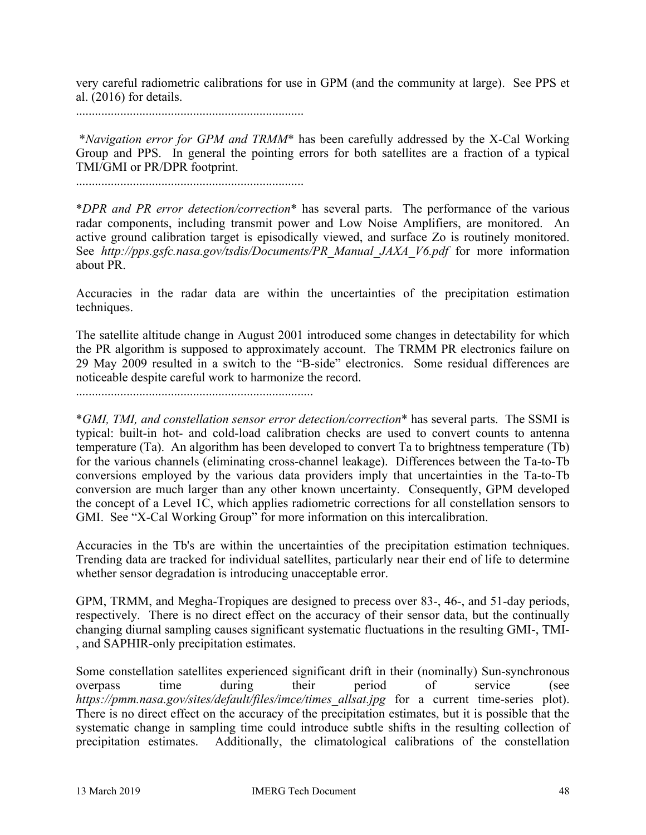very careful radiometric calibrations for use in GPM (and the community at large). See PPS et al. (2016) for details.

........................................................................

\**Navigation error for GPM and TRMM*\* has been carefully addressed by the X-Cal Working Group and PPS. In general the pointing errors for both satellites are a fraction of a typical TMI/GMI or PR/DPR footprint.

........................................................................

\**DPR and PR error detection/correction*\* has several parts. The performance of the various radar components, including transmit power and Low Noise Amplifiers, are monitored. An active ground calibration target is episodically viewed, and surface Zo is routinely monitored. See *http://pps.gsfc.nasa.gov/tsdis/Documents/PR\_Manual\_JAXA\_V6.pdf* for more information about PR.

Accuracies in the radar data are within the uncertainties of the precipitation estimation techniques.

The satellite altitude change in August 2001 introduced some changes in detectability for which the PR algorithm is supposed to approximately account. The TRMM PR electronics failure on 29 May 2009 resulted in a switch to the "B-side" electronics. Some residual differences are noticeable despite careful work to harmonize the record.

...........................................................................

\**GMI, TMI, and constellation sensor error detection/correction*\* has several parts. The SSMI is typical: built-in hot- and cold-load calibration checks are used to convert counts to antenna temperature (Ta). An algorithm has been developed to convert Ta to brightness temperature (Tb) for the various channels (eliminating cross-channel leakage). Differences between the Ta-to-Tb conversions employed by the various data providers imply that uncertainties in the Ta-to-Tb conversion are much larger than any other known uncertainty. Consequently, GPM developed the concept of a Level 1C, which applies radiometric corrections for all constellation sensors to GMI. See "X-Cal Working Group" for more information on this intercalibration.

Accuracies in the Tb's are within the uncertainties of the precipitation estimation techniques. Trending data are tracked for individual satellites, particularly near their end of life to determine whether sensor degradation is introducing unacceptable error.

GPM, TRMM, and Megha-Tropiques are designed to precess over 83-, 46-, and 51-day periods, respectively. There is no direct effect on the accuracy of their sensor data, but the continually changing diurnal sampling causes significant systematic fluctuations in the resulting GMI-, TMI- , and SAPHIR-only precipitation estimates.

Some constellation satellites experienced significant drift in their (nominally) Sun-synchronous overpass time during their period of service (see *https://pmm.nasa.gov/sites/default/files/imce/times\_allsat.jpg* for a current time-series plot). There is no direct effect on the accuracy of the precipitation estimates, but it is possible that the systematic change in sampling time could introduce subtle shifts in the resulting collection of precipitation estimates. Additionally, the climatological calibrations of the constellation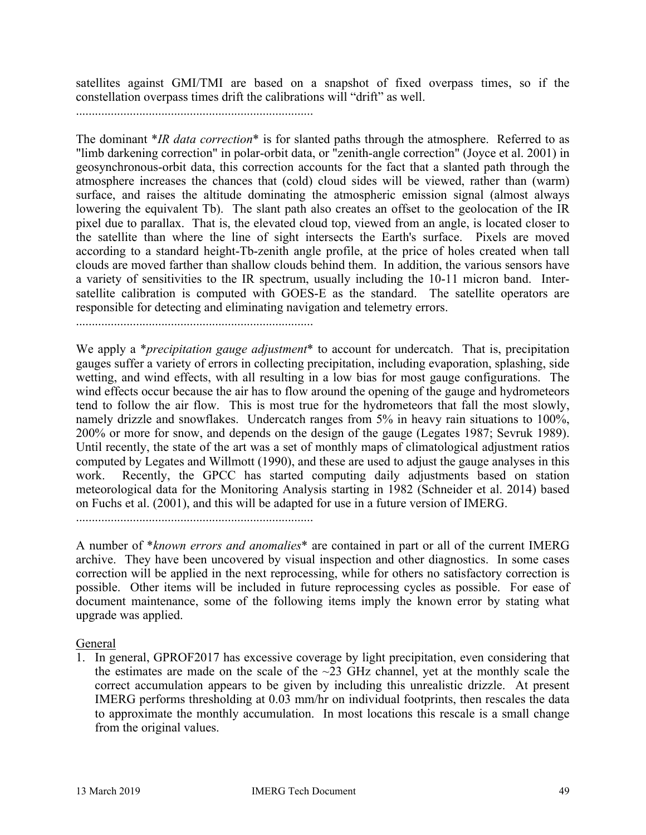satellites against GMI/TMI are based on a snapshot of fixed overpass times, so if the constellation overpass times drift the calibrations will "drift" as well.

...........................................................................

The dominant \**IR data correction*\* is for slanted paths through the atmosphere. Referred to as "limb darkening correction" in polar-orbit data, or "zenith-angle correction" (Joyce et al. 2001) in geosynchronous-orbit data, this correction accounts for the fact that a slanted path through the atmosphere increases the chances that (cold) cloud sides will be viewed, rather than (warm) surface, and raises the altitude dominating the atmospheric emission signal (almost always lowering the equivalent Tb). The slant path also creates an offset to the geolocation of the IR pixel due to parallax. That is, the elevated cloud top, viewed from an angle, is located closer to the satellite than where the line of sight intersects the Earth's surface. Pixels are moved according to a standard height-Tb-zenith angle profile, at the price of holes created when tall clouds are moved farther than shallow clouds behind them. In addition, the various sensors have a variety of sensitivities to the IR spectrum, usually including the 10-11 micron band. Intersatellite calibration is computed with GOES-E as the standard. The satellite operators are responsible for detecting and eliminating navigation and telemetry errors.

...........................................................................

We apply a \**precipitation gauge adjustment*\* to account for undercatch. That is, precipitation gauges suffer a variety of errors in collecting precipitation, including evaporation, splashing, side wetting, and wind effects, with all resulting in a low bias for most gauge configurations. The wind effects occur because the air has to flow around the opening of the gauge and hydrometeors tend to follow the air flow. This is most true for the hydrometeors that fall the most slowly, namely drizzle and snowflakes. Undercatch ranges from 5% in heavy rain situations to 100%, 200% or more for snow, and depends on the design of the gauge (Legates 1987; Sevruk 1989). Until recently, the state of the art was a set of monthly maps of climatological adjustment ratios computed by Legates and Willmott (1990), and these are used to adjust the gauge analyses in this work. Recently, the GPCC has started computing daily adjustments based on station meteorological data for the Monitoring Analysis starting in 1982 (Schneider et al. 2014) based on Fuchs et al. (2001), and this will be adapted for use in a future version of IMERG.

...........................................................................

A number of \**known errors and anomalies*\* are contained in part or all of the current IMERG archive. They have been uncovered by visual inspection and other diagnostics. In some cases correction will be applied in the next reprocessing, while for others no satisfactory correction is possible. Other items will be included in future reprocessing cycles as possible. For ease of document maintenance, some of the following items imply the known error by stating what upgrade was applied.

### **General**

1. In general, GPROF2017 has excessive coverage by light precipitation, even considering that the estimates are made on the scale of the  $\sim$ 23 GHz channel, yet at the monthly scale the correct accumulation appears to be given by including this unrealistic drizzle. At present IMERG performs thresholding at 0.03 mm/hr on individual footprints, then rescales the data to approximate the monthly accumulation. In most locations this rescale is a small change from the original values.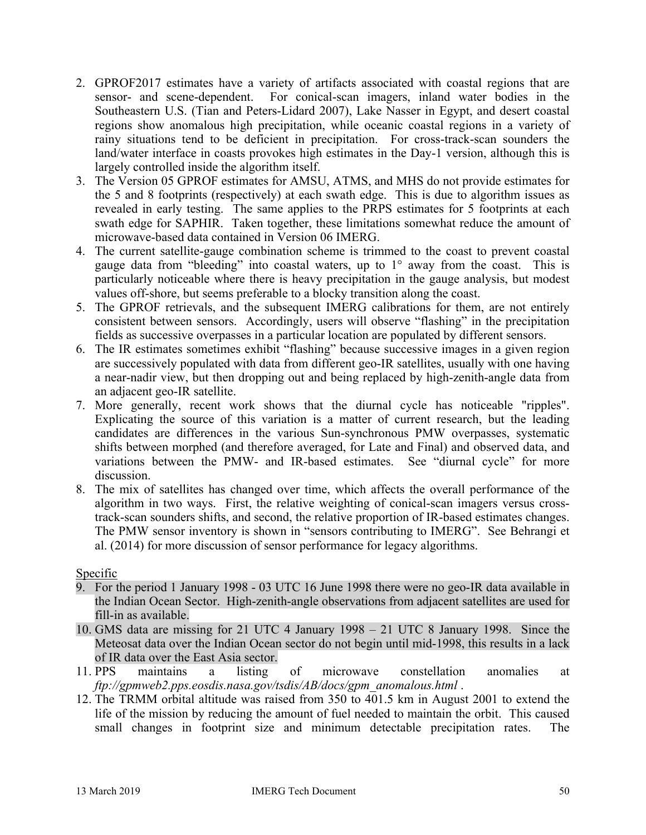- 2. GPROF2017 estimates have a variety of artifacts associated with coastal regions that are sensor- and scene-dependent. For conical-scan imagers, inland water bodies in the Southeastern U.S. (Tian and Peters-Lidard 2007), Lake Nasser in Egypt, and desert coastal regions show anomalous high precipitation, while oceanic coastal regions in a variety of rainy situations tend to be deficient in precipitation. For cross-track-scan sounders the land/water interface in coasts provokes high estimates in the Day-1 version, although this is largely controlled inside the algorithm itself.
- 3. The Version 05 GPROF estimates for AMSU, ATMS, and MHS do not provide estimates for the 5 and 8 footprints (respectively) at each swath edge. This is due to algorithm issues as revealed in early testing. The same applies to the PRPS estimates for 5 footprints at each swath edge for SAPHIR. Taken together, these limitations somewhat reduce the amount of microwave-based data contained in Version 06 IMERG.
- 4. The current satellite-gauge combination scheme is trimmed to the coast to prevent coastal gauge data from "bleeding" into coastal waters, up to  $1^\circ$  away from the coast. This is particularly noticeable where there is heavy precipitation in the gauge analysis, but modest values off-shore, but seems preferable to a blocky transition along the coast.
- 5. The GPROF retrievals, and the subsequent IMERG calibrations for them, are not entirely consistent between sensors. Accordingly, users will observe "flashing" in the precipitation fields as successive overpasses in a particular location are populated by different sensors.
- 6. The IR estimates sometimes exhibit "flashing" because successive images in a given region are successively populated with data from different geo-IR satellites, usually with one having a near-nadir view, but then dropping out and being replaced by high-zenith-angle data from an adjacent geo-IR satellite.
- 7. More generally, recent work shows that the diurnal cycle has noticeable "ripples". Explicating the source of this variation is a matter of current research, but the leading candidates are differences in the various Sun-synchronous PMW overpasses, systematic shifts between morphed (and therefore averaged, for Late and Final) and observed data, and variations between the PMW- and IR-based estimates. See "diurnal cycle" for more discussion.
- 8. The mix of satellites has changed over time, which affects the overall performance of the algorithm in two ways. First, the relative weighting of conical-scan imagers versus crosstrack-scan sounders shifts, and second, the relative proportion of IR-based estimates changes. The PMW sensor inventory is shown in "sensors contributing to IMERG". See Behrangi et al. (2014) for more discussion of sensor performance for legacy algorithms.

# Specific

- 9. For the period 1 January 1998 03 UTC 16 June 1998 there were no geo-IR data available in the Indian Ocean Sector. High-zenith-angle observations from adjacent satellites are used for fill-in as available.
- 10. GMS data are missing for 21 UTC 4 January 1998 21 UTC 8 January 1998. Since the Meteosat data over the Indian Ocean sector do not begin until mid-1998, this results in a lack of IR data over the East Asia sector.
- 11. PPS maintains a listing of microwave constellation anomalies at *ftp://gpmweb2.pps.eosdis.nasa.gov/tsdis/AB/docs/gpm\_anomalous.html* .
- 12. The TRMM orbital altitude was raised from 350 to 401.5 km in August 2001 to extend the life of the mission by reducing the amount of fuel needed to maintain the orbit. This caused small changes in footprint size and minimum detectable precipitation rates. The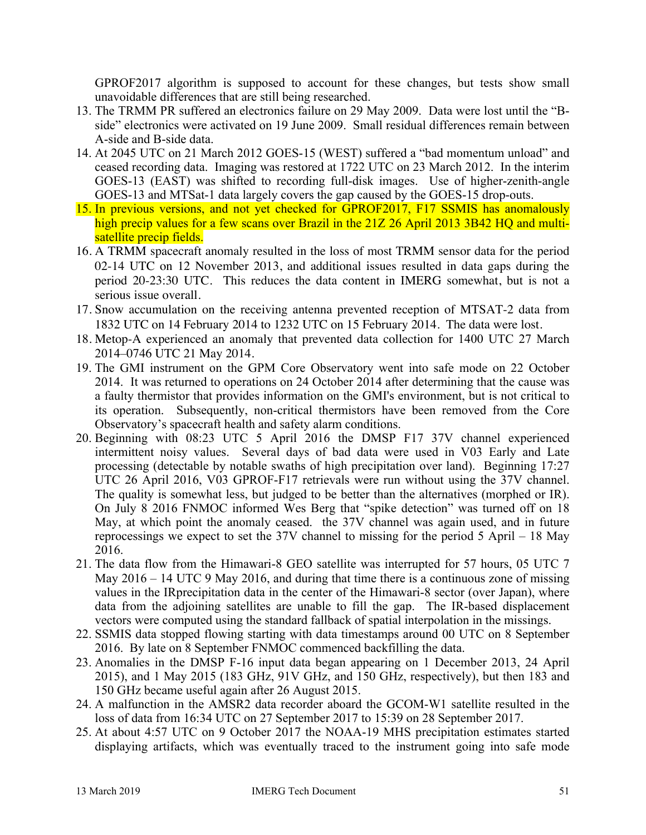GPROF2017 algorithm is supposed to account for these changes, but tests show small unavoidable differences that are still being researched.

- 13. The TRMM PR suffered an electronics failure on 29 May 2009. Data were lost until the "Bside" electronics were activated on 19 June 2009. Small residual differences remain between A-side and B-side data.
- 14. At 2045 UTC on 21 March 2012 GOES-15 (WEST) suffered a "bad momentum unload" and ceased recording data. Imaging was restored at 1722 UTC on 23 March 2012. In the interim GOES-13 (EAST) was shifted to recording full-disk images. Use of higher-zenith-angle GOES-13 and MTSat-1 data largely covers the gap caused by the GOES-15 drop-outs.
- 15. In previous versions, and not yet checked for GPROF2017, F17 SSMIS has anomalously high precip values for a few scans over Brazil in the 21Z 26 April 2013 3B42 HQ and multisatellite precip fields.
- 16. A TRMM spacecraft anomaly resulted in the loss of most TRMM sensor data for the period 02-14 UTC on 12 November 2013, and additional issues resulted in data gaps during the period 20-23:30 UTC. This reduces the data content in IMERG somewhat, but is not a serious issue overall.
- 17. Snow accumulation on the receiving antenna prevented reception of MTSAT-2 data from 1832 UTC on 14 February 2014 to 1232 UTC on 15 February 2014. The data were lost.
- 18. Metop-A experienced an anomaly that prevented data collection for 1400 UTC 27 March 2014–0746 UTC 21 May 2014.
- 19. The GMI instrument on the GPM Core Observatory went into safe mode on 22 October 2014. It was returned to operations on 24 October 2014 after determining that the cause was a faulty thermistor that provides information on the GMI's environment, but is not critical to its operation. Subsequently, non-critical thermistors have been removed from the Core Observatory's spacecraft health and safety alarm conditions.
- 20. Beginning with 08:23 UTC 5 April 2016 the DMSP F17 37V channel experienced intermittent noisy values. Several days of bad data were used in V03 Early and Late processing (detectable by notable swaths of high precipitation over land). Beginning 17:27 UTC 26 April 2016, V03 GPROF-F17 retrievals were run without using the 37V channel. The quality is somewhat less, but judged to be better than the alternatives (morphed or IR). On July 8 2016 FNMOC informed Wes Berg that "spike detection" was turned off on 18 May, at which point the anomaly ceased. the 37V channel was again used, and in future reprocessings we expect to set the 37V channel to missing for the period 5 April – 18 May 2016.
- 21. The data flow from the Himawari-8 GEO satellite was interrupted for 57 hours, 05 UTC 7 May 2016 – 14 UTC 9 May 2016, and during that time there is a continuous zone of missing values in the IRprecipitation data in the center of the Himawari-8 sector (over Japan), where data from the adjoining satellites are unable to fill the gap. The IR-based displacement vectors were computed using the standard fallback of spatial interpolation in the missings.
- 22. SSMIS data stopped flowing starting with data timestamps around 00 UTC on 8 September 2016. By late on 8 September FNMOC commenced backfilling the data.
- 23. Anomalies in the DMSP F-16 input data began appearing on 1 December 2013, 24 April 2015), and 1 May 2015 (183 GHz, 91V GHz, and 150 GHz, respectively), but then 183 and 150 GHz became useful again after 26 August 2015.
- 24. A malfunction in the AMSR2 data recorder aboard the GCOM-W1 satellite resulted in the loss of data from 16:34 UTC on 27 September 2017 to 15:39 on 28 September 2017.
- 25. At about 4:57 UTC on 9 October 2017 the NOAA-19 MHS precipitation estimates started displaying artifacts, which was eventually traced to the instrument going into safe mode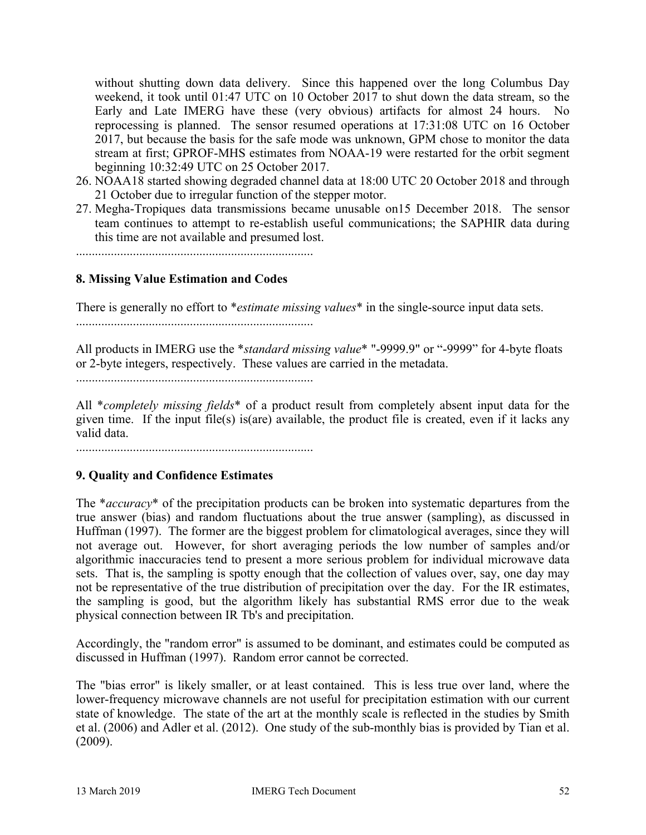without shutting down data delivery. Since this happened over the long Columbus Day weekend, it took until 01:47 UTC on 10 October 2017 to shut down the data stream, so the Early and Late IMERG have these (very obvious) artifacts for almost 24 hours. No reprocessing is planned. The sensor resumed operations at 17:31:08 UTC on 16 October 2017, but because the basis for the safe mode was unknown, GPM chose to monitor the data stream at first; GPROF-MHS estimates from NOAA-19 were restarted for the orbit segment beginning 10:32:49 UTC on 25 October 2017.

- 26. NOAA18 started showing degraded channel data at 18:00 UTC 20 October 2018 and through 21 October due to irregular function of the stepper motor.
- 27. Megha-Tropiques data transmissions became unusable on15 December 2018. The sensor team continues to attempt to re-establish useful communications; the SAPHIR data during this time are not available and presumed lost.

...........................................................................

## **8. Missing Value Estimation and Codes**

There is generally no effort to \**estimate missing values*\* in the single-source input data sets. ...........................................................................

All products in IMERG use the \**standard missing value*\* "-9999.9" or "-9999" for 4-byte floats or 2-byte integers, respectively. These values are carried in the metadata.

...........................................................................

All \**completely missing fields*\* of a product result from completely absent input data for the given time. If the input file(s) is(are) available, the product file is created, even if it lacks any valid data.

...........................................................................

# **9. Quality and Confidence Estimates**

The \**accuracy*\* of the precipitation products can be broken into systematic departures from the true answer (bias) and random fluctuations about the true answer (sampling), as discussed in Huffman (1997). The former are the biggest problem for climatological averages, since they will not average out. However, for short averaging periods the low number of samples and/or algorithmic inaccuracies tend to present a more serious problem for individual microwave data sets. That is, the sampling is spotty enough that the collection of values over, say, one day may not be representative of the true distribution of precipitation over the day. For the IR estimates, the sampling is good, but the algorithm likely has substantial RMS error due to the weak physical connection between IR Tb's and precipitation.

Accordingly, the "random error" is assumed to be dominant, and estimates could be computed as discussed in Huffman (1997). Random error cannot be corrected.

The "bias error" is likely smaller, or at least contained. This is less true over land, where the lower-frequency microwave channels are not useful for precipitation estimation with our current state of knowledge. The state of the art at the monthly scale is reflected in the studies by Smith et al. (2006) and Adler et al. (2012). One study of the sub-monthly bias is provided by Tian et al. (2009).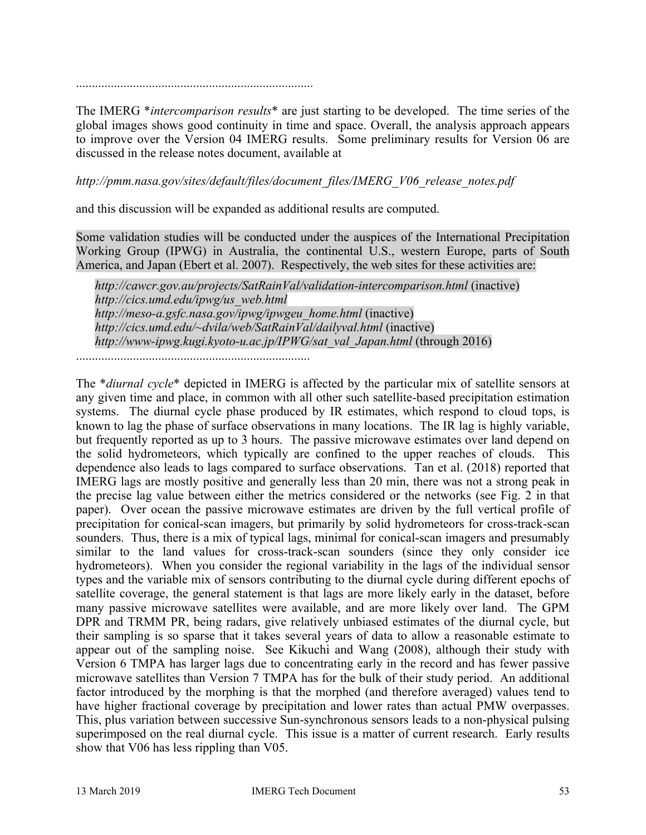...........................................................................

The IMERG \**intercomparison results*\* are just starting to be developed. The time series of the global images shows good continuity in time and space. Overall, the analysis approach appears to improve over the Version 04 IMERG results. Some preliminary results for Version 06 are discussed in the release notes document, available at

*http://pmm.nasa.gov/sites/default/files/document\_files/IMERG\_V06\_release\_notes.pdf*

and this discussion will be expanded as additional results are computed.

Some validation studies will be conducted under the auspices of the International Precipitation Working Group (IPWG) in Australia, the continental U.S., western Europe, parts of South America, and Japan (Ebert et al. 2007). Respectively, the web sites for these activities are:

*http://cawcr.gov.au/projects/SatRainVal/validation-intercomparison.html* (inactive) *http://cics.umd.edu/ipwg/us\_web.html http://meso-a.gsfc.nasa.gov/ipwg/ipwgeu\_home.html* (inactive) *http://cics.umd.edu/~dvila/web/SatRainVal/dailyval.html* (inactive) *http://www-ipwg.kugi.kyoto-u.ac.jp/IPWG/sat\_val\_Japan.html* (through 2016)

..........................................................................

The \**diurnal cycle*\* depicted in IMERG is affected by the particular mix of satellite sensors at any given time and place, in common with all other such satellite-based precipitation estimation systems. The diurnal cycle phase produced by IR estimates, which respond to cloud tops, is known to lag the phase of surface observations in many locations. The IR lag is highly variable, but frequently reported as up to 3 hours. The passive microwave estimates over land depend on the solid hydrometeors, which typically are confined to the upper reaches of clouds. This dependence also leads to lags compared to surface observations. Tan et al. (2018) reported that IMERG lags are mostly positive and generally less than 20 min, there was not a strong peak in the precise lag value between either the metrics considered or the networks (see Fig. 2 in that paper). Over ocean the passive microwave estimates are driven by the full vertical profile of precipitation for conical-scan imagers, but primarily by solid hydrometeors for cross-track-scan sounders. Thus, there is a mix of typical lags, minimal for conical-scan imagers and presumably similar to the land values for cross-track-scan sounders (since they only consider ice hydrometeors). When you consider the regional variability in the lags of the individual sensor types and the variable mix of sensors contributing to the diurnal cycle during different epochs of satellite coverage, the general statement is that lags are more likely early in the dataset, before many passive microwave satellites were available, and are more likely over land. The GPM DPR and TRMM PR, being radars, give relatively unbiased estimates of the diurnal cycle, but their sampling is so sparse that it takes several years of data to allow a reasonable estimate to appear out of the sampling noise. See Kikuchi and Wang (2008), although their study with Version 6 TMPA has larger lags due to concentrating early in the record and has fewer passive microwave satellites than Version 7 TMPA has for the bulk of their study period. An additional factor introduced by the morphing is that the morphed (and therefore averaged) values tend to have higher fractional coverage by precipitation and lower rates than actual PMW overpasses. This, plus variation between successive Sun-synchronous sensors leads to a non-physical pulsing superimposed on the real diurnal cycle. This issue is a matter of current research. Early results show that V06 has less rippling than V05.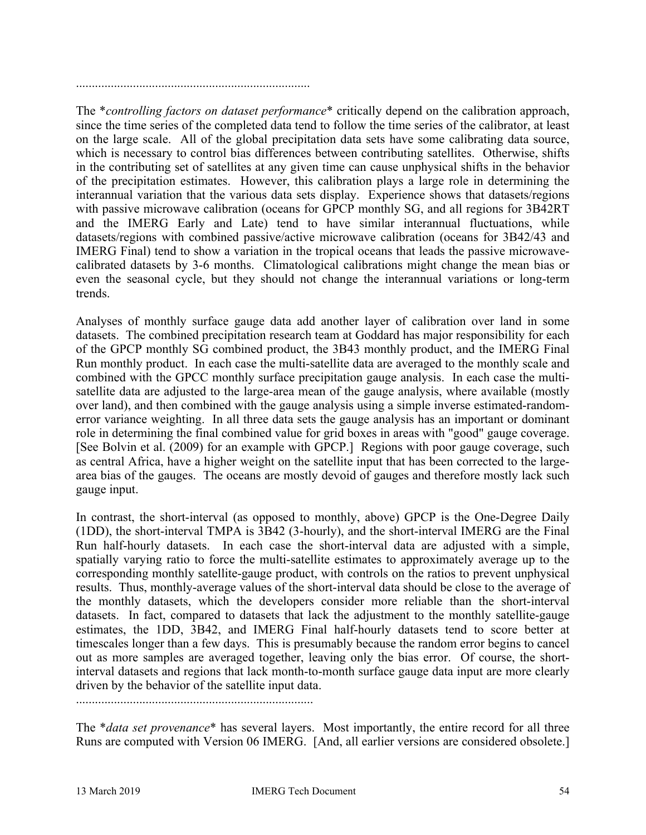..........................................................................

The \**controlling factors on dataset performance*\* critically depend on the calibration approach, since the time series of the completed data tend to follow the time series of the calibrator, at least on the large scale. All of the global precipitation data sets have some calibrating data source, which is necessary to control bias differences between contributing satellites. Otherwise, shifts in the contributing set of satellites at any given time can cause unphysical shifts in the behavior of the precipitation estimates. However, this calibration plays a large role in determining the interannual variation that the various data sets display. Experience shows that datasets/regions with passive microwave calibration (oceans for GPCP monthly SG, and all regions for 3B42RT and the IMERG Early and Late) tend to have similar interannual fluctuations, while datasets/regions with combined passive/active microwave calibration (oceans for 3B42/43 and IMERG Final) tend to show a variation in the tropical oceans that leads the passive microwavecalibrated datasets by 3-6 months. Climatological calibrations might change the mean bias or even the seasonal cycle, but they should not change the interannual variations or long-term trends.

Analyses of monthly surface gauge data add another layer of calibration over land in some datasets. The combined precipitation research team at Goddard has major responsibility for each of the GPCP monthly SG combined product, the 3B43 monthly product, and the IMERG Final Run monthly product. In each case the multi-satellite data are averaged to the monthly scale and combined with the GPCC monthly surface precipitation gauge analysis. In each case the multisatellite data are adjusted to the large-area mean of the gauge analysis, where available (mostly over land), and then combined with the gauge analysis using a simple inverse estimated-randomerror variance weighting. In all three data sets the gauge analysis has an important or dominant role in determining the final combined value for grid boxes in areas with "good" gauge coverage. [See Bolvin et al. (2009) for an example with GPCP.] Regions with poor gauge coverage, such as central Africa, have a higher weight on the satellite input that has been corrected to the largearea bias of the gauges. The oceans are mostly devoid of gauges and therefore mostly lack such gauge input.

In contrast, the short-interval (as opposed to monthly, above) GPCP is the One-Degree Daily (1DD), the short-interval TMPA is 3B42 (3-hourly), and the short-interval IMERG are the Final Run half-hourly datasets. In each case the short-interval data are adjusted with a simple, spatially varying ratio to force the multi-satellite estimates to approximately average up to the corresponding monthly satellite-gauge product, with controls on the ratios to prevent unphysical results. Thus, monthly-average values of the short-interval data should be close to the average of the monthly datasets, which the developers consider more reliable than the short-interval datasets. In fact, compared to datasets that lack the adjustment to the monthly satellite-gauge estimates, the 1DD, 3B42, and IMERG Final half-hourly datasets tend to score better at timescales longer than a few days. This is presumably because the random error begins to cancel out as more samples are averaged together, leaving only the bias error. Of course, the shortinterval datasets and regions that lack month-to-month surface gauge data input are more clearly driven by the behavior of the satellite input data.

...........................................................................

The \**data set provenance*\* has several layers. Most importantly, the entire record for all three Runs are computed with Version 06 IMERG. [And, all earlier versions are considered obsolete.]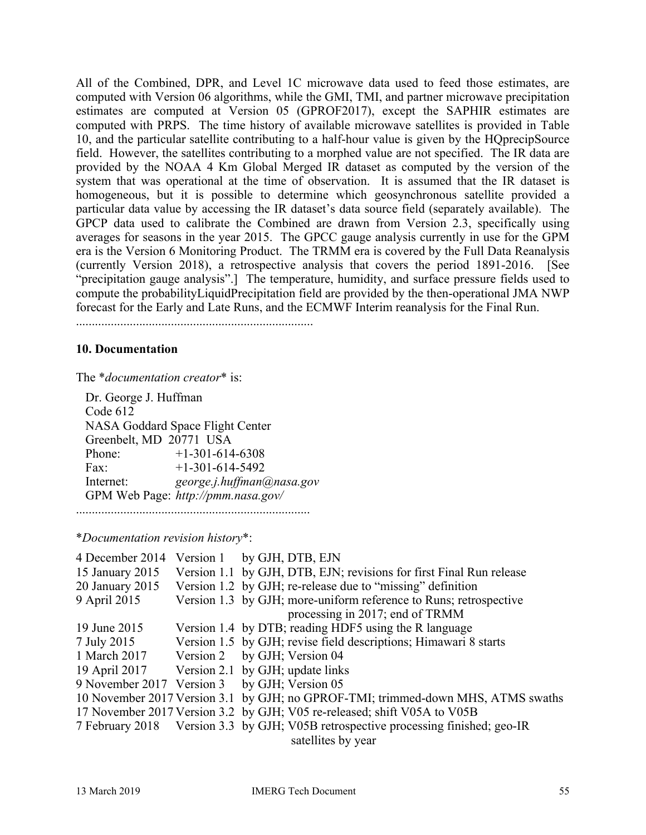All of the Combined, DPR, and Level 1C microwave data used to feed those estimates, are computed with Version 06 algorithms, while the GMI, TMI, and partner microwave precipitation estimates are computed at Version 05 (GPROF2017), except the SAPHIR estimates are computed with PRPS. The time history of available microwave satellites is provided in Table 10, and the particular satellite contributing to a half-hour value is given by the HQprecipSource field. However, the satellites contributing to a morphed value are not specified. The IR data are provided by the NOAA 4 Km Global Merged IR dataset as computed by the version of the system that was operational at the time of observation. It is assumed that the IR dataset is homogeneous, but it is possible to determine which geosynchronous satellite provided a particular data value by accessing the IR dataset's data source field (separately available). The GPCP data used to calibrate the Combined are drawn from Version 2.3, specifically using averages for seasons in the year 2015. The GPCC gauge analysis currently in use for the GPM era is the Version 6 Monitoring Product. The TRMM era is covered by the Full Data Reanalysis (currently Version 2018), a retrospective analysis that covers the period 1891-2016. [See "precipitation gauge analysis".] The temperature, humidity, and surface pressure fields used to compute the probabilityLiquidPrecipitation field are provided by the then-operational JMA NWP forecast for the Early and Late Runs, and the ECMWF Interim reanalysis for the Final Run.

...........................................................................

### **10. Documentation**

The \**documentation creator*\* is:

 Dr. George J. Huffman Code 612 NASA Goddard Space Flight Center Greenbelt, MD 20771 USA Phone: +1-301-614-6308 Fax:  $+1-301-614-5492$  Internet: *george.j.huffman@nasa.gov* GPM Web Page: *http://pmm.nasa.gov/* ..........................................................................

\**Documentation revision history*\*:

| 4 December 2014 | Version 1 by GJH, DTB, EJN                                                         |
|-----------------|------------------------------------------------------------------------------------|
| 15 January 2015 | Version 1.1 by GJH, DTB, EJN; revisions for first Final Run release                |
| 20 January 2015 | Version 1.2 by GJH; re-release due to "missing" definition                         |
| 9 April 2015    | Version 1.3 by GJH; more-uniform reference to Runs; retrospective                  |
|                 | processing in 2017; end of TRMM                                                    |
| 19 June 2015    | Version 1.4 by DTB; reading HDF5 using the R language                              |
| 7 July 2015     | Version 1.5 by GJH; revise field descriptions; Himawari 8 starts                   |
| 1 March 2017    | Version 2 by GJH; Version 04                                                       |
| 19 April 2017   | Version 2.1 by GJH; update links                                                   |
|                 | 9 November 2017 Version 3 by GJH; Version 05                                       |
|                 | 10 November 2017 Version 3.1 by GJH; no GPROF-TMI; trimmed-down MHS, ATMS swaths   |
|                 | 17 November 2017 Version 3.2 by GJH; V05 re-released; shift V05A to V05B           |
|                 | 7 February 2018 Version 3.3 by GJH; V05B retrospective processing finished; geo-IR |
|                 | satellites by year                                                                 |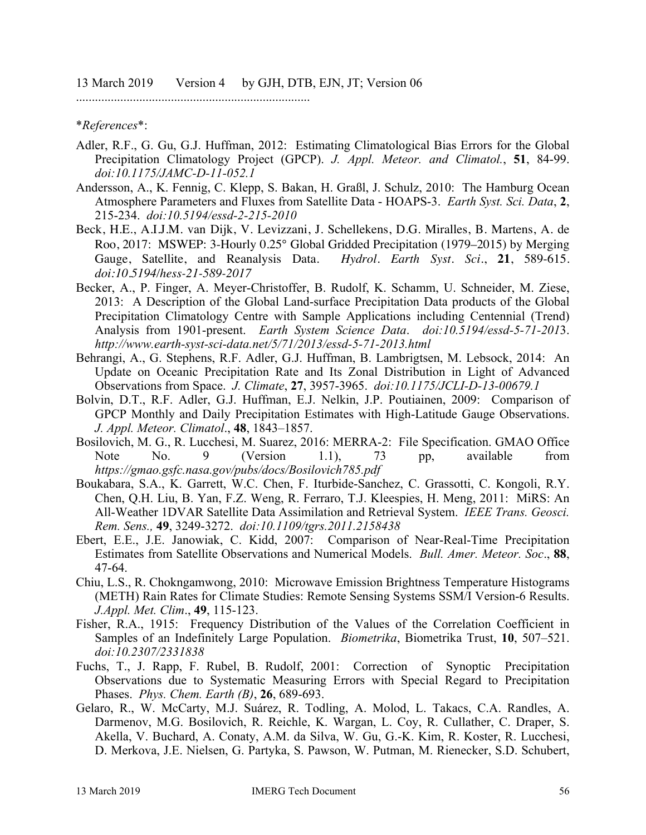..........................................................................

\**References*\*:

- Adler, R.F., G. Gu, G.J. Huffman, 2012: Estimating Climatological Bias Errors for the Global Precipitation Climatology Project (GPCP). *J. Appl. Meteor. and Climatol.*, **51**, 84-99. *doi:10.1175/JAMC-D-11-052.1*
- Andersson, A., K. Fennig, C. Klepp, S. Bakan, H. Graßl, J. Schulz, 2010: The Hamburg Ocean Atmosphere Parameters and Fluxes from Satellite Data - HOAPS-3. *Earth Syst. Sci. Data*, **2**, 215-234. *doi:10.5194/essd-2-215-2010*
- Beck, H.E., A.I.J.M. van Dijk, V. Levizzani, J. Schellekens, D.G. Miralles, B. Martens, A. de Roo, 2017: MSWEP: 3-Hourly 0.25° Global Gridded Precipitation (1979–2015) by Merging Gauge, Satellite, and Reanalysis Data. *Hydrol. Earth Syst. Sci*., **21**, 589-615. *doi:10.5194/hess-21-589-2017*
- Becker, A., P. Finger, A. Meyer-Christoffer, B. Rudolf, K. Schamm, U. Schneider, M. Ziese, 2013: A Description of the Global Land-surface Precipitation Data products of the Global Precipitation Climatology Centre with Sample Applications including Centennial (Trend) Analysis from 1901-present. *Earth System Science Data*. *doi:10.5194/essd-5-71-201*3. *http://www.earth-syst-sci-data.net/5/71/2013/essd-5-71-2013.html*
- Behrangi, A., G. Stephens, R.F. Adler, G.J. Huffman, B. Lambrigtsen, M. Lebsock, 2014: An Update on Oceanic Precipitation Rate and Its Zonal Distribution in Light of Advanced Observations from Space. *J. Climate*, **27**, 3957-3965. *doi:10.1175/JCLI-D-13-00679.1*
- Bolvin, D.T., R.F. Adler, G.J. Huffman, E.J. Nelkin, J.P. Poutiainen, 2009: Comparison of GPCP Monthly and Daily Precipitation Estimates with High-Latitude Gauge Observations. *J. Appl. Meteor. Climatol*., **48**, 1843–1857.
- Bosilovich, M. G., R. Lucchesi, M. Suarez, 2016: MERRA-2: File Specification. GMAO Office Note No. 9 (Version 1.1), 73 pp, available from *https://gmao.gsfc.nasa.gov/pubs/docs/Bosilovich785.pdf*
- Boukabara, S.A., K. Garrett, W.C. Chen, F. Iturbide-Sanchez, C. Grassotti, C. Kongoli, R.Y. Chen, Q.H. Liu, B. Yan, F.Z. Weng, R. Ferraro, T.J. Kleespies, H. Meng, 2011: MiRS: An All-Weather 1DVAR Satellite Data Assimilation and Retrieval System. *IEEE Trans. Geosci. Rem. Sens.,* **49**, 3249-3272. *doi:10.1109/tgrs.2011.2158438*
- Ebert, E.E., J.E. Janowiak, C. Kidd, 2007: Comparison of Near-Real-Time Precipitation Estimates from Satellite Observations and Numerical Models. *Bull. Amer. Meteor. Soc*., **88**, 47-64.
- Chiu, L.S., R. Chokngamwong, 2010: Microwave Emission Brightness Temperature Histograms (METH) Rain Rates for Climate Studies: Remote Sensing Systems SSM/I Version-6 Results. *J.Appl. Met. Clim*., **49**, 115-123.
- Fisher, R.A., 1915: Frequency Distribution of the Values of the Correlation Coefficient in Samples of an Indefinitely Large Population. *Biometrika*, Biometrika Trust, **10**, 507–521. *doi:10.2307/2331838*
- Fuchs, T., J. Rapp, F. Rubel, B. Rudolf, 2001: Correction of Synoptic Precipitation Observations due to Systematic Measuring Errors with Special Regard to Precipitation Phases. *Phys. Chem. Earth (B)*, **26**, 689-693.
- Gelaro, R., W. McCarty, M.J. Suárez, R. Todling, A. Molod, L. Takacs, C.A. Randles, A. Darmenov, M.G. Bosilovich, R. Reichle, K. Wargan, L. Coy, R. Cullather, C. Draper, S. Akella, V. Buchard, A. Conaty, A.M. da Silva, W. Gu, G.-K. Kim, R. Koster, R. Lucchesi, D. Merkova, J.E. Nielsen, G. Partyka, S. Pawson, W. Putman, M. Rienecker, S.D. Schubert,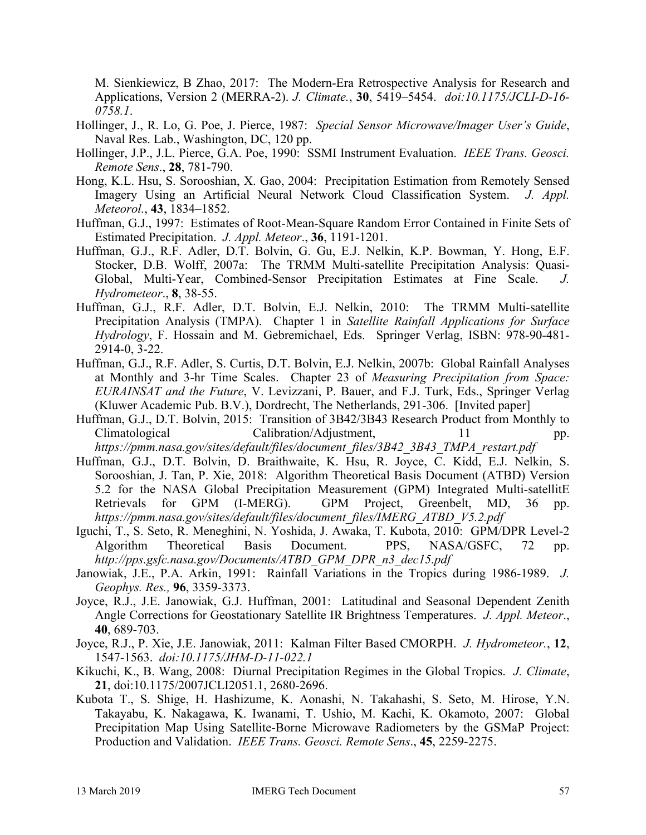M. Sienkiewicz, B Zhao, 2017: The Modern-Era Retrospective Analysis for Research and Applications, Version 2 (MERRA-2). *J. Climate.*, **30**, 5419–5454. *doi:10.1175/JCLI-D-16- 0758.1*.

- Hollinger, J., R. Lo, G. Poe, J. Pierce, 1987: *Special Sensor Microwave/Imager User's Guide*, Naval Res. Lab., Washington, DC, 120 pp.
- Hollinger, J.P., J.L. Pierce, G.A. Poe, 1990: SSMI Instrument Evaluation. *IEEE Trans. Geosci. Remote Sens*., **28**, 781-790.
- Hong, K.L. Hsu, S. Sorooshian, X. Gao, 2004: Precipitation Estimation from Remotely Sensed Imagery Using an Artificial Neural Network Cloud Classification System. *J. Appl. Meteorol.*, **43**, 1834–1852.
- Huffman, G.J., 1997: Estimates of Root-Mean-Square Random Error Contained in Finite Sets of Estimated Precipitation. *J. Appl. Meteor*., **36**, 1191-1201.
- Huffman, G.J., R.F. Adler, D.T. Bolvin, G. Gu, E.J. Nelkin, K.P. Bowman, Y. Hong, E.F. Stocker, D.B. Wolff, 2007a: The TRMM Multi-satellite Precipitation Analysis: Quasi-Global, Multi-Year, Combined-Sensor Precipitation Estimates at Fine Scale. *J. Hydrometeor*., **8**, 38-55.
- Huffman, G.J., R.F. Adler, D.T. Bolvin, E.J. Nelkin, 2010: The TRMM Multi-satellite Precipitation Analysis (TMPA). Chapter 1 in *Satellite Rainfall Applications for Surface Hydrology*, F. Hossain and M. Gebremichael, Eds. Springer Verlag, ISBN: 978-90-481- 2914-0, 3-22.
- Huffman, G.J., R.F. Adler, S. Curtis, D.T. Bolvin, E.J. Nelkin, 2007b: Global Rainfall Analyses at Monthly and 3-hr Time Scales. Chapter 23 of *Measuring Precipitation from Space: EURAINSAT and the Future*, V. Levizzani, P. Bauer, and F.J. Turk, Eds., Springer Verlag (Kluwer Academic Pub. B.V.), Dordrecht, The Netherlands, 291-306. [Invited paper]

Huffman, G.J., D.T. Bolvin, 2015: Transition of 3B42/3B43 Research Product from Monthly to Climatological Calibration/Adjustment, 11 pp. *https://pmm.nasa.gov/sites/default/files/document\_files/3B42\_3B43\_TMPA\_restart.pdf*

- Huffman, G.J., D.T. Bolvin, D. Braithwaite, K. Hsu, R. Joyce, C. Kidd, E.J. Nelkin, S. Sorooshian, J. Tan, P. Xie, 2018: Algorithm Theoretical Basis Document (ATBD) Version 5.2 for the NASA Global Precipitation Measurement (GPM) Integrated Multi-satellitE Retrievals for GPM (I-MERG). GPM Project, Greenbelt, MD, 36 pp. *https://pmm.nasa.gov/sites/default/files/document\_files/IMERG\_ATBD\_V5.2.pdf*
- Iguchi, T., S. Seto, R. Meneghini, N. Yoshida, J. Awaka, T. Kubota, 2010: GPM/DPR Level-2 Algorithm Theoretical Basis Document. PPS, NASA/GSFC, 72 pp. *http://pps.gsfc.nasa.gov/Documents/ATBD\_GPM\_DPR\_n3\_dec15.pdf*
- Janowiak, J.E., P.A. Arkin, 1991: Rainfall Variations in the Tropics during 1986-1989. *J. Geophys. Res.,* **96**, 3359-3373.
- Joyce, R.J., J.E. Janowiak, G.J. Huffman, 2001: Latitudinal and Seasonal Dependent Zenith Angle Corrections for Geostationary Satellite IR Brightness Temperatures. *J. Appl. Meteor*., **40**, 689-703.
- Joyce, R.J., P. Xie, J.E. Janowiak, 2011: Kalman Filter Based CMORPH. *J. Hydrometeor.*, **12**, 1547-1563. *doi:10.1175/JHM-D-11-022.1*
- Kikuchi, K., B. Wang, 2008: Diurnal Precipitation Regimes in the Global Tropics. *J. Climate*, **21**, doi:10.1175/2007JCLI2051.1, 2680-2696.
- Kubota T., S. Shige, H. Hashizume, K. Aonashi, N. Takahashi, S. Seto, M. Hirose, Y.N. Takayabu, K. Nakagawa, K. Iwanami, T. Ushio, M. Kachi, K. Okamoto, 2007: Global Precipitation Map Using Satellite-Borne Microwave Radiometers by the GSMaP Project: Production and Validation. *IEEE Trans. Geosci. Remote Sens*., **45**, 2259-2275.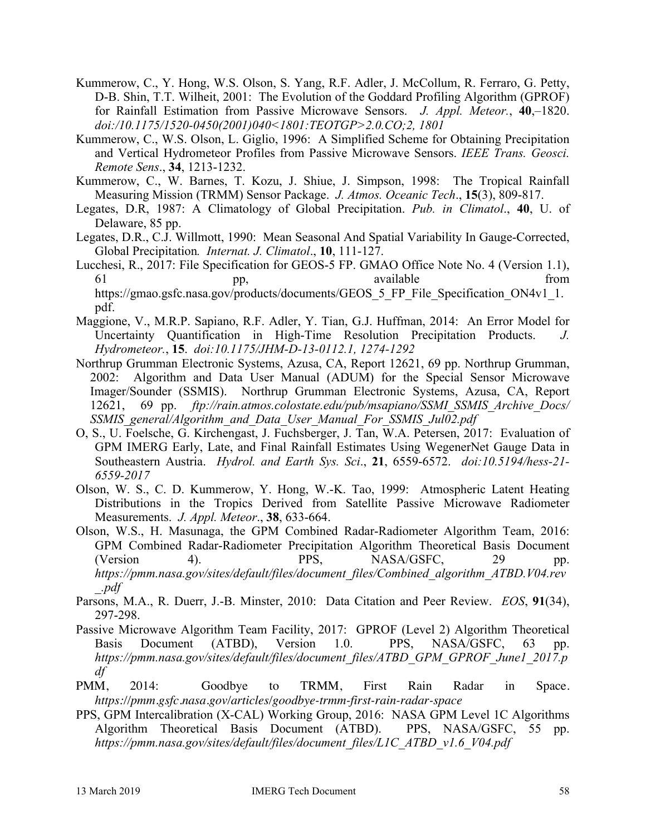- Kummerow, C., Y. Hong, W.S. Olson, S. Yang, R.F. Adler, J. McCollum, R. Ferraro, G. Petty, D-B. Shin, T.T. Wilheit, 2001: The Evolution of the Goddard Profiling Algorithm (GPROF) for Rainfall Estimation from Passive Microwave Sensors. *J. Appl. Meteor.*, **40**,–1820. *doi:/10.1175/1520-0450(2001)040<1801:TEOTGP>2.0.CO;2, 1801*
- Kummerow, C., W.S. Olson, L. Giglio, 1996: A Simplified Scheme for Obtaining Precipitation and Vertical Hydrometeor Profiles from Passive Microwave Sensors. *IEEE Trans. Geosci. Remote Sens*., **34**, 1213-1232.
- Kummerow, C., W. Barnes, T. Kozu, J. Shiue, J. Simpson, 1998: The Tropical Rainfall Measuring Mission (TRMM) Sensor Package. *J. Atmos. Oceanic Tech*., **15**(3), 809-817.
- Legates, D.R, 1987: A Climatology of Global Precipitation. *Pub. in Climatol*., **40**, U. of Delaware, 85 pp.
- Legates, D.R., C.J. Willmott, 1990: Mean Seasonal And Spatial Variability In Gauge-Corrected, Global Precipitation*. Internat. J. Climatol*., **10**, 111-127.
- Lucchesi, R., 2017: File Specification for GEOS-5 FP. GMAO Office Note No. 4 (Version 1.1), 61 pp, available from https://gmao.gsfc.nasa.gov/products/documents/GEOS 5 FP File Specification ON4v1 1. pdf.
- Maggione, V., M.R.P. Sapiano, R.F. Adler, Y. Tian, G.J. Huffman, 2014: An Error Model for Uncertainty Quantification in High-Time Resolution Precipitation Products. *J. Hydrometeor.*, **15**. *doi:10.1175/JHM-D-13-0112.1, 1274-1292*
- Northrup Grumman Electronic Systems, Azusa, CA, Report 12621, 69 pp. Northrup Grumman, 2002: Algorithm and Data User Manual (ADUM) for the Special Sensor Microwave Imager/Sounder (SSMIS). Northrup Grumman Electronic Systems, Azusa, CA, Report 12621, 69 pp. *ftp://rain.atmos.colostate.edu/pub/msapiano/SSMI\_SSMIS\_Archive\_Docs/ SSMIS\_general/Algorithm\_and\_Data\_User\_Manual\_For\_SSMIS\_Jul02.pdf*
- O, S., U. Foelsche, G. Kirchengast, J. Fuchsberger, J. Tan, W.A. Petersen, 2017: Evaluation of GPM IMERG Early, Late, and Final Rainfall Estimates Using WegenerNet Gauge Data in Southeastern Austria. *Hydrol. and Earth Sys. Sci*., **21**, 6559-6572. *doi:10.5194/hess-21- 6559-2017*
- Olson, W. S., C. D. Kummerow, Y. Hong, W.-K. Tao, 1999: Atmospheric Latent Heating Distributions in the Tropics Derived from Satellite Passive Microwave Radiometer Measurements. *J. Appl. Meteor*., **38**, 633-664.
- Olson, W.S., H. Masunaga, the GPM Combined Radar-Radiometer Algorithm Team, 2016: GPM Combined Radar-Radiometer Precipitation Algorithm Theoretical Basis Document (Version 4). PPS, NASA/GSFC, 29 pp. *https://pmm.nasa.gov/sites/default/files/document\_files/Combined\_algorithm\_ATBD.V04.rev \_.pdf*
- Parsons, M.A., R. Duerr, J.-B. Minster, 2010: Data Citation and Peer Review. *EOS*, **91**(34), 297-298.
- Passive Microwave Algorithm Team Facility, 2017: GPROF (Level 2) Algorithm Theoretical Basis Document (ATBD), Version 1.0. PPS, NASA/GSFC, 63 pp. *https://pmm.nasa.gov/sites/default/files/document\_files/ATBD\_GPM\_GPROF\_June1\_2017.p df*
- PMM, 2014: Goodbye to TRMM, First Rain Radar in Space. *https://pmm.gsfc.nasa.gov/articles/goodbye-trmm-first-rain-radar-space*
- PPS, GPM Intercalibration (X-CAL) Working Group, 2016: NASA GPM Level 1C Algorithms Algorithm Theoretical Basis Document (ATBD). PPS, NASA/GSFC, 55 pp. *https://pmm.nasa.gov/sites/default/files/document\_files/L1C\_ATBD\_v1.6\_V04.pdf*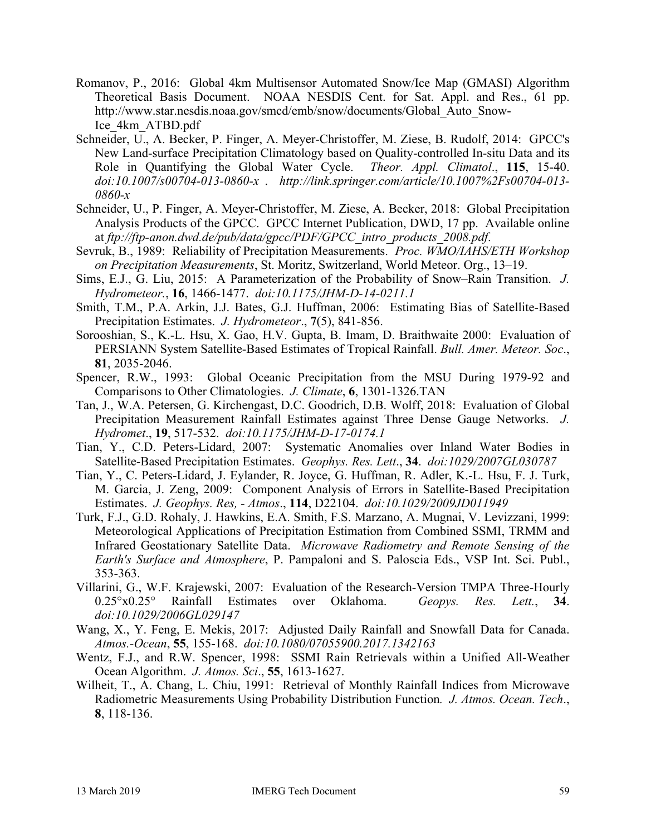- Romanov, P., 2016: Global 4km Multisensor Automated Snow/Ice Map (GMASI) Algorithm Theoretical Basis Document. NOAA NESDIS Cent. for Sat. Appl. and Res., 61 pp. http://www.star.nesdis.noaa.gov/smcd/emb/snow/documents/Global\_Auto\_Snow-Ice\_4km\_ATBD.pdf
- Schneider, U., A. Becker, P. Finger, A. Meyer-Christoffer, M. Ziese, B. Rudolf, 2014: GPCC's New Land-surface Precipitation Climatology based on Quality-controlled In-situ Data and its Role in Quantifying the Global Water Cycle. *Theor. Appl. Climatol*., **115**, 15-40. *doi:10.1007/s00704-013-0860-x* . *http://link.springer.com/article/10.1007%2Fs00704-013- 0860-x*
- Schneider, U., P. Finger, A. Meyer-Christoffer, M. Ziese, A. Becker, 2018: Global Precipitation Analysis Products of the GPCC. GPCC Internet Publication, DWD, 17 pp. Available online at *ftp://ftp-anon.dwd.de/pub/data/gpcc/PDF/GPCC\_intro\_products\_2008.pdf*.
- Sevruk, B., 1989: Reliability of Precipitation Measurements. *Proc. WMO/IAHS/ETH Workshop on Precipitation Measurements*, St. Moritz, Switzerland, World Meteor. Org., 13–19.
- Sims, E.J., G. Liu, 2015: A Parameterization of the Probability of Snow–Rain Transition. *J. Hydrometeor.*, **16**, 1466-1477. *doi:10.1175/JHM-D-14-0211.1*
- Smith, T.M., P.A. Arkin, J.J. Bates, G.J. Huffman, 2006: Estimating Bias of Satellite-Based Precipitation Estimates. *J. Hydrometeor*., **7**(5), 841-856.
- Sorooshian, S., K.-L. Hsu, X. Gao, H.V. Gupta, B. Imam, D. Braithwaite 2000: Evaluation of PERSIANN System Satellite-Based Estimates of Tropical Rainfall. *Bull. Amer. Meteor. Soc*., **81**, 2035-2046.
- Spencer, R.W., 1993: Global Oceanic Precipitation from the MSU During 1979-92 and Comparisons to Other Climatologies. *J. Climate*, **6**, 1301-1326.TAN
- Tan, J., W.A. Petersen, G. Kirchengast, D.C. Goodrich, D.B. Wolff, 2018: Evaluation of Global Precipitation Measurement Rainfall Estimates against Three Dense Gauge Networks. *J. Hydromet*., **19**, 517-532. *doi:10.1175/JHM-D-17-0174.1*
- Tian, Y., C.D. Peters-Lidard, 2007: Systematic Anomalies over Inland Water Bodies in Satellite-Based Precipitation Estimates. *Geophys. Res. Lett*., **34**. *doi:1029/2007GL030787*
- Tian, Y., C. Peters-Lidard, J. Eylander, R. Joyce, G. Huffman, R. Adler, K.-L. Hsu, F. J. Turk, M. Garcia, J. Zeng, 2009: Component Analysis of Errors in Satellite-Based Precipitation Estimates. *J. Geophys. Res, - Atmos*., **114**, D22104. *doi:10.1029/2009JD011949*
- Turk, F.J., G.D. Rohaly, J. Hawkins, E.A. Smith, F.S. Marzano, A. Mugnai, V. Levizzani, 1999: Meteorological Applications of Precipitation Estimation from Combined SSMI, TRMM and Infrared Geostationary Satellite Data. *Microwave Radiometry and Remote Sensing of the Earth's Surface and Atmosphere*, P. Pampaloni and S. Paloscia Eds., VSP Int. Sci. Publ., 353-363.
- Villarini, G., W.F. Krajewski, 2007: Evaluation of the Research-Version TMPA Three-Hourly 0.25°x0.25° Rainfall Estimates over Oklahoma. *Geopys. Res. Lett.*, **34**. *doi:10.1029/2006GL029147*
- Wang, X., Y. Feng, E. Mekis, 2017: Adjusted Daily Rainfall and Snowfall Data for Canada. *Atmos.-Ocean*, **55**, 155-168. *doi:10.1080/07055900.2017.1342163*
- Wentz, F.J., and R.W. Spencer, 1998: SSMI Rain Retrievals within a Unified All-Weather Ocean Algorithm. *J. Atmos. Sci*., **55**, 1613-1627.
- Wilheit, T., A. Chang, L. Chiu, 1991: Retrieval of Monthly Rainfall Indices from Microwave Radiometric Measurements Using Probability Distribution Function*. J. Atmos. Ocean. Tech*., **8**, 118-136.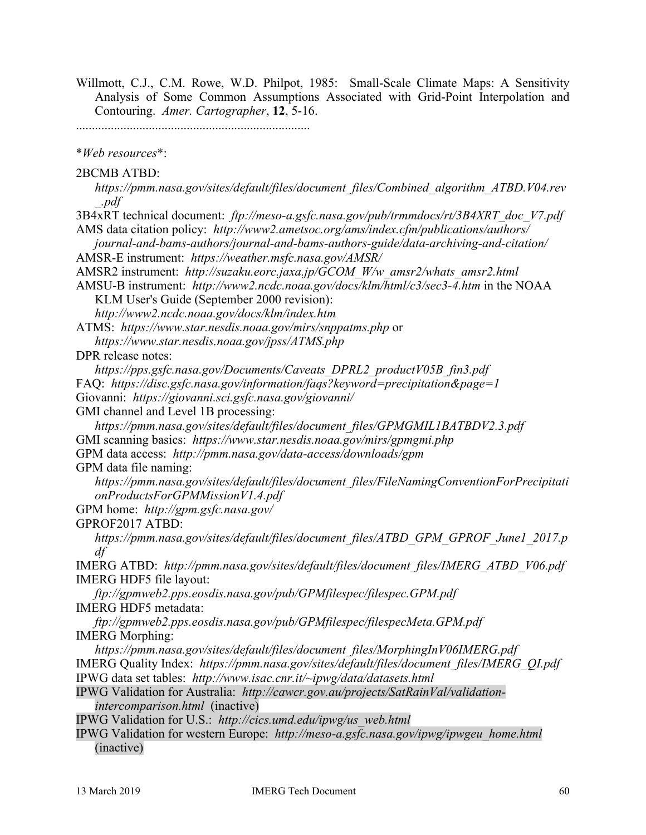Willmott, C.J., C.M. Rowe, W.D. Philpot, 1985: Small-Scale Climate Maps: A Sensitivity Analysis of Some Common Assumptions Associated with Grid-Point Interpolation and Contouring. *Amer. Cartographer*, **12**, 5-16.

..........................................................................

\**Web resources*\*:

2BCMB ATBD:

*https://pmm.nasa.gov/sites/default/files/document\_files/Combined\_algorithm\_ATBD.V04.rev \_.pdf*

3B4xRT technical document: *ftp://meso-a.gsfc.nasa.gov/pub/trmmdocs/rt/3B4XRT\_doc\_V7.pdf* AMS data citation policy: *http://www2.ametsoc.org/ams/index.cfm/publications/authors/*

*journal-and-bams-authors/journal-and-bams-authors-guide/data-archiving-and-citation/* AMSR-E instrument: *https://weather.msfc.nasa.gov/AMSR/*

AMSR2 instrument: *http://suzaku.eorc.jaxa.jp/GCOM\_W/w\_amsr2/whats\_amsr2.html*

AMSU-B instrument: *http://www2.ncdc.noaa.gov/docs/klm/html/c3/sec3-4.htm* in the NOAA KLM User's Guide (September 2000 revision):

*http://www2.ncdc.noaa.gov/docs/klm/index.htm*

ATMS: *https://www.star.nesdis.noaa.gov/mirs/snppatms.php* or

*https://www.star.nesdis.noaa.gov/jpss/ATMS.php*

DPR release notes:

*https://pps.gsfc.nasa.gov/Documents/Caveats\_DPRL2\_productV05B\_fin3.pdf*

FAQ: *https://disc.gsfc.nasa.gov/information/faqs?keyword=precipitation&page=1*

Giovanni: *https://giovanni.sci.gsfc.nasa.gov/giovanni/*

GMI channel and Level 1B processing:

*https://pmm.nasa.gov/sites/default/files/document\_files/GPMGMIL1BATBDV2.3.pdf* GMI scanning basics: *https://www.star.nesdis.noaa.gov/mirs/gpmgmi.php*

GPM data access: *http://pmm.nasa.gov/data-access/downloads/gpm*

GPM data file naming:

*https://pmm.nasa.gov/sites/default/files/document\_files/FileNamingConventionForPrecipitati onProductsForGPMMissionV1.4.pdf*

GPM home: *http://gpm.gsfc.nasa.gov/*

GPROF2017 ATBD:

*https://pmm.nasa.gov/sites/default/files/document\_files/ATBD\_GPM\_GPROF\_June1\_2017.p df*

IMERG ATBD: *http://pmm.nasa.gov/sites/default/files/document\_files/IMERG\_ATBD\_V06.pdf* IMERG HDF5 file layout:

*ftp://gpmweb2.pps.eosdis.nasa.gov/pub/GPMfilespec/filespec.GPM.pdf* IMERG HDF5 metadata:

*ftp://gpmweb2.pps.eosdis.nasa.gov/pub/GPMfilespec/filespecMeta.GPM.pdf* IMERG Morphing:

*https://pmm.nasa.gov/sites/default/files/document\_files/MorphingInV06IMERG.pdf* IMERG Quality Index: *https://pmm.nasa.gov/sites/default/files/document\_files/IMERG\_QI.pdf* IPWG data set tables: *http://www.isac.cnr.it/~ipwg/data/datasets.html*

IPWG Validation for Australia: *http://cawcr.gov.au/projects/SatRainVal/validationintercomparison.html* (inactive)

IPWG Validation for U.S.: *http://cics.umd.edu/ipwg/us\_web.html*

IPWG Validation for western Europe: *http://meso-a.gsfc.nasa.gov/ipwg/ipwgeu\_home.html* (inactive)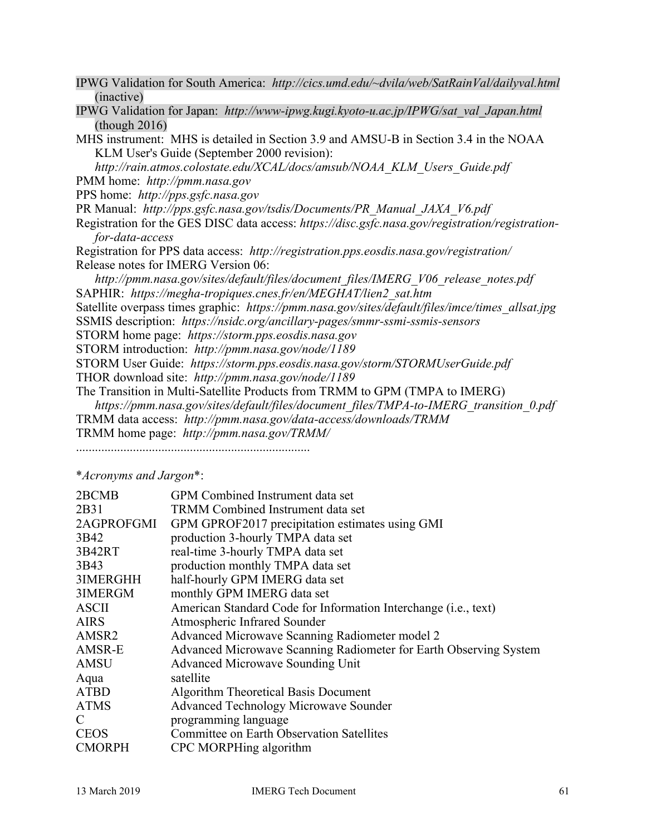| IPWG Validation for South America: http://cics.umd.edu/~dvila/web/SatRainVal/dailyval.html       |
|--------------------------------------------------------------------------------------------------|
| (inactive)                                                                                       |
| IPWG Validation for Japan: http://www-ipwg.kugi.kyoto-u.ac.jp/IPWG/sat val Japan.html            |
| (though $2016$ )                                                                                 |
| MHS instrument: MHS is detailed in Section 3.9 and AMSU-B in Section 3.4 in the NOAA             |
| KLM User's Guide (September 2000 revision):                                                      |
| http://rain.atmos.colostate.edu/XCAL/docs/amsub/NOAA KLM Users Guide.pdf                         |
| PMM home: http://pmm.nasa.gov                                                                    |
| PPS home: http://pps.gsfc.nasa.gov                                                               |
| PR Manual: http://pps.gsfc.nasa.gov/tsdis/Documents/PR Manual JAXA V6.pdf                        |
| Registration for the GES DISC data access: https://disc.gsfc.nasa.gov/registration/registration- |
| for-data-access                                                                                  |
| Registration for PPS data access: http://registration.pps.eosdis.nasa.gov/registration/          |
| Release notes for IMERG Version 06:                                                              |
| http://pmm.nasa.gov/sites/default/files/document_files/IMERG_V06_release_notes.pdf               |
| SAPHIR: https://megha-tropiques.cnes.fr/en/MEGHAT/lien2 sat.htm                                  |
| Satellite overpass times graphic: https://pmm.nasa.gov/sites/default/files/imce/times_allsat.jpg |
| SSMIS description: https://nsidc.org/ancillary-pages/smmr-ssmi-ssmis-sensors                     |
| STORM home page: https://storm.pps.eosdis.nasa.gov                                               |
| STORM introduction: http://pmm.nasa.gov/node/1189                                                |
| STORM User Guide: https://storm.pps.eosdis.nasa.gov/storm/STORMUserGuide.pdf                     |
| THOR download site: http://pmm.nasa.gov/node/1189                                                |
| The Transition in Multi-Satellite Products from TRMM to GPM (TMPA to IMERG)                      |
| https://pmm.nasa.gov/sites/default/files/document_files/TMPA-to-IMERG_transition_0.pdf           |
| TRMM data access: http://pmm.nasa.gov/data-access/downloads/TRMM                                 |
| TRMM home page: http://pmm.nasa.gov/TRMM/                                                        |
|                                                                                                  |
|                                                                                                  |
| *Acronyms and Jargon*:                                                                           |
|                                                                                                  |

| 2BCMB         | GPM Combined Instrument data set                                  |
|---------------|-------------------------------------------------------------------|
| 2B31          | <b>TRMM</b> Combined Instrument data set                          |
| 2AGPROFGMI    | GPM GPROF2017 precipitation estimates using GMI                   |
| 3B42          | production 3-hourly TMPA data set                                 |
| 3B42RT        | real-time 3-hourly TMPA data set                                  |
| 3B43          | production monthly TMPA data set                                  |
| 3IMERGHH      | half-hourly GPM IMERG data set                                    |
| 3IMERGM       | monthly GPM IMERG data set                                        |
| <b>ASCII</b>  | American Standard Code for Information Interchange (i.e., text)   |
| <b>AIRS</b>   | Atmospheric Infrared Sounder                                      |
| AMSR2         | Advanced Microwave Scanning Radiometer model 2                    |
| AMSR-E        | Advanced Microwave Scanning Radiometer for Earth Observing System |
| <b>AMSU</b>   | <b>Advanced Microwave Sounding Unit</b>                           |
| Aqua          | satellite                                                         |
| <b>ATBD</b>   | Algorithm Theoretical Basis Document                              |
| <b>ATMS</b>   | <b>Advanced Technology Microwave Sounder</b>                      |
| C             | programming language                                              |
| <b>CEOS</b>   | <b>Committee on Earth Observation Satellites</b>                  |
| <b>CMORPH</b> | CPC MORPHing algorithm                                            |
|               |                                                                   |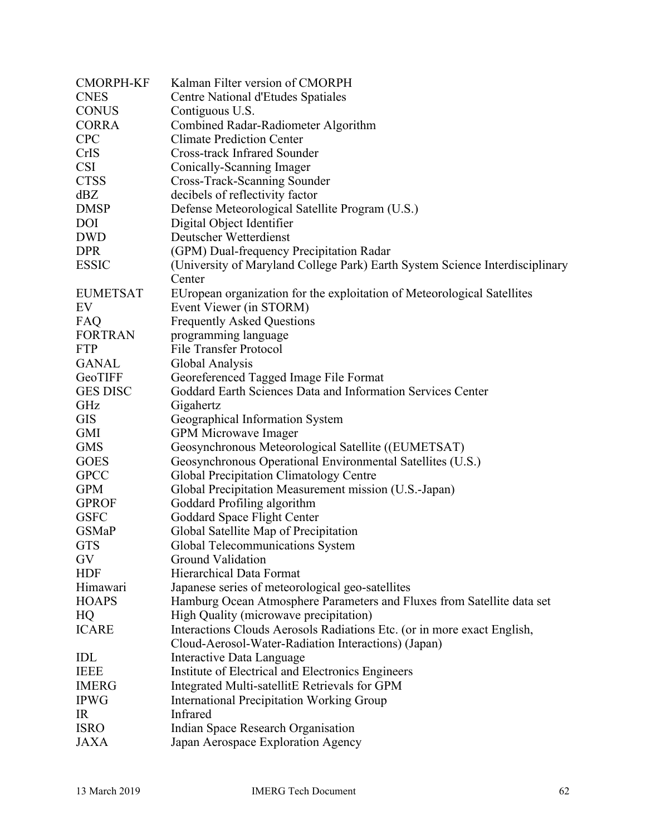| <b>CMORPH-KF</b> | Kalman Filter version of CMORPH                                              |
|------------------|------------------------------------------------------------------------------|
| <b>CNES</b>      | Centre National d'Etudes Spatiales                                           |
| <b>CONUS</b>     | Contiguous U.S.                                                              |
| <b>CORRA</b>     | Combined Radar-Radiometer Algorithm                                          |
| <b>CPC</b>       | <b>Climate Prediction Center</b>                                             |
| CrIS             | <b>Cross-track Infrared Sounder</b>                                          |
| <b>CSI</b>       | Conically-Scanning Imager                                                    |
| <b>CTSS</b>      | Cross-Track-Scanning Sounder                                                 |
| dBZ              | decibels of reflectivity factor                                              |
| <b>DMSP</b>      | Defense Meteorological Satellite Program (U.S.)                              |
| <b>DOI</b>       | Digital Object Identifier                                                    |
| <b>DWD</b>       | Deutscher Wetterdienst                                                       |
| <b>DPR</b>       | (GPM) Dual-frequency Precipitation Radar                                     |
| <b>ESSIC</b>     | (University of Maryland College Park) Earth System Science Interdisciplinary |
|                  | Center                                                                       |
| <b>EUMETSAT</b>  | EUropean organization for the exploitation of Meteorological Satellites      |
| EV               | Event Viewer (in STORM)                                                      |
| FAQ              | <b>Frequently Asked Questions</b>                                            |
| <b>FORTRAN</b>   | programming language                                                         |
| <b>FTP</b>       | <b>File Transfer Protocol</b>                                                |
| <b>GANAL</b>     | Global Analysis                                                              |
| GeoTIFF          | Georeferenced Tagged Image File Format                                       |
| <b>GES DISC</b>  | Goddard Earth Sciences Data and Information Services Center                  |
| GHz              | Gigahertz                                                                    |
| <b>GIS</b>       | Geographical Information System                                              |
| GMI              | <b>GPM Microwave Imager</b>                                                  |
| <b>GMS</b>       | Geosynchronous Meteorological Satellite ((EUMETSAT)                          |
| <b>GOES</b>      | Geosynchronous Operational Environmental Satellites (U.S.)                   |
| <b>GPCC</b>      | Global Precipitation Climatology Centre                                      |
| <b>GPM</b>       | Global Precipitation Measurement mission (U.S.-Japan)                        |
| <b>GPROF</b>     | Goddard Profiling algorithm                                                  |
| <b>GSFC</b>      | Goddard Space Flight Center                                                  |
| <b>GSMaP</b>     | Global Satellite Map of Precipitation                                        |
| <b>GTS</b>       | Global Telecommunications System                                             |
| GV               | <b>Ground Validation</b>                                                     |
| <b>HDF</b>       | <b>Hierarchical Data Format</b>                                              |
| Himawari         | Japanese series of meteorological geo-satellites                             |
| <b>HOAPS</b>     | Hamburg Ocean Atmosphere Parameters and Fluxes from Satellite data set       |
| HQ               | High Quality (microwave precipitation)                                       |
| <b>ICARE</b>     | Interactions Clouds Aerosols Radiations Etc. (or in more exact English,      |
|                  | Cloud-Aerosol-Water-Radiation Interactions) (Japan)                          |
| IDL              | Interactive Data Language                                                    |
| <b>IEEE</b>      | Institute of Electrical and Electronics Engineers                            |
| <b>IMERG</b>     | Integrated Multi-satellitE Retrievals for GPM                                |
| <b>IPWG</b>      | <b>International Precipitation Working Group</b>                             |
| IR               | Infrared                                                                     |
| <b>ISRO</b>      |                                                                              |
| <b>JAXA</b>      | Indian Space Research Organisation                                           |
|                  | Japan Aerospace Exploration Agency                                           |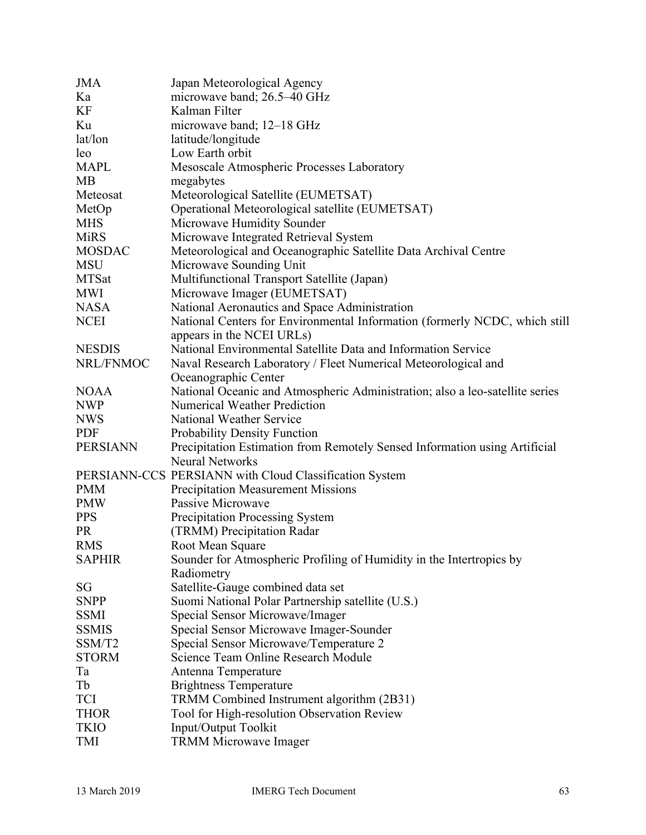| <b>JMA</b>      | Japan Meteorological Agency                                                  |
|-----------------|------------------------------------------------------------------------------|
| Ka              | microwave band; 26.5–40 GHz                                                  |
| KF              | Kalman Filter                                                                |
| Ku              | microwave band; 12–18 GHz                                                    |
| lat/lon         | latitude/longitude                                                           |
| leo             | Low Earth orbit                                                              |
| <b>MAPL</b>     | Mesoscale Atmospheric Processes Laboratory                                   |
| <b>MB</b>       | megabytes                                                                    |
| Meteosat        | Meteorological Satellite (EUMETSAT)                                          |
| MetOp           | Operational Meteorological satellite (EUMETSAT)                              |
| <b>MHS</b>      | Microwave Humidity Sounder                                                   |
| <b>MiRS</b>     | Microwave Integrated Retrieval System                                        |
| <b>MOSDAC</b>   | Meteorological and Oceanographic Satellite Data Archival Centre              |
| <b>MSU</b>      | Microwave Sounding Unit                                                      |
| <b>MTSat</b>    | Multifunctional Transport Satellite (Japan)                                  |
| <b>MWI</b>      | Microwave Imager (EUMETSAT)                                                  |
| <b>NASA</b>     | National Aeronautics and Space Administration                                |
| <b>NCEI</b>     | National Centers for Environmental Information (formerly NCDC, which still   |
|                 | appears in the NCEI URLs)                                                    |
| <b>NESDIS</b>   | National Environmental Satellite Data and Information Service                |
| NRL/FNMOC       | Naval Research Laboratory / Fleet Numerical Meteorological and               |
|                 | Oceanographic Center                                                         |
| <b>NOAA</b>     | National Oceanic and Atmospheric Administration; also a leo-satellite series |
| <b>NWP</b>      | <b>Numerical Weather Prediction</b>                                          |
| <b>NWS</b>      | National Weather Service                                                     |
| <b>PDF</b>      | <b>Probability Density Function</b>                                          |
| <b>PERSIANN</b> | Precipitation Estimation from Remotely Sensed Information using Artificial   |
|                 | <b>Neural Networks</b>                                                       |
|                 | PERSIANN-CCS PERSIANN with Cloud Classification System                       |
| <b>PMM</b>      | <b>Precipitation Measurement Missions</b>                                    |
| <b>PMW</b>      | Passive Microwave                                                            |
| <b>PPS</b>      | <b>Precipitation Processing System</b>                                       |
| <b>PR</b>       | (TRMM) Precipitation Radar                                                   |
| <b>RMS</b>      | Root Mean Square                                                             |
| <b>SAPHIR</b>   | Sounder for Atmospheric Profiling of Humidity in the Intertropics by         |
|                 | Radiometry                                                                   |
| SG              | Satellite-Gauge combined data set                                            |
| <b>SNPP</b>     | Suomi National Polar Partnership satellite (U.S.)                            |
| <b>SSMI</b>     | Special Sensor Microwave/Imager                                              |
| <b>SSMIS</b>    | Special Sensor Microwave Imager-Sounder                                      |
| SSM/T2          | Special Sensor Microwave/Temperature 2                                       |
| <b>STORM</b>    | Science Team Online Research Module                                          |
| Ta              | Antenna Temperature                                                          |
| Tb              | <b>Brightness Temperature</b>                                                |
| TCI             | TRMM Combined Instrument algorithm (2B31)                                    |
| <b>THOR</b>     | Tool for High-resolution Observation Review                                  |
| <b>TKIO</b>     | Input/Output Toolkit                                                         |
| TMI             | <b>TRMM Microwave Imager</b>                                                 |
|                 |                                                                              |